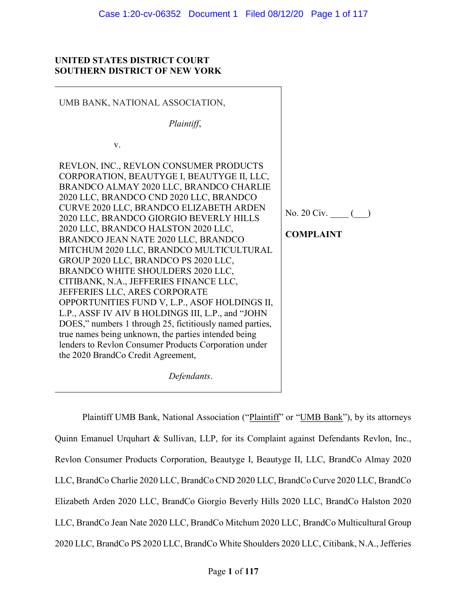# UNITED STATES DISTRICT COURT SOUTHERN DISTRICT OF NEW YORK

| UMB BANK, NATIONAL ASSOCIATION,                                                                                                                                                                                                                                                                                                                                                                                                                                                                                                                                                                                                                                                                                                                                                                                                                                            |                  |
|----------------------------------------------------------------------------------------------------------------------------------------------------------------------------------------------------------------------------------------------------------------------------------------------------------------------------------------------------------------------------------------------------------------------------------------------------------------------------------------------------------------------------------------------------------------------------------------------------------------------------------------------------------------------------------------------------------------------------------------------------------------------------------------------------------------------------------------------------------------------------|------------------|
| Plaintiff,                                                                                                                                                                                                                                                                                                                                                                                                                                                                                                                                                                                                                                                                                                                                                                                                                                                                 |                  |
| V.                                                                                                                                                                                                                                                                                                                                                                                                                                                                                                                                                                                                                                                                                                                                                                                                                                                                         |                  |
| REVLON, INC., REVLON CONSUMER PRODUCTS<br>CORPORATION, BEAUTYGE I, BEAUTYGE II, LLC,<br>BRANDCO ALMAY 2020 LLC, BRANDCO CHARLIE<br>2020 LLC, BRANDCO CND 2020 LLC, BRANDCO<br>CURVE 2020 LLC, BRANDCO ELIZABETH ARDEN<br>2020 LLC, BRANDCO GIORGIO BEVERLY HILLS<br>2020 LLC, BRANDCO HALSTON 2020 LLC,<br>BRANDCO JEAN NATE 2020 LLC, BRANDCO<br>MITCHUM 2020 LLC, BRANDCO MULTICULTURAL<br>GROUP 2020 LLC, BRANDCO PS 2020 LLC,<br>BRANDCO WHITE SHOULDERS 2020 LLC,<br>CITIBANK, N.A., JEFFERIES FINANCE LLC,<br>JEFFERIES LLC, ARES CORPORATE<br>OPPORTUNITIES FUND V, L.P., ASOF HOLDINGS II,<br>L.P., ASSF IV AIV B HOLDINGS III, L.P., and "JOHN<br>DOES," numbers 1 through 25, fictitiously named parties,<br>true names being unknown, the parties intended being<br>lenders to Revlon Consumer Products Corporation under<br>the 2020 BrandCo Credit Agreement, | <b>COMPLAINT</b> |
| Defendants.                                                                                                                                                                                                                                                                                                                                                                                                                                                                                                                                                                                                                                                                                                                                                                                                                                                                |                  |

Plaintiff UMB Bank, National Association ("Plaintiff" or "UMB Bank"), by its attorneys Quinn Emanuel Urquhart & Sullivan, LLP, for its Complaint against Defendants Revlon, Inc., Revlon Consumer Products Corporation, Beautyge I, Beautyge II, LLC, BrandCo Almay 2020 LLC, BrandCo Charlie 2020 LLC, BrandCo CND 2020 LLC, BrandCo Curve 2020 LLC, BrandCo Elizabeth Arden 2020 LLC, BrandCo Giorgio Beverly Hills 2020 LLC, BrandCo Halston 2020 LLC, BrandCo Jean Nate 2020 LLC, BrandCo Mitchum 2020 LLC, BrandCo Multicultural Group 2020 LLC, BrandCo PS 2020 LLC, BrandCo White Shoulders 2020 LLC, Citibank, N.A., Jefferies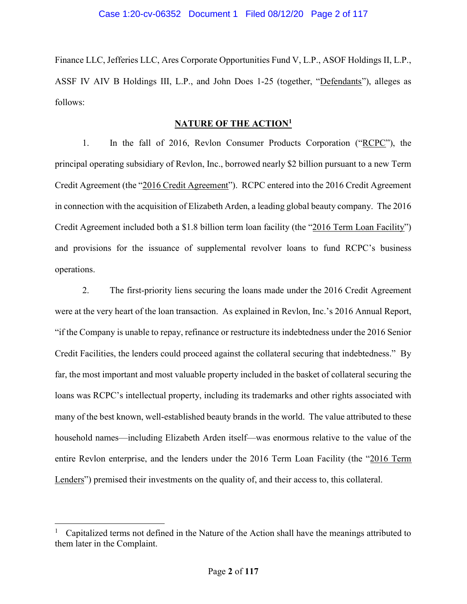Finance LLC, Jefferies LLC, Ares Corporate Opportunities Fund V, L.P., ASOF Holdings II, L.P., ASSF IV AIV B Holdings III, L.P., and John Does 1-25 (together, "Defendants"), alleges as follows:

## NATURE OF THE ACTION<sup>1</sup>

1. In the fall of 2016, Revlon Consumer Products Corporation ("RCPC"), the principal operating subsidiary of Revlon, Inc., borrowed nearly \$2 billion pursuant to a new Term Credit Agreement (the "2016 Credit Agreement"). RCPC entered into the 2016 Credit Agreement in connection with the acquisition of Elizabeth Arden, a leading global beauty company. The 2016 Credit Agreement included both a \$1.8 billion term loan facility (the "2016 Term Loan Facility") and provisions for the issuance of supplemental revolver loans to fund RCPC's business operations.

2. The first-priority liens securing the loans made under the 2016 Credit Agreement were at the very heart of the loan transaction. As explained in Revlon, Inc.'s 2016 Annual Report, "if the Company is unable to repay, refinance or restructure its indebtedness under the 2016 Senior Credit Facilities, the lenders could proceed against the collateral securing that indebtedness." By far, the most important and most valuable property included in the basket of collateral securing the loans was RCPC's intellectual property, including its trademarks and other rights associated with many of the best known, well-established beauty brands in the world. The value attributed to these household names—including Elizabeth Arden itself—was enormous relative to the value of the entire Revlon enterprise, and the lenders under the 2016 Term Loan Facility (the "2016 Term Lenders") premised their investments on the quality of, and their access to, this collateral.

<sup>1</sup> Capitalized terms not defined in the Nature of the Action shall have the meanings attributed to them later in the Complaint.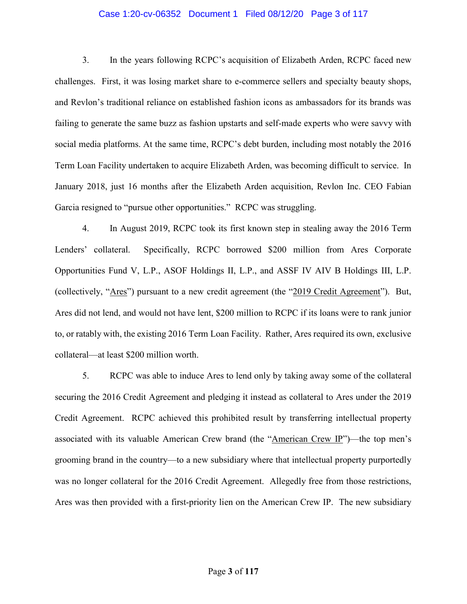## Case 1:20-cv-06352 Document 1 Filed 08/12/20 Page 3 of 117

3. In the years following RCPC's acquisition of Elizabeth Arden, RCPC faced new challenges. First, it was losing market share to e-commerce sellers and specialty beauty shops, and Revlon's traditional reliance on established fashion icons as ambassadors for its brands was failing to generate the same buzz as fashion upstarts and self-made experts who were savvy with social media platforms. At the same time, RCPC's debt burden, including most notably the 2016 Term Loan Facility undertaken to acquire Elizabeth Arden, was becoming difficult to service. In January 2018, just 16 months after the Elizabeth Arden acquisition, Revlon Inc. CEO Fabian Garcia resigned to "pursue other opportunities." RCPC was struggling.

4. In August 2019, RCPC took its first known step in stealing away the 2016 Term Lenders' collateral. Specifically, RCPC borrowed \$200 million from Ares Corporate Opportunities Fund V, L.P., ASOF Holdings II, L.P., and ASSF IV AIV B Holdings III, L.P. (collectively, "Ares") pursuant to a new credit agreement (the "2019 Credit Agreement"). But, Ares did not lend, and would not have lent, \$200 million to RCPC if its loans were to rank junior to, or ratably with, the existing 2016 Term Loan Facility. Rather, Ares required its own, exclusive collateral—at least \$200 million worth.

5. RCPC was able to induce Ares to lend only by taking away some of the collateral securing the 2016 Credit Agreement and pledging it instead as collateral to Ares under the 2019 Credit Agreement. RCPC achieved this prohibited result by transferring intellectual property associated with its valuable American Crew brand (the "American Crew IP")—the top men's grooming brand in the country—to a new subsidiary where that intellectual property purportedly was no longer collateral for the 2016 Credit Agreement. Allegedly free from those restrictions, Ares was then provided with a first-priority lien on the American Crew IP. The new subsidiary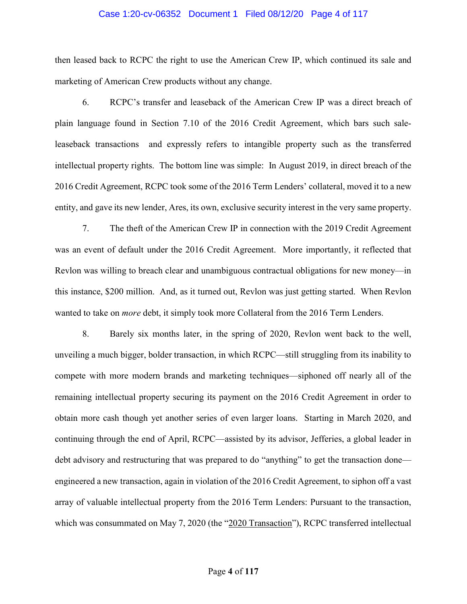#### Case 1:20-cv-06352 Document 1 Filed 08/12/20 Page 4 of 117

then leased back to RCPC the right to use the American Crew IP, which continued its sale and marketing of American Crew products without any change.

6. RCPC's transfer and leaseback of the American Crew IP was a direct breach of plain language found in Section 7.10 of the 2016 Credit Agreement, which bars such saleleaseback transactions and expressly refers to intangible property such as the transferred intellectual property rights. The bottom line was simple: In August 2019, in direct breach of the 2016 Credit Agreement, RCPC took some of the 2016 Term Lenders' collateral, moved it to a new entity, and gave its new lender, Ares, its own, exclusive security interest in the very same property.

7. The theft of the American Crew IP in connection with the 2019 Credit Agreement was an event of default under the 2016 Credit Agreement. More importantly, it reflected that Revlon was willing to breach clear and unambiguous contractual obligations for new money—in this instance, \$200 million. And, as it turned out, Revlon was just getting started. When Revlon wanted to take on more debt, it simply took more Collateral from the 2016 Term Lenders.

8. Barely six months later, in the spring of 2020, Revlon went back to the well, unveiling a much bigger, bolder transaction, in which RCPC—still struggling from its inability to compete with more modern brands and marketing techniques—siphoned off nearly all of the remaining intellectual property securing its payment on the 2016 Credit Agreement in order to obtain more cash though yet another series of even larger loans. Starting in March 2020, and continuing through the end of April, RCPC—assisted by its advisor, Jefferies, a global leader in debt advisory and restructuring that was prepared to do "anything" to get the transaction done engineered a new transaction, again in violation of the 2016 Credit Agreement, to siphon off a vast array of valuable intellectual property from the 2016 Term Lenders: Pursuant to the transaction, which was consummated on May 7, 2020 (the "2020 Transaction"), RCPC transferred intellectual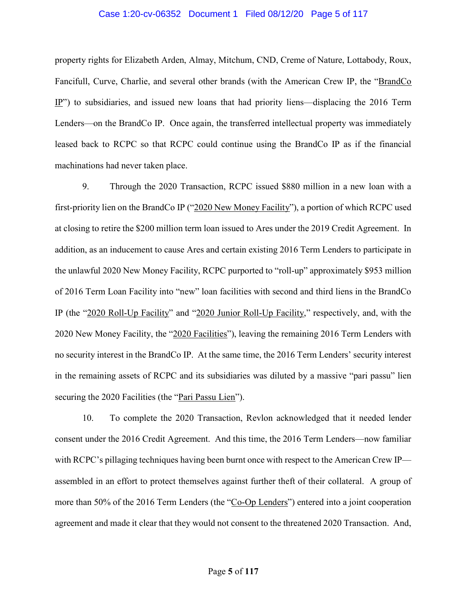#### Case 1:20-cv-06352 Document 1 Filed 08/12/20 Page 5 of 117

property rights for Elizabeth Arden, Almay, Mitchum, CND, Creme of Nature, Lottabody, Roux, Fancifull, Curve, Charlie, and several other brands (with the American Crew IP, the "BrandCo IP") to subsidiaries, and issued new loans that had priority liens—displacing the 2016 Term Lenders—on the BrandCo IP. Once again, the transferred intellectual property was immediately leased back to RCPC so that RCPC could continue using the BrandCo IP as if the financial machinations had never taken place.

9. Through the 2020 Transaction, RCPC issued \$880 million in a new loan with a first-priority lien on the BrandCo IP ("2020 New Money Facility"), a portion of which RCPC used at closing to retire the \$200 million term loan issued to Ares under the 2019 Credit Agreement. In addition, as an inducement to cause Ares and certain existing 2016 Term Lenders to participate in the unlawful 2020 New Money Facility, RCPC purported to "roll-up" approximately \$953 million of 2016 Term Loan Facility into "new" loan facilities with second and third liens in the BrandCo IP (the "2020 Roll-Up Facility" and "2020 Junior Roll-Up Facility," respectively, and, with the 2020 New Money Facility, the "2020 Facilities"), leaving the remaining 2016 Term Lenders with no security interest in the BrandCo IP. At the same time, the 2016 Term Lenders' security interest in the remaining assets of RCPC and its subsidiaries was diluted by a massive "pari passu" lien securing the 2020 Facilities (the "Pari Passu Lien").

10. To complete the 2020 Transaction, Revlon acknowledged that it needed lender consent under the 2016 Credit Agreement. And this time, the 2016 Term Lenders—now familiar with RCPC's pillaging techniques having been burnt once with respect to the American Crew IP assembled in an effort to protect themselves against further theft of their collateral. A group of more than 50% of the 2016 Term Lenders (the "Co-Op Lenders") entered into a joint cooperation agreement and made it clear that they would not consent to the threatened 2020 Transaction. And,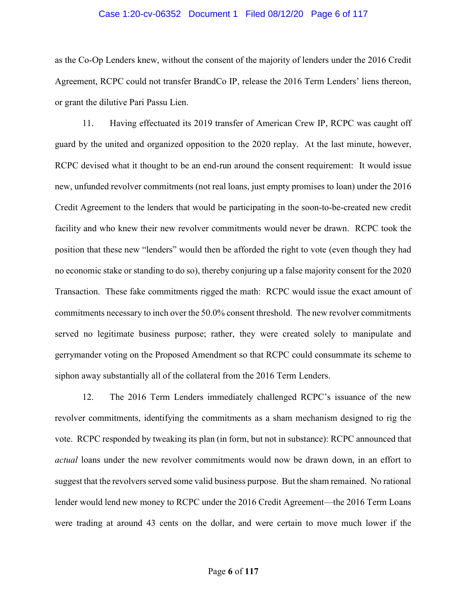#### Case 1:20-cv-06352 Document 1 Filed 08/12/20 Page 6 of 117

as the Co-Op Lenders knew, without the consent of the majority of lenders under the 2016 Credit Agreement, RCPC could not transfer BrandCo IP, release the 2016 Term Lenders' liens thereon, or grant the dilutive Pari Passu Lien.

11. Having effectuated its 2019 transfer of American Crew IP, RCPC was caught off guard by the united and organized opposition to the 2020 replay. At the last minute, however, RCPC devised what it thought to be an end-run around the consent requirement: It would issue new, unfunded revolver commitments (not real loans, just empty promises to loan) under the 2016 Credit Agreement to the lenders that would be participating in the soon-to-be-created new credit facility and who knew their new revolver commitments would never be drawn. RCPC took the position that these new "lenders" would then be afforded the right to vote (even though they had no economic stake or standing to do so), thereby conjuring up a false majority consent for the 2020 Transaction. These fake commitments rigged the math: RCPC would issue the exact amount of commitments necessary to inch over the 50.0% consent threshold. The new revolver commitments served no legitimate business purpose; rather, they were created solely to manipulate and gerrymander voting on the Proposed Amendment so that RCPC could consummate its scheme to siphon away substantially all of the collateral from the 2016 Term Lenders.

12. The 2016 Term Lenders immediately challenged RCPC's issuance of the new revolver commitments, identifying the commitments as a sham mechanism designed to rig the vote. RCPC responded by tweaking its plan (in form, but not in substance): RCPC announced that actual loans under the new revolver commitments would now be drawn down, in an effort to suggest that the revolvers served some valid business purpose. But the sham remained. No rational lender would lend new money to RCPC under the 2016 Credit Agreement—the 2016 Term Loans were trading at around 43 cents on the dollar, and were certain to move much lower if the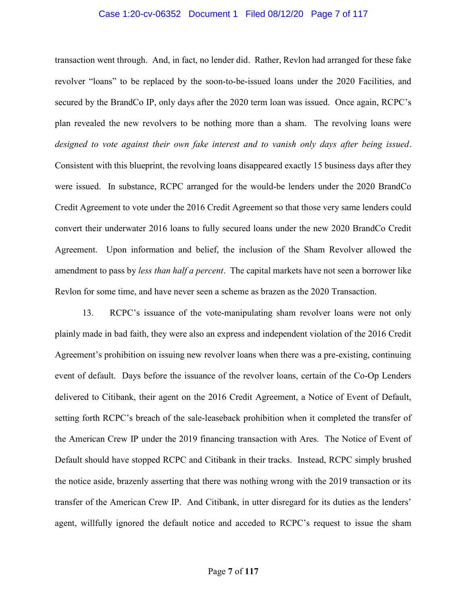#### Case 1:20-cv-06352 Document 1 Filed 08/12/20 Page 7 of 117

transaction went through. And, in fact, no lender did. Rather, Revlon had arranged for these fake revolver "loans" to be replaced by the soon-to-be-issued loans under the 2020 Facilities, and secured by the BrandCo IP, only days after the 2020 term loan was issued. Once again, RCPC's plan revealed the new revolvers to be nothing more than a sham. The revolving loans were designed to vote against their own fake interest and to vanish only days after being issued. Consistent with this blueprint, the revolving loans disappeared exactly 15 business days after they were issued. In substance, RCPC arranged for the would-be lenders under the 2020 BrandCo Credit Agreement to vote under the 2016 Credit Agreement so that those very same lenders could convert their underwater 2016 loans to fully secured loans under the new 2020 BrandCo Credit Agreement. Upon information and belief, the inclusion of the Sham Revolver allowed the amendment to pass by *less than half a percent*. The capital markets have not seen a borrower like Revlon for some time, and have never seen a scheme as brazen as the 2020 Transaction.

13. RCPC's issuance of the vote-manipulating sham revolver loans were not only plainly made in bad faith, they were also an express and independent violation of the 2016 Credit Agreement's prohibition on issuing new revolver loans when there was a pre-existing, continuing event of default. Days before the issuance of the revolver loans, certain of the Co-Op Lenders delivered to Citibank, their agent on the 2016 Credit Agreement, a Notice of Event of Default, setting forth RCPC's breach of the sale-leaseback prohibition when it completed the transfer of the American Crew IP under the 2019 financing transaction with Ares. The Notice of Event of Default should have stopped RCPC and Citibank in their tracks. Instead, RCPC simply brushed the notice aside, brazenly asserting that there was nothing wrong with the 2019 transaction or its transfer of the American Crew IP. And Citibank, in utter disregard for its duties as the lenders' agent, willfully ignored the default notice and acceded to RCPC's request to issue the sham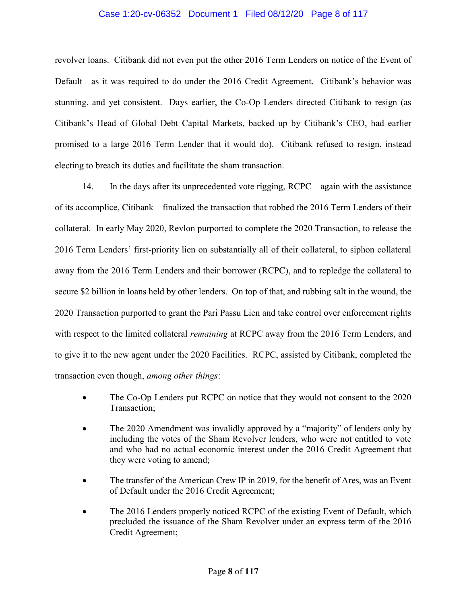# Case 1:20-cv-06352 Document 1 Filed 08/12/20 Page 8 of 117

revolver loans. Citibank did not even put the other 2016 Term Lenders on notice of the Event of Default—as it was required to do under the 2016 Credit Agreement. Citibank's behavior was stunning, and yet consistent. Days earlier, the Co-Op Lenders directed Citibank to resign (as Citibank's Head of Global Debt Capital Markets, backed up by Citibank's CEO, had earlier promised to a large 2016 Term Lender that it would do). Citibank refused to resign, instead electing to breach its duties and facilitate the sham transaction.

14. In the days after its unprecedented vote rigging, RCPC—again with the assistance of its accomplice, Citibank—finalized the transaction that robbed the 2016 Term Lenders of their collateral. In early May 2020, Revlon purported to complete the 2020 Transaction, to release the 2016 Term Lenders' first-priority lien on substantially all of their collateral, to siphon collateral away from the 2016 Term Lenders and their borrower (RCPC), and to repledge the collateral to secure \$2 billion in loans held by other lenders. On top of that, and rubbing salt in the wound, the 2020 Transaction purported to grant the Pari Passu Lien and take control over enforcement rights with respect to the limited collateral *remaining* at RCPC away from the 2016 Term Lenders, and to give it to the new agent under the 2020 Facilities. RCPC, assisted by Citibank, completed the transaction even though, among other things:

- The Co-Op Lenders put RCPC on notice that they would not consent to the 2020 Transaction;
- The 2020 Amendment was invalidly approved by a "majority" of lenders only by including the votes of the Sham Revolver lenders, who were not entitled to vote and who had no actual economic interest under the 2016 Credit Agreement that they were voting to amend;
- The transfer of the American Crew IP in 2019, for the benefit of Ares, was an Event of Default under the 2016 Credit Agreement;
- The 2016 Lenders properly noticed RCPC of the existing Event of Default, which precluded the issuance of the Sham Revolver under an express term of the 2016 Credit Agreement;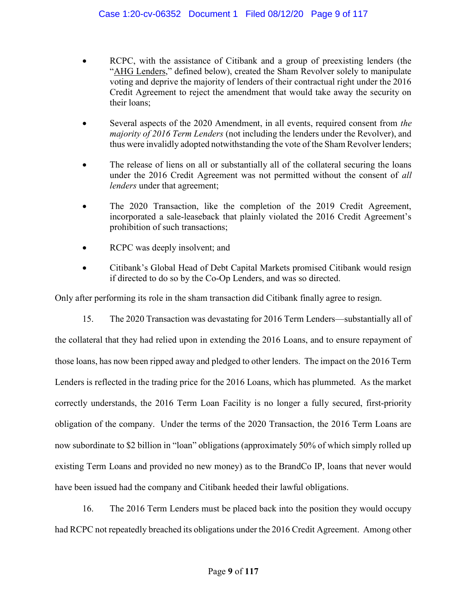- RCPC, with the assistance of Citibank and a group of preexisting lenders (the "AHG Lenders," defined below), created the Sham Revolver solely to manipulate voting and deprive the majority of lenders of their contractual right under the 2016 Credit Agreement to reject the amendment that would take away the security on their loans;
- Several aspects of the 2020 Amendment, in all events, required consent from the majority of 2016 Term Lenders (not including the lenders under the Revolver), and thus were invalidly adopted notwithstanding the vote of the Sham Revolver lenders;
- The release of liens on all or substantially all of the collateral securing the loans under the 2016 Credit Agreement was not permitted without the consent of all lenders under that agreement;
- The 2020 Transaction, like the completion of the 2019 Credit Agreement, incorporated a sale-leaseback that plainly violated the 2016 Credit Agreement's prohibition of such transactions;
- RCPC was deeply insolvent; and
- Citibank's Global Head of Debt Capital Markets promised Citibank would resign if directed to do so by the Co-Op Lenders, and was so directed.

Only after performing its role in the sham transaction did Citibank finally agree to resign.

15. The 2020 Transaction was devastating for 2016 Term Lenders—substantially all of

the collateral that they had relied upon in extending the 2016 Loans, and to ensure repayment of those loans, has now been ripped away and pledged to other lenders. The impact on the 2016 Term Lenders is reflected in the trading price for the 2016 Loans, which has plummeted. As the market correctly understands, the 2016 Term Loan Facility is no longer a fully secured, first-priority obligation of the company. Under the terms of the 2020 Transaction, the 2016 Term Loans are now subordinate to \$2 billion in "loan" obligations (approximately 50% of which simply rolled up existing Term Loans and provided no new money) as to the BrandCo IP, loans that never would have been issued had the company and Citibank heeded their lawful obligations.

16. The 2016 Term Lenders must be placed back into the position they would occupy had RCPC not repeatedly breached its obligations under the 2016 Credit Agreement. Among other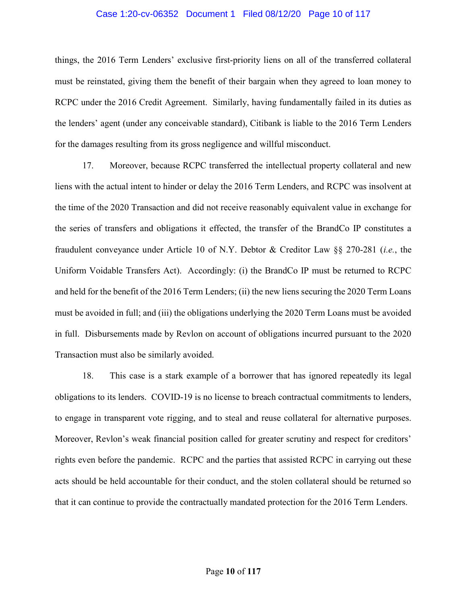#### Case 1:20-cv-06352 Document 1 Filed 08/12/20 Page 10 of 117

things, the 2016 Term Lenders' exclusive first-priority liens on all of the transferred collateral must be reinstated, giving them the benefit of their bargain when they agreed to loan money to RCPC under the 2016 Credit Agreement. Similarly, having fundamentally failed in its duties as the lenders' agent (under any conceivable standard), Citibank is liable to the 2016 Term Lenders for the damages resulting from its gross negligence and willful misconduct.

17. Moreover, because RCPC transferred the intellectual property collateral and new liens with the actual intent to hinder or delay the 2016 Term Lenders, and RCPC was insolvent at the time of the 2020 Transaction and did not receive reasonably equivalent value in exchange for the series of transfers and obligations it effected, the transfer of the BrandCo IP constitutes a fraudulent conveyance under Article 10 of N.Y. Debtor & Creditor Law §§ 270-281 (i.e., the Uniform Voidable Transfers Act). Accordingly: (i) the BrandCo IP must be returned to RCPC and held for the benefit of the 2016 Term Lenders; (ii) the new liens securing the 2020 Term Loans must be avoided in full; and (iii) the obligations underlying the 2020 Term Loans must be avoided in full. Disbursements made by Revlon on account of obligations incurred pursuant to the 2020 Transaction must also be similarly avoided.

18. This case is a stark example of a borrower that has ignored repeatedly its legal obligations to its lenders. COVID-19 is no license to breach contractual commitments to lenders, to engage in transparent vote rigging, and to steal and reuse collateral for alternative purposes. Moreover, Revlon's weak financial position called for greater scrutiny and respect for creditors' rights even before the pandemic. RCPC and the parties that assisted RCPC in carrying out these acts should be held accountable for their conduct, and the stolen collateral should be returned so that it can continue to provide the contractually mandated protection for the 2016 Term Lenders.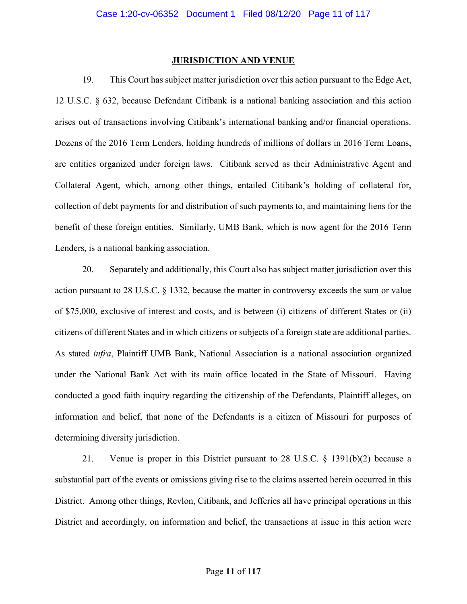## JURISDICTION AND VENUE

19. This Court has subject matter jurisdiction over this action pursuant to the Edge Act, 12 U.S.C. § 632, because Defendant Citibank is a national banking association and this action arises out of transactions involving Citibank's international banking and/or financial operations. Dozens of the 2016 Term Lenders, holding hundreds of millions of dollars in 2016 Term Loans, are entities organized under foreign laws. Citibank served as their Administrative Agent and Collateral Agent, which, among other things, entailed Citibank's holding of collateral for, collection of debt payments for and distribution of such payments to, and maintaining liens for the benefit of these foreign entities. Similarly, UMB Bank, which is now agent for the 2016 Term Lenders, is a national banking association.

20. Separately and additionally, this Court also has subject matter jurisdiction over this action pursuant to 28 U.S.C. § 1332, because the matter in controversy exceeds the sum or value of \$75,000, exclusive of interest and costs, and is between (i) citizens of different States or (ii) citizens of different States and in which citizens or subjects of a foreign state are additional parties. As stated infra, Plaintiff UMB Bank, National Association is a national association organized under the National Bank Act with its main office located in the State of Missouri. Having conducted a good faith inquiry regarding the citizenship of the Defendants, Plaintiff alleges, on information and belief, that none of the Defendants is a citizen of Missouri for purposes of determining diversity jurisdiction.

21. Venue is proper in this District pursuant to 28 U.S.C. § 1391(b)(2) because a substantial part of the events or omissions giving rise to the claims asserted herein occurred in this District. Among other things, Revlon, Citibank, and Jefferies all have principal operations in this District and accordingly, on information and belief, the transactions at issue in this action were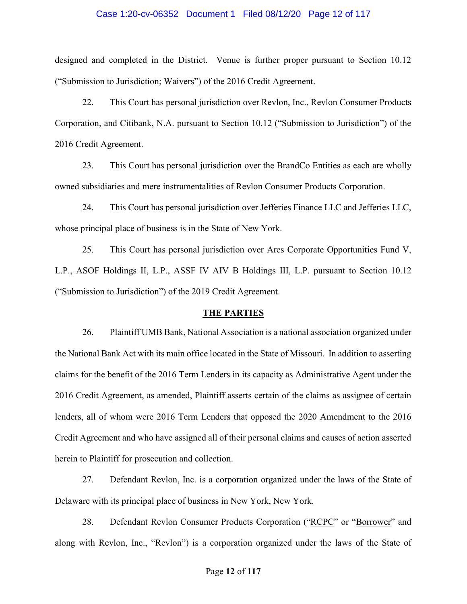#### Case 1:20-cv-06352 Document 1 Filed 08/12/20 Page 12 of 117

designed and completed in the District. Venue is further proper pursuant to Section 10.12 ("Submission to Jurisdiction; Waivers") of the 2016 Credit Agreement.

22. This Court has personal jurisdiction over Revlon, Inc., Revlon Consumer Products Corporation, and Citibank, N.A. pursuant to Section 10.12 ("Submission to Jurisdiction") of the 2016 Credit Agreement.

23. This Court has personal jurisdiction over the BrandCo Entities as each are wholly owned subsidiaries and mere instrumentalities of Revlon Consumer Products Corporation.

24. This Court has personal jurisdiction over Jefferies Finance LLC and Jefferies LLC, whose principal place of business is in the State of New York.

25. This Court has personal jurisdiction over Ares Corporate Opportunities Fund V, L.P., ASOF Holdings II, L.P., ASSF IV AIV B Holdings III, L.P. pursuant to Section 10.12 ("Submission to Jurisdiction") of the 2019 Credit Agreement.

## THE PARTIES

26. Plaintiff UMB Bank, National Association is a national association organized under the National Bank Act with its main office located in the State of Missouri. In addition to asserting claims for the benefit of the 2016 Term Lenders in its capacity as Administrative Agent under the 2016 Credit Agreement, as amended, Plaintiff asserts certain of the claims as assignee of certain lenders, all of whom were 2016 Term Lenders that opposed the 2020 Amendment to the 2016 Credit Agreement and who have assigned all of their personal claims and causes of action asserted herein to Plaintiff for prosecution and collection.

27. Defendant Revlon, Inc. is a corporation organized under the laws of the State of Delaware with its principal place of business in New York, New York.

28. Defendant Revlon Consumer Products Corporation ("RCPC" or "Borrower" and along with Revlon, Inc., "Revlon") is a corporation organized under the laws of the State of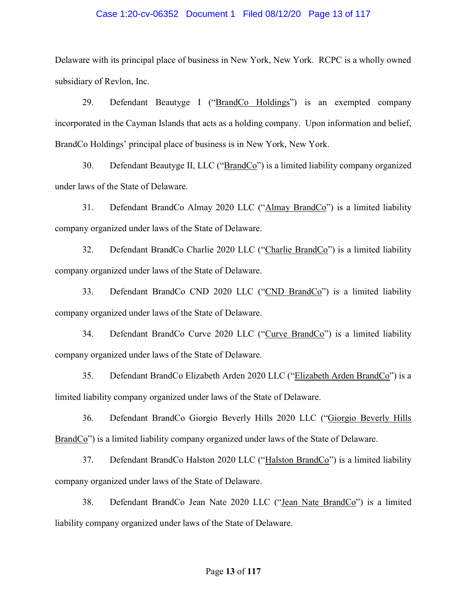## Case 1:20-cv-06352 Document 1 Filed 08/12/20 Page 13 of 117

Delaware with its principal place of business in New York, New York. RCPC is a wholly owned subsidiary of Revlon, Inc.

29. Defendant Beautyge I ("BrandCo Holdings") is an exempted company incorporated in the Cayman Islands that acts as a holding company. Upon information and belief, BrandCo Holdings' principal place of business is in New York, New York.

30. Defendant Beautyge II, LLC ("BrandCo") is a limited liability company organized under laws of the State of Delaware.

31. Defendant BrandCo Almay 2020 LLC ("Almay BrandCo") is a limited liability company organized under laws of the State of Delaware.

32. Defendant BrandCo Charlie 2020 LLC ("Charlie BrandCo") is a limited liability company organized under laws of the State of Delaware.

33. Defendant BrandCo CND 2020 LLC ("CND BrandCo") is a limited liability company organized under laws of the State of Delaware.

34. Defendant BrandCo Curve 2020 LLC ("Curve BrandCo") is a limited liability company organized under laws of the State of Delaware.

35. Defendant BrandCo Elizabeth Arden 2020 LLC ("Elizabeth Arden BrandCo") is a limited liability company organized under laws of the State of Delaware.

36. Defendant BrandCo Giorgio Beverly Hills 2020 LLC ("Giorgio Beverly Hills BrandCo") is a limited liability company organized under laws of the State of Delaware.

37. Defendant BrandCo Halston 2020 LLC ("Halston BrandCo") is a limited liability company organized under laws of the State of Delaware.

38. Defendant BrandCo Jean Nate 2020 LLC ("Jean Nate BrandCo") is a limited liability company organized under laws of the State of Delaware.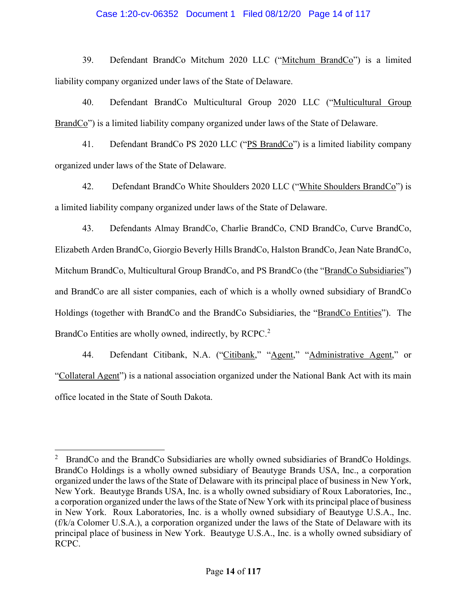# Case 1:20-cv-06352 Document 1 Filed 08/12/20 Page 14 of 117

39. Defendant BrandCo Mitchum 2020 LLC ("Mitchum BrandCo") is a limited liability company organized under laws of the State of Delaware.

40. Defendant BrandCo Multicultural Group 2020 LLC ("Multicultural Group BrandCo") is a limited liability company organized under laws of the State of Delaware.

41. Defendant BrandCo PS 2020 LLC ("PS BrandCo") is a limited liability company organized under laws of the State of Delaware.

42. Defendant BrandCo White Shoulders 2020 LLC ("White Shoulders BrandCo") is a limited liability company organized under laws of the State of Delaware.

43. Defendants Almay BrandCo, Charlie BrandCo, CND BrandCo, Curve BrandCo, Elizabeth Arden BrandCo, Giorgio Beverly Hills BrandCo, Halston BrandCo, Jean Nate BrandCo, Mitchum BrandCo, Multicultural Group BrandCo, and PS BrandCo (the "BrandCo Subsidiaries") and BrandCo are all sister companies, each of which is a wholly owned subsidiary of BrandCo Holdings (together with BrandCo and the BrandCo Subsidiaries, the "BrandCo Entities"). The BrandCo Entities are wholly owned, indirectly, by RCPC.<sup>2</sup>

44. Defendant Citibank, N.A. ("Citibank," "Agent," "Administrative Agent," or "Collateral Agent") is a national association organized under the National Bank Act with its main office located in the State of South Dakota.

<sup>2</sup> BrandCo and the BrandCo Subsidiaries are wholly owned subsidiaries of BrandCo Holdings. BrandCo Holdings is a wholly owned subsidiary of Beautyge Brands USA, Inc., a corporation organized under the laws of the State of Delaware with its principal place of business in New York, New York. Beautyge Brands USA, Inc. is a wholly owned subsidiary of Roux Laboratories, Inc., a corporation organized under the laws of the State of New York with its principal place of business in New York. Roux Laboratories, Inc. is a wholly owned subsidiary of Beautyge U.S.A., Inc. (f/k/a Colomer U.S.A.), a corporation organized under the laws of the State of Delaware with its principal place of business in New York. Beautyge U.S.A., Inc. is a wholly owned subsidiary of RCPC.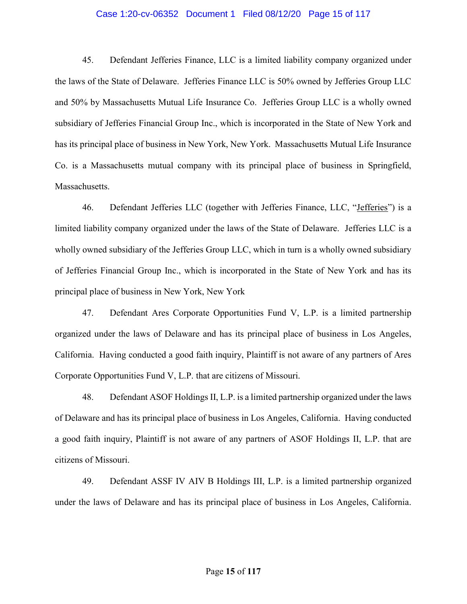### Case 1:20-cv-06352 Document 1 Filed 08/12/20 Page 15 of 117

45. Defendant Jefferies Finance, LLC is a limited liability company organized under the laws of the State of Delaware. Jefferies Finance LLC is 50% owned by Jefferies Group LLC and 50% by Massachusetts Mutual Life Insurance Co. Jefferies Group LLC is a wholly owned subsidiary of Jefferies Financial Group Inc., which is incorporated in the State of New York and has its principal place of business in New York, New York. Massachusetts Mutual Life Insurance Co. is a Massachusetts mutual company with its principal place of business in Springfield, Massachusetts.

46. Defendant Jefferies LLC (together with Jefferies Finance, LLC, "Jefferies") is a limited liability company organized under the laws of the State of Delaware. Jefferies LLC is a wholly owned subsidiary of the Jefferies Group LLC, which in turn is a wholly owned subsidiary of Jefferies Financial Group Inc., which is incorporated in the State of New York and has its principal place of business in New York, New York

47. Defendant Ares Corporate Opportunities Fund V, L.P. is a limited partnership organized under the laws of Delaware and has its principal place of business in Los Angeles, California. Having conducted a good faith inquiry, Plaintiff is not aware of any partners of Ares Corporate Opportunities Fund V, L.P. that are citizens of Missouri.

48. Defendant ASOF Holdings II, L.P. is a limited partnership organized under the laws of Delaware and has its principal place of business in Los Angeles, California. Having conducted a good faith inquiry, Plaintiff is not aware of any partners of ASOF Holdings II, L.P. that are citizens of Missouri.

49. Defendant ASSF IV AIV B Holdings III, L.P. is a limited partnership organized under the laws of Delaware and has its principal place of business in Los Angeles, California.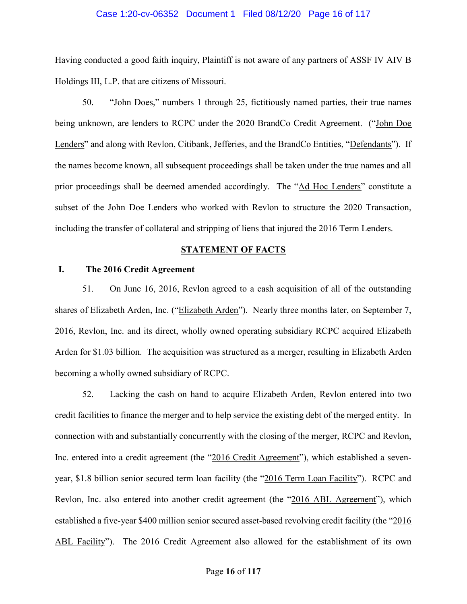#### Case 1:20-cv-06352 Document 1 Filed 08/12/20 Page 16 of 117

Having conducted a good faith inquiry, Plaintiff is not aware of any partners of ASSF IV AIV B Holdings III, L.P. that are citizens of Missouri.

50. "John Does," numbers 1 through 25, fictitiously named parties, their true names being unknown, are lenders to RCPC under the 2020 BrandCo Credit Agreement. ("John Doe Lenders" and along with Revlon, Citibank, Jefferies, and the BrandCo Entities, "Defendants"). If the names become known, all subsequent proceedings shall be taken under the true names and all prior proceedings shall be deemed amended accordingly. The "Ad Hoc Lenders" constitute a subset of the John Doe Lenders who worked with Revlon to structure the 2020 Transaction, including the transfer of collateral and stripping of liens that injured the 2016 Term Lenders.

# STATEMENT OF FACTS

# I. The 2016 Credit Agreement

51. On June 16, 2016, Revlon agreed to a cash acquisition of all of the outstanding shares of Elizabeth Arden, Inc. ("Elizabeth Arden"). Nearly three months later, on September 7, 2016, Revlon, Inc. and its direct, wholly owned operating subsidiary RCPC acquired Elizabeth Arden for \$1.03 billion. The acquisition was structured as a merger, resulting in Elizabeth Arden becoming a wholly owned subsidiary of RCPC.

52. Lacking the cash on hand to acquire Elizabeth Arden, Revlon entered into two credit facilities to finance the merger and to help service the existing debt of the merged entity. In connection with and substantially concurrently with the closing of the merger, RCPC and Revlon, Inc. entered into a credit agreement (the "2016 Credit Agreement"), which established a sevenyear, \$1.8 billion senior secured term loan facility (the "2016 Term Loan Facility"). RCPC and Revlon, Inc. also entered into another credit agreement (the "2016 ABL Agreement"), which established a five-year \$400 million senior secured asset-based revolving credit facility (the "2016 ABL Facility"). The 2016 Credit Agreement also allowed for the establishment of its own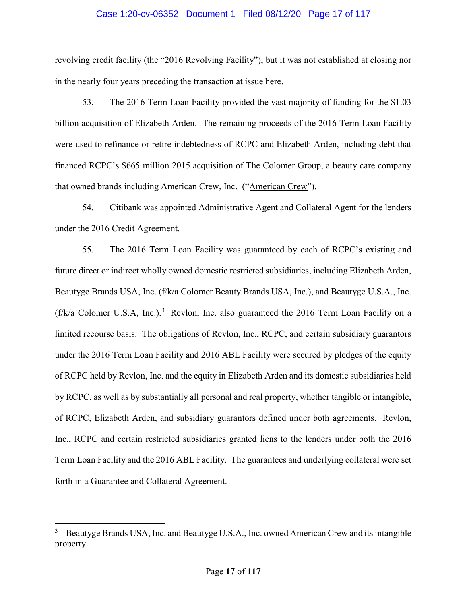#### Case 1:20-cv-06352 Document 1 Filed 08/12/20 Page 17 of 117

revolving credit facility (the "2016 Revolving Facility"), but it was not established at closing nor in the nearly four years preceding the transaction at issue here.

53. The 2016 Term Loan Facility provided the vast majority of funding for the \$1.03 billion acquisition of Elizabeth Arden. The remaining proceeds of the 2016 Term Loan Facility were used to refinance or retire indebtedness of RCPC and Elizabeth Arden, including debt that financed RCPC's \$665 million 2015 acquisition of The Colomer Group, a beauty care company that owned brands including American Crew, Inc. ("American Crew").

54. Citibank was appointed Administrative Agent and Collateral Agent for the lenders under the 2016 Credit Agreement.

55. The 2016 Term Loan Facility was guaranteed by each of RCPC's existing and future direct or indirect wholly owned domestic restricted subsidiaries, including Elizabeth Arden, Beautyge Brands USA, Inc. (f/k/a Colomer Beauty Brands USA, Inc.), and Beautyge U.S.A., Inc.  $(f/k/a$  Colomer U.S.A, Inc.).<sup>3</sup> Revlon, Inc. also guaranteed the 2016 Term Loan Facility on a limited recourse basis. The obligations of Revlon, Inc., RCPC, and certain subsidiary guarantors under the 2016 Term Loan Facility and 2016 ABL Facility were secured by pledges of the equity of RCPC held by Revlon, Inc. and the equity in Elizabeth Arden and its domestic subsidiaries held by RCPC, as well as by substantially all personal and real property, whether tangible or intangible, of RCPC, Elizabeth Arden, and subsidiary guarantors defined under both agreements. Revlon, Inc., RCPC and certain restricted subsidiaries granted liens to the lenders under both the 2016 Term Loan Facility and the 2016 ABL Facility. The guarantees and underlying collateral were set forth in a Guarantee and Collateral Agreement.

<sup>&</sup>lt;sup>3</sup> Beautyge Brands USA, Inc. and Beautyge U.S.A., Inc. owned American Crew and its intangible property.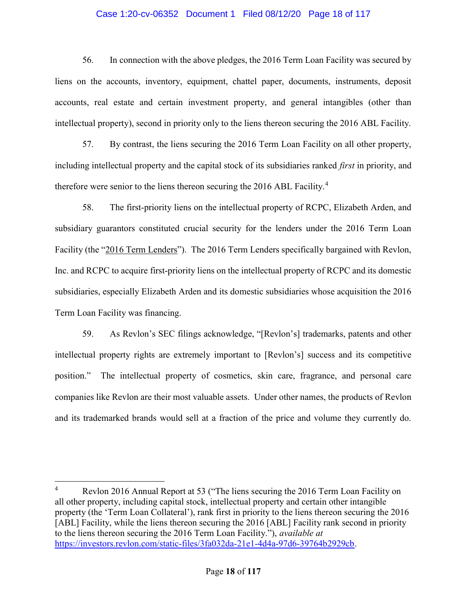# Case 1:20-cv-06352 Document 1 Filed 08/12/20 Page 18 of 117

56. In connection with the above pledges, the 2016 Term Loan Facility was secured by liens on the accounts, inventory, equipment, chattel paper, documents, instruments, deposit accounts, real estate and certain investment property, and general intangibles (other than intellectual property), second in priority only to the liens thereon securing the 2016 ABL Facility.

57. By contrast, the liens securing the 2016 Term Loan Facility on all other property, including intellectual property and the capital stock of its subsidiaries ranked first in priority, and therefore were senior to the liens thereon securing the 2016 ABL Facility.<sup>4</sup>

58. The first-priority liens on the intellectual property of RCPC, Elizabeth Arden, and subsidiary guarantors constituted crucial security for the lenders under the 2016 Term Loan Facility (the "2016 Term Lenders"). The 2016 Term Lenders specifically bargained with Revlon, Inc. and RCPC to acquire first-priority liens on the intellectual property of RCPC and its domestic subsidiaries, especially Elizabeth Arden and its domestic subsidiaries whose acquisition the 2016 Term Loan Facility was financing.

59. As Revlon's SEC filings acknowledge, "[Revlon's] trademarks, patents and other intellectual property rights are extremely important to [Revlon's] success and its competitive position." The intellectual property of cosmetics, skin care, fragrance, and personal care companies like Revlon are their most valuable assets. Under other names, the products of Revlon and its trademarked brands would sell at a fraction of the price and volume they currently do.

<sup>4</sup> Revlon 2016 Annual Report at 53 ("The liens securing the 2016 Term Loan Facility on all other property, including capital stock, intellectual property and certain other intangible property (the 'Term Loan Collateral'), rank first in priority to the liens thereon securing the 2016 [ABL] Facility, while the liens thereon securing the 2016 [ABL] Facility rank second in priority to the liens thereon securing the 2016 Term Loan Facility."), available at https://investors.revlon.com/static-files/3fa032da-21e1-4d4a-97d6-39764b2929cb.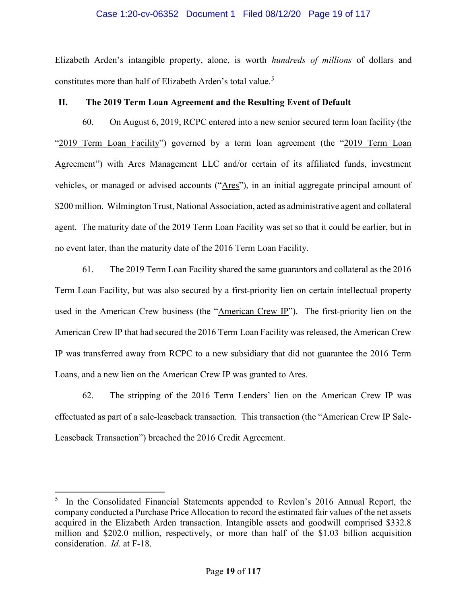## Case 1:20-cv-06352 Document 1 Filed 08/12/20 Page 19 of 117

Elizabeth Arden's intangible property, alone, is worth hundreds of millions of dollars and constitutes more than half of Elizabeth Arden's total value.<sup>5</sup>

# II. The 2019 Term Loan Agreement and the Resulting Event of Default

60. On August 6, 2019, RCPC entered into a new senior secured term loan facility (the "2019 Term Loan Facility") governed by a term loan agreement (the "2019 Term Loan Agreement") with Ares Management LLC and/or certain of its affiliated funds, investment vehicles, or managed or advised accounts ("Ares"), in an initial aggregate principal amount of \$200 million. Wilmington Trust, National Association, acted as administrative agent and collateral agent. The maturity date of the 2019 Term Loan Facility was set so that it could be earlier, but in no event later, than the maturity date of the 2016 Term Loan Facility.

61. The 2019 Term Loan Facility shared the same guarantors and collateral as the 2016 Term Loan Facility, but was also secured by a first-priority lien on certain intellectual property used in the American Crew business (the "American Crew IP"). The first-priority lien on the American Crew IP that had secured the 2016 Term Loan Facility was released, the American Crew IP was transferred away from RCPC to a new subsidiary that did not guarantee the 2016 Term Loans, and a new lien on the American Crew IP was granted to Ares.

62. The stripping of the 2016 Term Lenders' lien on the American Crew IP was effectuated as part of a sale-leaseback transaction. This transaction (the "American Crew IP Sale-Leaseback Transaction") breached the 2016 Credit Agreement.

<sup>&</sup>lt;sup>5</sup> In the Consolidated Financial Statements appended to Revlon's 2016 Annual Report, the company conducted a Purchase Price Allocation to record the estimated fair values of the net assets acquired in the Elizabeth Arden transaction. Intangible assets and goodwill comprised \$332.8 million and \$202.0 million, respectively, or more than half of the \$1.03 billion acquisition consideration. Id. at F-18.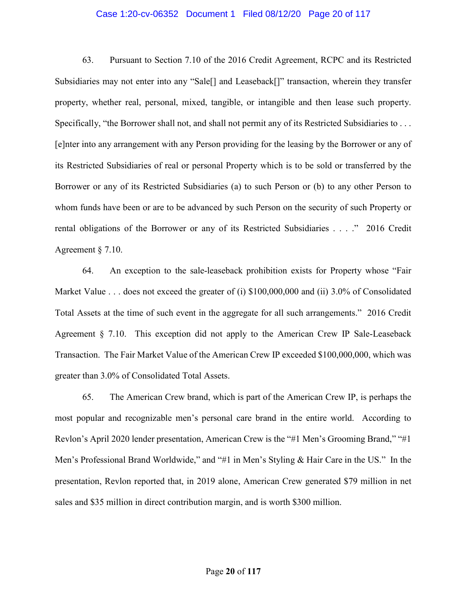#### Case 1:20-cv-06352 Document 1 Filed 08/12/20 Page 20 of 117

63. Pursuant to Section 7.10 of the 2016 Credit Agreement, RCPC and its Restricted Subsidiaries may not enter into any "Sale[] and Leaseback[]" transaction, wherein they transfer property, whether real, personal, mixed, tangible, or intangible and then lease such property. Specifically, "the Borrower shall not, and shall not permit any of its Restricted Subsidiaries to . . . [e]nter into any arrangement with any Person providing for the leasing by the Borrower or any of its Restricted Subsidiaries of real or personal Property which is to be sold or transferred by the Borrower or any of its Restricted Subsidiaries (a) to such Person or (b) to any other Person to whom funds have been or are to be advanced by such Person on the security of such Property or rental obligations of the Borrower or any of its Restricted Subsidiaries . . . ." 2016 Credit Agreement § 7.10.

64. An exception to the sale-leaseback prohibition exists for Property whose "Fair Market Value . . . does not exceed the greater of (i) \$100,000,000 and (ii) 3.0% of Consolidated Total Assets at the time of such event in the aggregate for all such arrangements." 2016 Credit Agreement § 7.10. This exception did not apply to the American Crew IP Sale-Leaseback Transaction. The Fair Market Value of the American Crew IP exceeded \$100,000,000, which was greater than 3.0% of Consolidated Total Assets.

65. The American Crew brand, which is part of the American Crew IP, is perhaps the most popular and recognizable men's personal care brand in the entire world. According to Revlon's April 2020 lender presentation, American Crew is the "#1 Men's Grooming Brand," "#1 Men's Professional Brand Worldwide," and "#1 in Men's Styling & Hair Care in the US." In the presentation, Revlon reported that, in 2019 alone, American Crew generated \$79 million in net sales and \$35 million in direct contribution margin, and is worth \$300 million.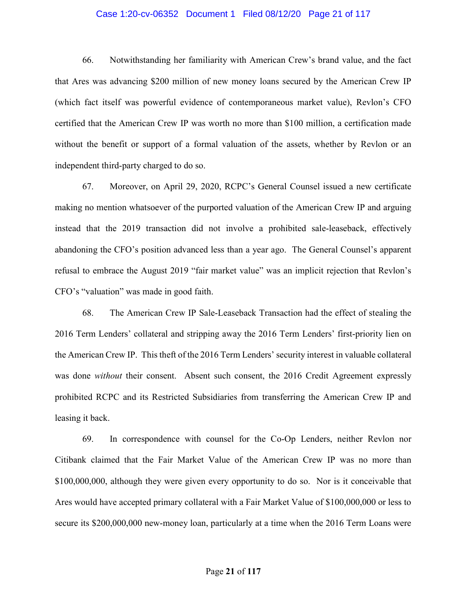#### Case 1:20-cv-06352 Document 1 Filed 08/12/20 Page 21 of 117

66. Notwithstanding her familiarity with American Crew's brand value, and the fact that Ares was advancing \$200 million of new money loans secured by the American Crew IP (which fact itself was powerful evidence of contemporaneous market value), Revlon's CFO certified that the American Crew IP was worth no more than \$100 million, a certification made without the benefit or support of a formal valuation of the assets, whether by Revlon or an independent third-party charged to do so.

67. Moreover, on April 29, 2020, RCPC's General Counsel issued a new certificate making no mention whatsoever of the purported valuation of the American Crew IP and arguing instead that the 2019 transaction did not involve a prohibited sale-leaseback, effectively abandoning the CFO's position advanced less than a year ago. The General Counsel's apparent refusal to embrace the August 2019 "fair market value" was an implicit rejection that Revlon's CFO's "valuation" was made in good faith.

68. The American Crew IP Sale-Leaseback Transaction had the effect of stealing the 2016 Term Lenders' collateral and stripping away the 2016 Term Lenders' first-priority lien on the American Crew IP. This theft of the 2016 Term Lenders' security interest in valuable collateral was done without their consent. Absent such consent, the 2016 Credit Agreement expressly prohibited RCPC and its Restricted Subsidiaries from transferring the American Crew IP and leasing it back.

69. In correspondence with counsel for the Co-Op Lenders, neither Revlon nor Citibank claimed that the Fair Market Value of the American Crew IP was no more than \$100,000,000, although they were given every opportunity to do so. Nor is it conceivable that Ares would have accepted primary collateral with a Fair Market Value of \$100,000,000 or less to secure its \$200,000,000 new-money loan, particularly at a time when the 2016 Term Loans were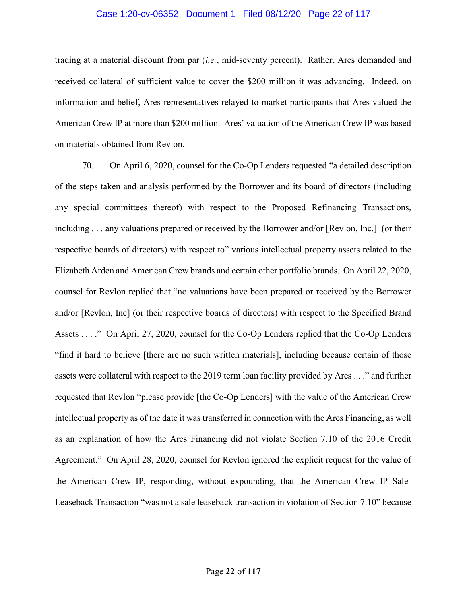#### Case 1:20-cv-06352 Document 1 Filed 08/12/20 Page 22 of 117

trading at a material discount from par  $(i.e., mid-sevent$  percent). Rather, Ares demanded and received collateral of sufficient value to cover the \$200 million it was advancing. Indeed, on information and belief, Ares representatives relayed to market participants that Ares valued the American Crew IP at more than \$200 million. Ares' valuation of the American Crew IP was based on materials obtained from Revlon.

70. On April 6, 2020, counsel for the Co-Op Lenders requested "a detailed description of the steps taken and analysis performed by the Borrower and its board of directors (including any special committees thereof) with respect to the Proposed Refinancing Transactions, including . . . any valuations prepared or received by the Borrower and/or [Revlon, Inc.] (or their respective boards of directors) with respect to" various intellectual property assets related to the Elizabeth Arden and American Crew brands and certain other portfolio brands. On April 22, 2020, counsel for Revlon replied that "no valuations have been prepared or received by the Borrower and/or [Revlon, Inc] (or their respective boards of directors) with respect to the Specified Brand Assets . . . ." On April 27, 2020, counsel for the Co-Op Lenders replied that the Co-Op Lenders "find it hard to believe [there are no such written materials], including because certain of those assets were collateral with respect to the 2019 term loan facility provided by Ares . . ." and further requested that Revlon "please provide [the Co-Op Lenders] with the value of the American Crew intellectual property as of the date it was transferred in connection with the Ares Financing, as well as an explanation of how the Ares Financing did not violate Section 7.10 of the 2016 Credit Agreement." On April 28, 2020, counsel for Revlon ignored the explicit request for the value of the American Crew IP, responding, without expounding, that the American Crew IP Sale-Leaseback Transaction "was not a sale leaseback transaction in violation of Section 7.10" because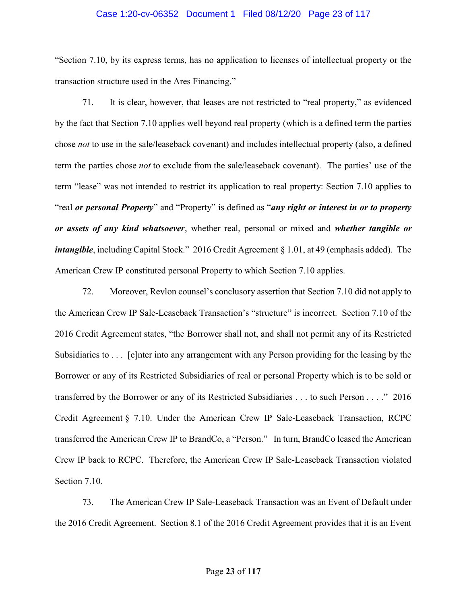### Case 1:20-cv-06352 Document 1 Filed 08/12/20 Page 23 of 117

"Section 7.10, by its express terms, has no application to licenses of intellectual property or the transaction structure used in the Ares Financing."

71. It is clear, however, that leases are not restricted to "real property," as evidenced by the fact that Section 7.10 applies well beyond real property (which is a defined term the parties chose not to use in the sale/leaseback covenant) and includes intellectual property (also, a defined term the parties chose not to exclude from the sale/leaseback covenant). The parties' use of the term "lease" was not intended to restrict its application to real property: Section 7.10 applies to "real or personal Property" and "Property" is defined as "any right or interest in or to property or assets of any kind whatsoever, whether real, personal or mixed and whether tangible or intangible, including Capital Stock." 2016 Credit Agreement § 1.01, at 49 (emphasis added). The American Crew IP constituted personal Property to which Section 7.10 applies.

72. Moreover, Revlon counsel's conclusory assertion that Section 7.10 did not apply to the American Crew IP Sale-Leaseback Transaction's "structure" is incorrect. Section 7.10 of the 2016 Credit Agreement states, "the Borrower shall not, and shall not permit any of its Restricted Subsidiaries to . . . [e]nter into any arrangement with any Person providing for the leasing by the Borrower or any of its Restricted Subsidiaries of real or personal Property which is to be sold or transferred by the Borrower or any of its Restricted Subsidiaries . . . to such Person . . . ." 2016 Credit Agreement § 7.10. Under the American Crew IP Sale-Leaseback Transaction, RCPC transferred the American Crew IP to BrandCo, a "Person." In turn, BrandCo leased the American Crew IP back to RCPC. Therefore, the American Crew IP Sale-Leaseback Transaction violated Section 7.10.

73. The American Crew IP Sale-Leaseback Transaction was an Event of Default under the 2016 Credit Agreement. Section 8.1 of the 2016 Credit Agreement provides that it is an Event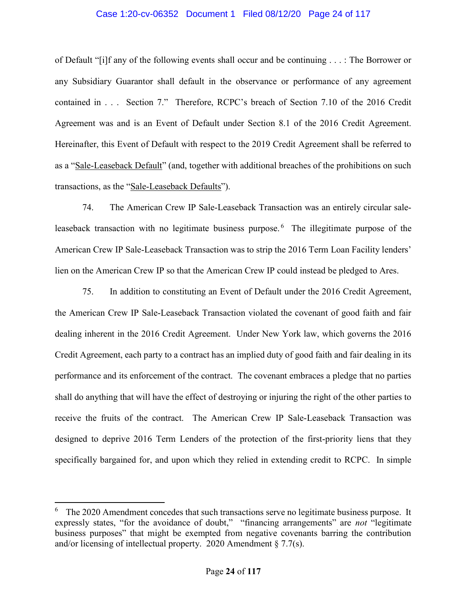## Case 1:20-cv-06352 Document 1 Filed 08/12/20 Page 24 of 117

of Default "[i]f any of the following events shall occur and be continuing . . . : The Borrower or any Subsidiary Guarantor shall default in the observance or performance of any agreement contained in . . . Section 7." Therefore, RCPC's breach of Section 7.10 of the 2016 Credit Agreement was and is an Event of Default under Section 8.1 of the 2016 Credit Agreement. Hereinafter, this Event of Default with respect to the 2019 Credit Agreement shall be referred to as a "Sale-Leaseback Default" (and, together with additional breaches of the prohibitions on such transactions, as the "Sale-Leaseback Defaults").

74. The American Crew IP Sale-Leaseback Transaction was an entirely circular saleleaseback transaction with no legitimate business purpose.  $6$  The illegitimate purpose of the American Crew IP Sale-Leaseback Transaction was to strip the 2016 Term Loan Facility lenders' lien on the American Crew IP so that the American Crew IP could instead be pledged to Ares.

75. In addition to constituting an Event of Default under the 2016 Credit Agreement, the American Crew IP Sale-Leaseback Transaction violated the covenant of good faith and fair dealing inherent in the 2016 Credit Agreement. Under New York law, which governs the 2016 Credit Agreement, each party to a contract has an implied duty of good faith and fair dealing in its performance and its enforcement of the contract. The covenant embraces a pledge that no parties shall do anything that will have the effect of destroying or injuring the right of the other parties to receive the fruits of the contract. The American Crew IP Sale-Leaseback Transaction was designed to deprive 2016 Term Lenders of the protection of the first-priority liens that they specifically bargained for, and upon which they relied in extending credit to RCPC. In simple

 $6$  The 2020 Amendment concedes that such transactions serve no legitimate business purpose. It expressly states, "for the avoidance of doubt," "financing arrangements" are *not* "legitimate business purposes" that might be exempted from negative covenants barring the contribution and/or licensing of intellectual property. 2020 Amendment § 7.7(s).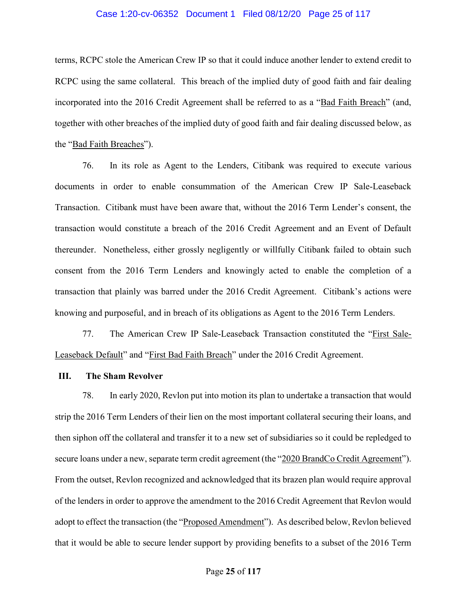#### Case 1:20-cv-06352 Document 1 Filed 08/12/20 Page 25 of 117

terms, RCPC stole the American Crew IP so that it could induce another lender to extend credit to RCPC using the same collateral. This breach of the implied duty of good faith and fair dealing incorporated into the 2016 Credit Agreement shall be referred to as a "Bad Faith Breach" (and, together with other breaches of the implied duty of good faith and fair dealing discussed below, as the "Bad Faith Breaches").

76. In its role as Agent to the Lenders, Citibank was required to execute various documents in order to enable consummation of the American Crew IP Sale-Leaseback Transaction. Citibank must have been aware that, without the 2016 Term Lender's consent, the transaction would constitute a breach of the 2016 Credit Agreement and an Event of Default thereunder. Nonetheless, either grossly negligently or willfully Citibank failed to obtain such consent from the 2016 Term Lenders and knowingly acted to enable the completion of a transaction that plainly was barred under the 2016 Credit Agreement. Citibank's actions were knowing and purposeful, and in breach of its obligations as Agent to the 2016 Term Lenders.

77. The American Crew IP Sale-Leaseback Transaction constituted the "First Sale-Leaseback Default" and "First Bad Faith Breach" under the 2016 Credit Agreement.

#### III. The Sham Revolver

78. In early 2020, Revlon put into motion its plan to undertake a transaction that would strip the 2016 Term Lenders of their lien on the most important collateral securing their loans, and then siphon off the collateral and transfer it to a new set of subsidiaries so it could be repledged to secure loans under a new, separate term credit agreement (the "2020 BrandCo Credit Agreement"). From the outset, Revlon recognized and acknowledged that its brazen plan would require approval of the lenders in order to approve the amendment to the 2016 Credit Agreement that Revlon would adopt to effect the transaction (the "Proposed Amendment"). As described below, Revlon believed that it would be able to secure lender support by providing benefits to a subset of the 2016 Term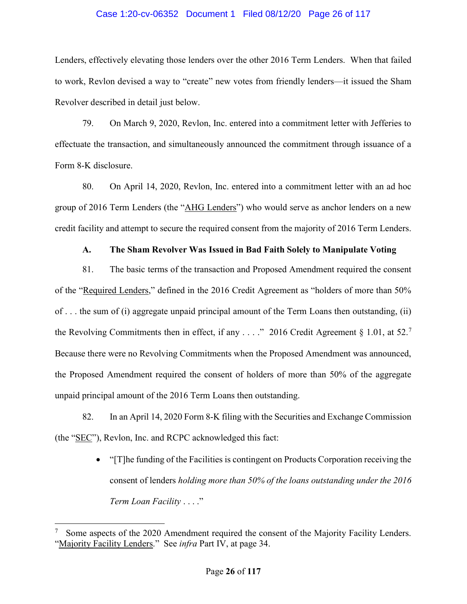# Case 1:20-cv-06352 Document 1 Filed 08/12/20 Page 26 of 117

Lenders, effectively elevating those lenders over the other 2016 Term Lenders. When that failed to work, Revlon devised a way to "create" new votes from friendly lenders—it issued the Sham Revolver described in detail just below.

79. On March 9, 2020, Revlon, Inc. entered into a commitment letter with Jefferies to effectuate the transaction, and simultaneously announced the commitment through issuance of a Form 8-K disclosure.

80. On April 14, 2020, Revlon, Inc. entered into a commitment letter with an ad hoc group of 2016 Term Lenders (the "AHG Lenders") who would serve as anchor lenders on a new credit facility and attempt to secure the required consent from the majority of 2016 Term Lenders.

# A. The Sham Revolver Was Issued in Bad Faith Solely to Manipulate Voting

81. The basic terms of the transaction and Proposed Amendment required the consent of the "Required Lenders," defined in the 2016 Credit Agreement as "holders of more than 50% of . . . the sum of (i) aggregate unpaid principal amount of the Term Loans then outstanding, (ii) the Revolving Commitments then in effect, if any  $\dots$  ." 2016 Credit Agreement § 1.01, at 52.<sup>7</sup> Because there were no Revolving Commitments when the Proposed Amendment was announced, the Proposed Amendment required the consent of holders of more than 50% of the aggregate unpaid principal amount of the 2016 Term Loans then outstanding.

82. In an April 14, 2020 Form 8-K filing with the Securities and Exchange Commission (the "SEC"), Revlon, Inc. and RCPC acknowledged this fact:

> "[T]he funding of the Facilities is contingent on Products Corporation receiving the consent of lenders holding more than 50% of the loans outstanding under the 2016 Term Loan Facility . . . ."

<sup>7</sup> Some aspects of the 2020 Amendment required the consent of the Majority Facility Lenders. "Majority Facility Lenders." See *infra* Part IV, at page 34.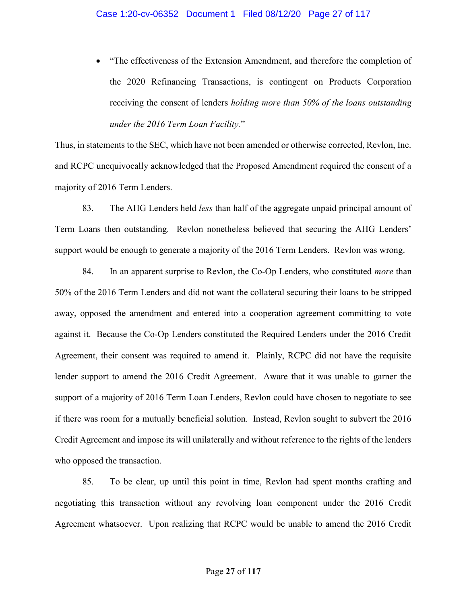• "The effectiveness of the Extension Amendment, and therefore the completion of the 2020 Refinancing Transactions, is contingent on Products Corporation receiving the consent of lenders holding more than 50% of the loans outstanding under the 2016 Term Loan Facility."

Thus, in statements to the SEC, which have not been amended or otherwise corrected, Revlon, Inc. and RCPC unequivocally acknowledged that the Proposed Amendment required the consent of a majority of 2016 Term Lenders.

83. The AHG Lenders held less than half of the aggregate unpaid principal amount of Term Loans then outstanding. Revlon nonetheless believed that securing the AHG Lenders' support would be enough to generate a majority of the 2016 Term Lenders. Revlon was wrong.

84. In an apparent surprise to Revlon, the Co-Op Lenders, who constituted *more* than 50% of the 2016 Term Lenders and did not want the collateral securing their loans to be stripped away, opposed the amendment and entered into a cooperation agreement committing to vote against it. Because the Co-Op Lenders constituted the Required Lenders under the 2016 Credit Agreement, their consent was required to amend it. Plainly, RCPC did not have the requisite lender support to amend the 2016 Credit Agreement. Aware that it was unable to garner the support of a majority of 2016 Term Loan Lenders, Revlon could have chosen to negotiate to see if there was room for a mutually beneficial solution. Instead, Revlon sought to subvert the 2016 Credit Agreement and impose its will unilaterally and without reference to the rights of the lenders who opposed the transaction.

85. To be clear, up until this point in time, Revlon had spent months crafting and negotiating this transaction without any revolving loan component under the 2016 Credit Agreement whatsoever. Upon realizing that RCPC would be unable to amend the 2016 Credit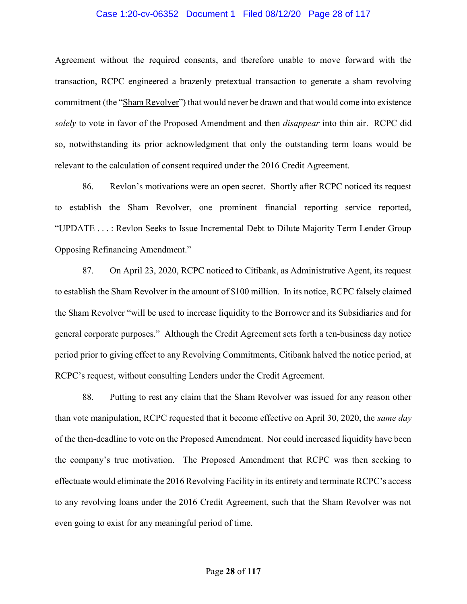#### Case 1:20-cv-06352 Document 1 Filed 08/12/20 Page 28 of 117

Agreement without the required consents, and therefore unable to move forward with the transaction, RCPC engineered a brazenly pretextual transaction to generate a sham revolving commitment (the "Sham Revolver") that would never be drawn and that would come into existence solely to vote in favor of the Proposed Amendment and then *disappear* into thin air. RCPC did so, notwithstanding its prior acknowledgment that only the outstanding term loans would be relevant to the calculation of consent required under the 2016 Credit Agreement.

86. Revlon's motivations were an open secret. Shortly after RCPC noticed its request to establish the Sham Revolver, one prominent financial reporting service reported, "UPDATE . . . : Revlon Seeks to Issue Incremental Debt to Dilute Majority Term Lender Group Opposing Refinancing Amendment."

87. On April 23, 2020, RCPC noticed to Citibank, as Administrative Agent, its request to establish the Sham Revolver in the amount of \$100 million. In its notice, RCPC falsely claimed the Sham Revolver "will be used to increase liquidity to the Borrower and its Subsidiaries and for general corporate purposes." Although the Credit Agreement sets forth a ten-business day notice period prior to giving effect to any Revolving Commitments, Citibank halved the notice period, at RCPC's request, without consulting Lenders under the Credit Agreement.

88. Putting to rest any claim that the Sham Revolver was issued for any reason other than vote manipulation, RCPC requested that it become effective on April 30, 2020, the *same day* of the then-deadline to vote on the Proposed Amendment. Nor could increased liquidity have been the company's true motivation. The Proposed Amendment that RCPC was then seeking to effectuate would eliminate the 2016 Revolving Facility in its entirety and terminate RCPC's access to any revolving loans under the 2016 Credit Agreement, such that the Sham Revolver was not even going to exist for any meaningful period of time.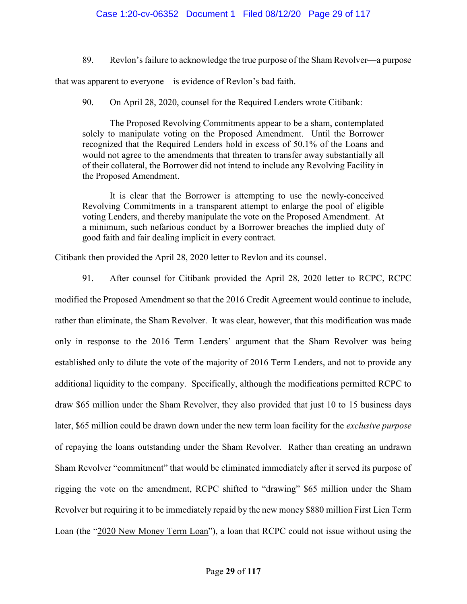# Case 1:20-cv-06352 Document 1 Filed 08/12/20 Page 29 of 117

89. Revlon's failure to acknowledge the true purpose of the Sham Revolver—a purpose

that was apparent to everyone—is evidence of Revlon's bad faith.

90. On April 28, 2020, counsel for the Required Lenders wrote Citibank:

The Proposed Revolving Commitments appear to be a sham, contemplated solely to manipulate voting on the Proposed Amendment. Until the Borrower recognized that the Required Lenders hold in excess of 50.1% of the Loans and would not agree to the amendments that threaten to transfer away substantially all of their collateral, the Borrower did not intend to include any Revolving Facility in the Proposed Amendment.

It is clear that the Borrower is attempting to use the newly-conceived Revolving Commitments in a transparent attempt to enlarge the pool of eligible voting Lenders, and thereby manipulate the vote on the Proposed Amendment. At a minimum, such nefarious conduct by a Borrower breaches the implied duty of good faith and fair dealing implicit in every contract.

Citibank then provided the April 28, 2020 letter to Revlon and its counsel.

91. After counsel for Citibank provided the April 28, 2020 letter to RCPC, RCPC modified the Proposed Amendment so that the 2016 Credit Agreement would continue to include, rather than eliminate, the Sham Revolver. It was clear, however, that this modification was made only in response to the 2016 Term Lenders' argument that the Sham Revolver was being established only to dilute the vote of the majority of 2016 Term Lenders, and not to provide any additional liquidity to the company. Specifically, although the modifications permitted RCPC to draw \$65 million under the Sham Revolver, they also provided that just 10 to 15 business days later, \$65 million could be drawn down under the new term loan facility for the exclusive purpose of repaying the loans outstanding under the Sham Revolver. Rather than creating an undrawn Sham Revolver "commitment" that would be eliminated immediately after it served its purpose of rigging the vote on the amendment, RCPC shifted to "drawing" \$65 million under the Sham Revolver but requiring it to be immediately repaid by the new money \$880 million First Lien Term Loan (the "2020 New Money Term Loan"), a loan that RCPC could not issue without using the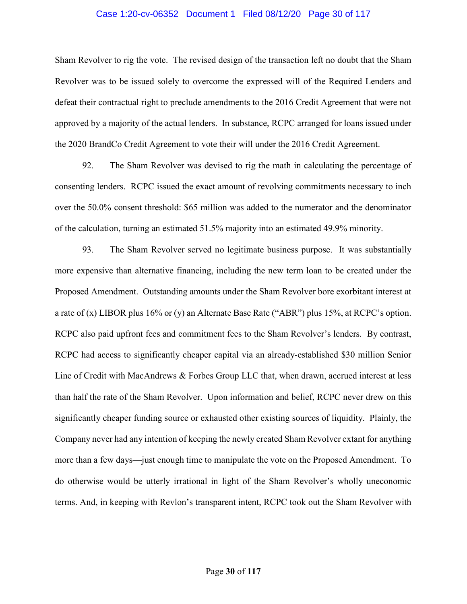#### Case 1:20-cv-06352 Document 1 Filed 08/12/20 Page 30 of 117

Sham Revolver to rig the vote. The revised design of the transaction left no doubt that the Sham Revolver was to be issued solely to overcome the expressed will of the Required Lenders and defeat their contractual right to preclude amendments to the 2016 Credit Agreement that were not approved by a majority of the actual lenders. In substance, RCPC arranged for loans issued under the 2020 BrandCo Credit Agreement to vote their will under the 2016 Credit Agreement.

92. The Sham Revolver was devised to rig the math in calculating the percentage of consenting lenders. RCPC issued the exact amount of revolving commitments necessary to inch over the 50.0% consent threshold: \$65 million was added to the numerator and the denominator of the calculation, turning an estimated 51.5% majority into an estimated 49.9% minority.

93. The Sham Revolver served no legitimate business purpose. It was substantially more expensive than alternative financing, including the new term loan to be created under the Proposed Amendment. Outstanding amounts under the Sham Revolver bore exorbitant interest at a rate of (x) LIBOR plus 16% or (y) an Alternate Base Rate (" $\triangle$ BR") plus 15%, at RCPC's option. RCPC also paid upfront fees and commitment fees to the Sham Revolver's lenders. By contrast, RCPC had access to significantly cheaper capital via an already-established \$30 million Senior Line of Credit with MacAndrews & Forbes Group LLC that, when drawn, accrued interest at less than half the rate of the Sham Revolver. Upon information and belief, RCPC never drew on this significantly cheaper funding source or exhausted other existing sources of liquidity. Plainly, the Company never had any intention of keeping the newly created Sham Revolver extant for anything more than a few days—just enough time to manipulate the vote on the Proposed Amendment. To do otherwise would be utterly irrational in light of the Sham Revolver's wholly uneconomic terms. And, in keeping with Revlon's transparent intent, RCPC took out the Sham Revolver with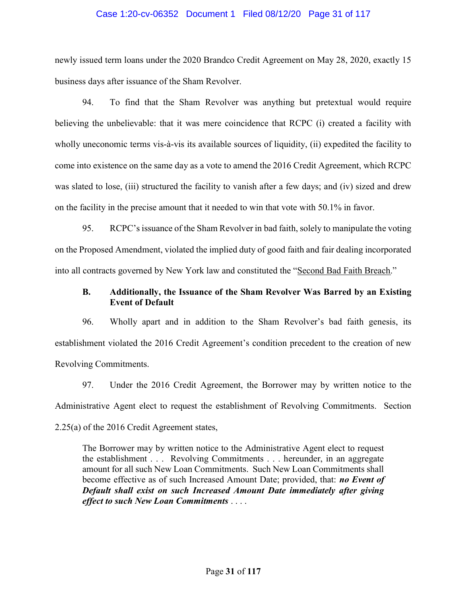## Case 1:20-cv-06352 Document 1 Filed 08/12/20 Page 31 of 117

newly issued term loans under the 2020 Brandco Credit Agreement on May 28, 2020, exactly 15 business days after issuance of the Sham Revolver.

94. To find that the Sham Revolver was anything but pretextual would require believing the unbelievable: that it was mere coincidence that RCPC (i) created a facility with wholly uneconomic terms vis-à-vis its available sources of liquidity, (ii) expedited the facility to come into existence on the same day as a vote to amend the 2016 Credit Agreement, which RCPC was slated to lose, (iii) structured the facility to vanish after a few days; and (iv) sized and drew on the facility in the precise amount that it needed to win that vote with 50.1% in favor.

95. RCPC's issuance of the Sham Revolver in bad faith, solely to manipulate the voting on the Proposed Amendment, violated the implied duty of good faith and fair dealing incorporated into all contracts governed by New York law and constituted the "Second Bad Faith Breach."

# B. Additionally, the Issuance of the Sham Revolver Was Barred by an Existing Event of Default

96. Wholly apart and in addition to the Sham Revolver's bad faith genesis, its establishment violated the 2016 Credit Agreement's condition precedent to the creation of new Revolving Commitments.

97. Under the 2016 Credit Agreement, the Borrower may by written notice to the Administrative Agent elect to request the establishment of Revolving Commitments. Section 2.25(a) of the 2016 Credit Agreement states,

The Borrower may by written notice to the Administrative Agent elect to request the establishment . . . Revolving Commitments . . . hereunder, in an aggregate amount for all such New Loan Commitments. Such New Loan Commitments shall become effective as of such Increased Amount Date; provided, that: no Event of Default shall exist on such Increased Amount Date immediately after giving effect to such New Loan Commitments . . . .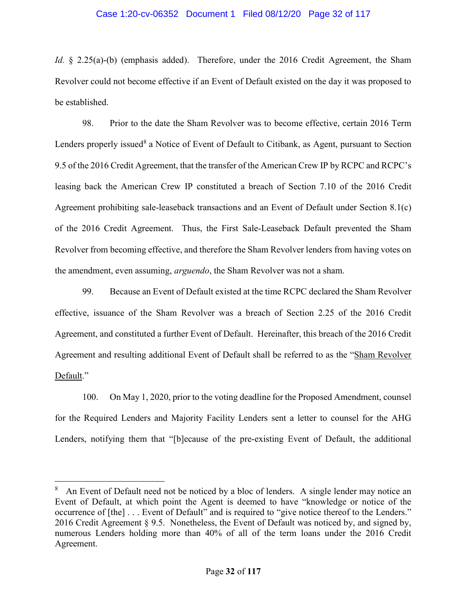## Case 1:20-cv-06352 Document 1 Filed 08/12/20 Page 32 of 117

Id. § 2.25(a)-(b) (emphasis added). Therefore, under the 2016 Credit Agreement, the Sham Revolver could not become effective if an Event of Default existed on the day it was proposed to be established.

98. Prior to the date the Sham Revolver was to become effective, certain 2016 Term Lenders properly issued<sup>8</sup> a Notice of Event of Default to Citibank, as Agent, pursuant to Section 9.5 of the 2016 Credit Agreement, that the transfer of the American Crew IP by RCPC and RCPC's leasing back the American Crew IP constituted a breach of Section 7.10 of the 2016 Credit Agreement prohibiting sale-leaseback transactions and an Event of Default under Section 8.1(c) of the 2016 Credit Agreement. Thus, the First Sale-Leaseback Default prevented the Sham Revolver from becoming effective, and therefore the Sham Revolver lenders from having votes on the amendment, even assuming, arguendo, the Sham Revolver was not a sham.

99. Because an Event of Default existed at the time RCPC declared the Sham Revolver effective, issuance of the Sham Revolver was a breach of Section 2.25 of the 2016 Credit Agreement, and constituted a further Event of Default. Hereinafter, this breach of the 2016 Credit Agreement and resulting additional Event of Default shall be referred to as the "Sham Revolver Default."

100. On May 1, 2020, prior to the voting deadline for the Proposed Amendment, counsel for the Required Lenders and Majority Facility Lenders sent a letter to counsel for the AHG Lenders, notifying them that "[b]ecause of the pre-existing Event of Default, the additional

<sup>8</sup> An Event of Default need not be noticed by a bloc of lenders. A single lender may notice an Event of Default, at which point the Agent is deemed to have "knowledge or notice of the occurrence of [the] . . . Event of Default" and is required to "give notice thereof to the Lenders." 2016 Credit Agreement § 9.5. Nonetheless, the Event of Default was noticed by, and signed by, numerous Lenders holding more than 40% of all of the term loans under the 2016 Credit Agreement.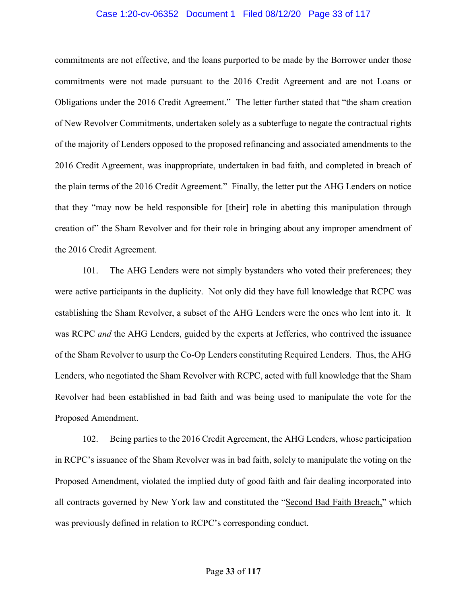#### Case 1:20-cv-06352 Document 1 Filed 08/12/20 Page 33 of 117

commitments are not effective, and the loans purported to be made by the Borrower under those commitments were not made pursuant to the 2016 Credit Agreement and are not Loans or Obligations under the 2016 Credit Agreement." The letter further stated that "the sham creation of New Revolver Commitments, undertaken solely as a subterfuge to negate the contractual rights of the majority of Lenders opposed to the proposed refinancing and associated amendments to the 2016 Credit Agreement, was inappropriate, undertaken in bad faith, and completed in breach of the plain terms of the 2016 Credit Agreement." Finally, the letter put the AHG Lenders on notice that they "may now be held responsible for [their] role in abetting this manipulation through creation of" the Sham Revolver and for their role in bringing about any improper amendment of the 2016 Credit Agreement.

101. The AHG Lenders were not simply bystanders who voted their preferences; they were active participants in the duplicity. Not only did they have full knowledge that RCPC was establishing the Sham Revolver, a subset of the AHG Lenders were the ones who lent into it. It was RCPC *and* the AHG Lenders, guided by the experts at Jefferies, who contrived the issuance of the Sham Revolver to usurp the Co-Op Lenders constituting Required Lenders. Thus, the AHG Lenders, who negotiated the Sham Revolver with RCPC, acted with full knowledge that the Sham Revolver had been established in bad faith and was being used to manipulate the vote for the Proposed Amendment.

102. Being parties to the 2016 Credit Agreement, the AHG Lenders, whose participation in RCPC's issuance of the Sham Revolver was in bad faith, solely to manipulate the voting on the Proposed Amendment, violated the implied duty of good faith and fair dealing incorporated into all contracts governed by New York law and constituted the "Second Bad Faith Breach," which was previously defined in relation to RCPC's corresponding conduct.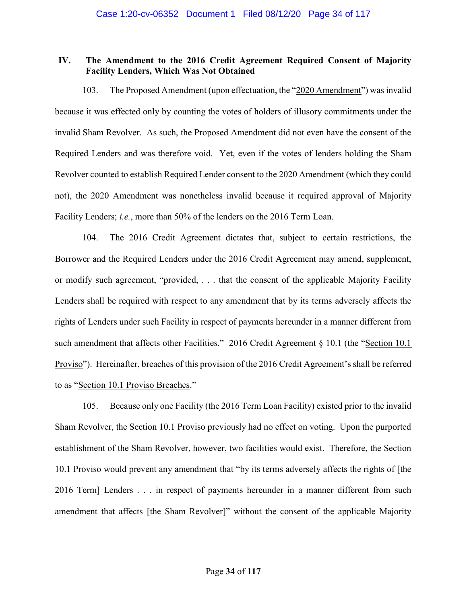# IV. The Amendment to the 2016 Credit Agreement Required Consent of Majority Facility Lenders, Which Was Not Obtained

103. The Proposed Amendment (upon effectuation, the "2020 Amendment") was invalid because it was effected only by counting the votes of holders of illusory commitments under the invalid Sham Revolver. As such, the Proposed Amendment did not even have the consent of the Required Lenders and was therefore void. Yet, even if the votes of lenders holding the Sham Revolver counted to establish Required Lender consent to the 2020 Amendment (which they could not), the 2020 Amendment was nonetheless invalid because it required approval of Majority Facility Lenders; i.e., more than 50% of the lenders on the 2016 Term Loan.

104. The 2016 Credit Agreement dictates that, subject to certain restrictions, the Borrower and the Required Lenders under the 2016 Credit Agreement may amend, supplement, or modify such agreement, "provided, . . . that the consent of the applicable Majority Facility Lenders shall be required with respect to any amendment that by its terms adversely affects the rights of Lenders under such Facility in respect of payments hereunder in a manner different from such amendment that affects other Facilities." 2016 Credit Agreement § 10.1 (the "Section 10.1 Proviso"). Hereinafter, breaches of this provision of the 2016 Credit Agreement's shall be referred to as "Section 10.1 Proviso Breaches."

105. Because only one Facility (the 2016 Term Loan Facility) existed prior to the invalid Sham Revolver, the Section 10.1 Proviso previously had no effect on voting. Upon the purported establishment of the Sham Revolver, however, two facilities would exist. Therefore, the Section 10.1 Proviso would prevent any amendment that "by its terms adversely affects the rights of [the 2016 Term] Lenders . . . in respect of payments hereunder in a manner different from such amendment that affects [the Sham Revolver]" without the consent of the applicable Majority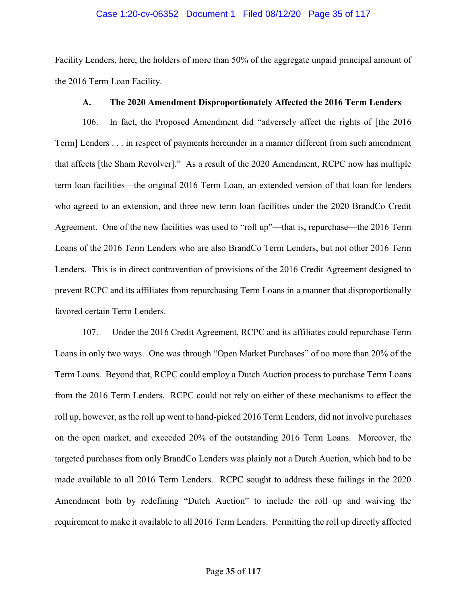#### Case 1:20-cv-06352 Document 1 Filed 08/12/20 Page 35 of 117

Facility Lenders, here, the holders of more than 50% of the aggregate unpaid principal amount of the 2016 Term Loan Facility.

# A. The 2020 Amendment Disproportionately Affected the 2016 Term Lenders

106. In fact, the Proposed Amendment did "adversely affect the rights of [the 2016 Term] Lenders . . . in respect of payments hereunder in a manner different from such amendment that affects [the Sham Revolver]." As a result of the 2020 Amendment, RCPC now has multiple term loan facilities—the original 2016 Term Loan, an extended version of that loan for lenders who agreed to an extension, and three new term loan facilities under the 2020 BrandCo Credit Agreement. One of the new facilities was used to "roll up"—that is, repurchase—the 2016 Term Loans of the 2016 Term Lenders who are also BrandCo Term Lenders, but not other 2016 Term Lenders. This is in direct contravention of provisions of the 2016 Credit Agreement designed to prevent RCPC and its affiliates from repurchasing Term Loans in a manner that disproportionally favored certain Term Lenders.

107. Under the 2016 Credit Agreement, RCPC and its affiliates could repurchase Term Loans in only two ways. One was through "Open Market Purchases" of no more than 20% of the Term Loans. Beyond that, RCPC could employ a Dutch Auction process to purchase Term Loans from the 2016 Term Lenders. RCPC could not rely on either of these mechanisms to effect the roll up, however, as the roll up went to hand-picked 2016 Term Lenders, did not involve purchases on the open market, and exceeded 20% of the outstanding 2016 Term Loans. Moreover, the targeted purchases from only BrandCo Lenders was plainly not a Dutch Auction, which had to be made available to all 2016 Term Lenders. RCPC sought to address these failings in the 2020 Amendment both by redefining "Dutch Auction" to include the roll up and waiving the requirement to make it available to all 2016 Term Lenders. Permitting the roll up directly affected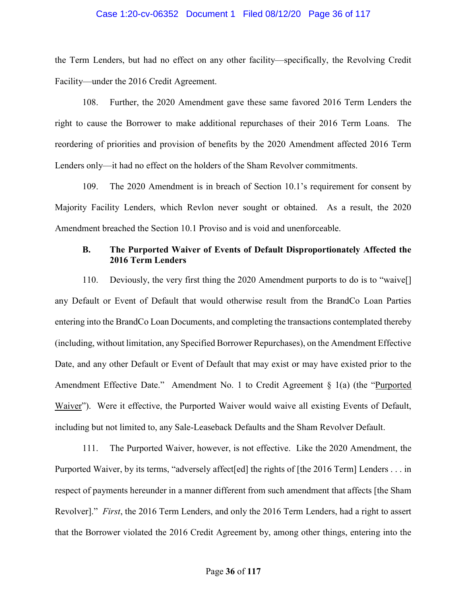#### Case 1:20-cv-06352 Document 1 Filed 08/12/20 Page 36 of 117

the Term Lenders, but had no effect on any other facility—specifically, the Revolving Credit Facility—under the 2016 Credit Agreement.

108. Further, the 2020 Amendment gave these same favored 2016 Term Lenders the right to cause the Borrower to make additional repurchases of their 2016 Term Loans. The reordering of priorities and provision of benefits by the 2020 Amendment affected 2016 Term Lenders only—it had no effect on the holders of the Sham Revolver commitments.

109. The 2020 Amendment is in breach of Section 10.1's requirement for consent by Majority Facility Lenders, which Revlon never sought or obtained. As a result, the 2020 Amendment breached the Section 10.1 Proviso and is void and unenforceable.

# B. The Purported Waiver of Events of Default Disproportionately Affected the 2016 Term Lenders

110. Deviously, the very first thing the 2020 Amendment purports to do is to "waive[] any Default or Event of Default that would otherwise result from the BrandCo Loan Parties entering into the BrandCo Loan Documents, and completing the transactions contemplated thereby (including, without limitation, any Specified Borrower Repurchases), on the Amendment Effective Date, and any other Default or Event of Default that may exist or may have existed prior to the Amendment Effective Date." Amendment No. 1 to Credit Agreement § 1(a) (the "Purported Waiver"). Were it effective, the Purported Waiver would waive all existing Events of Default, including but not limited to, any Sale-Leaseback Defaults and the Sham Revolver Default.

111. The Purported Waiver, however, is not effective. Like the 2020 Amendment, the Purported Waiver, by its terms, "adversely affect[ed] the rights of [the 2016 Term] Lenders . . . in respect of payments hereunder in a manner different from such amendment that affects [the Sham Revolver]." First, the 2016 Term Lenders, and only the 2016 Term Lenders, had a right to assert that the Borrower violated the 2016 Credit Agreement by, among other things, entering into the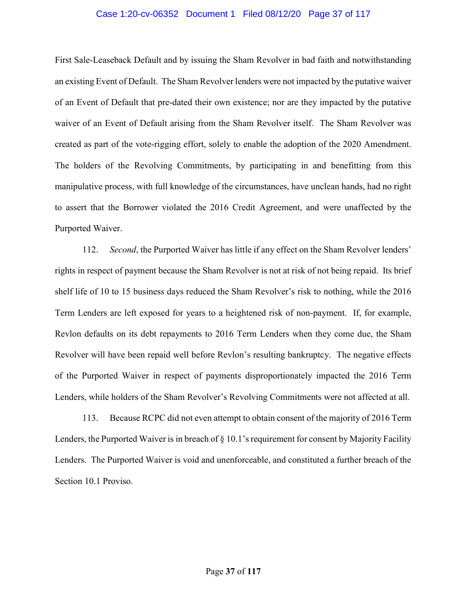## Case 1:20-cv-06352 Document 1 Filed 08/12/20 Page 37 of 117

First Sale-Leaseback Default and by issuing the Sham Revolver in bad faith and notwithstanding an existing Event of Default. The Sham Revolver lenders were not impacted by the putative waiver of an Event of Default that pre-dated their own existence; nor are they impacted by the putative waiver of an Event of Default arising from the Sham Revolver itself. The Sham Revolver was created as part of the vote-rigging effort, solely to enable the adoption of the 2020 Amendment. The holders of the Revolving Commitments, by participating in and benefitting from this manipulative process, with full knowledge of the circumstances, have unclean hands, had no right to assert that the Borrower violated the 2016 Credit Agreement, and were unaffected by the Purported Waiver.

112. Second, the Purported Waiver has little if any effect on the Sham Revolver lenders' rights in respect of payment because the Sham Revolver is not at risk of not being repaid. Its brief shelf life of 10 to 15 business days reduced the Sham Revolver's risk to nothing, while the 2016 Term Lenders are left exposed for years to a heightened risk of non-payment. If, for example, Revlon defaults on its debt repayments to 2016 Term Lenders when they come due, the Sham Revolver will have been repaid well before Revlon's resulting bankruptcy. The negative effects of the Purported Waiver in respect of payments disproportionately impacted the 2016 Term Lenders, while holders of the Sham Revolver's Revolving Commitments were not affected at all.

113. Because RCPC did not even attempt to obtain consent of the majority of 2016 Term Lenders, the Purported Waiver is in breach of § 10.1's requirement for consent by Majority Facility Lenders. The Purported Waiver is void and unenforceable, and constituted a further breach of the Section 10.1 Proviso.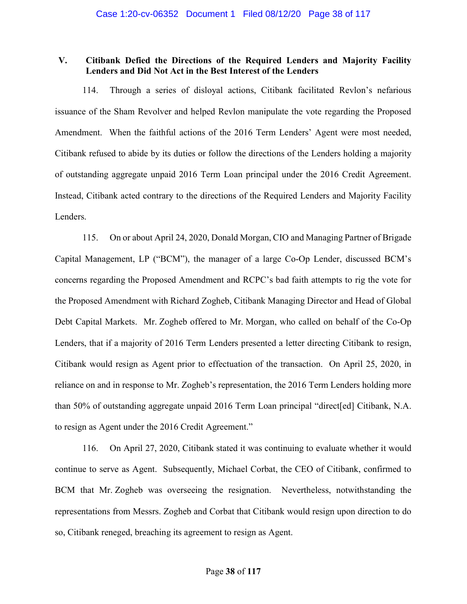# V. Citibank Defied the Directions of the Required Lenders and Majority Facility Lenders and Did Not Act in the Best Interest of the Lenders

114. Through a series of disloyal actions, Citibank facilitated Revlon's nefarious issuance of the Sham Revolver and helped Revlon manipulate the vote regarding the Proposed Amendment. When the faithful actions of the 2016 Term Lenders' Agent were most needed, Citibank refused to abide by its duties or follow the directions of the Lenders holding a majority of outstanding aggregate unpaid 2016 Term Loan principal under the 2016 Credit Agreement. Instead, Citibank acted contrary to the directions of the Required Lenders and Majority Facility Lenders.

115. On or about April 24, 2020, Donald Morgan, CIO and Managing Partner of Brigade Capital Management, LP ("BCM"), the manager of a large Co-Op Lender, discussed BCM's concerns regarding the Proposed Amendment and RCPC's bad faith attempts to rig the vote for the Proposed Amendment with Richard Zogheb, Citibank Managing Director and Head of Global Debt Capital Markets. Mr. Zogheb offered to Mr. Morgan, who called on behalf of the Co-Op Lenders, that if a majority of 2016 Term Lenders presented a letter directing Citibank to resign, Citibank would resign as Agent prior to effectuation of the transaction. On April 25, 2020, in reliance on and in response to Mr. Zogheb's representation, the 2016 Term Lenders holding more than 50% of outstanding aggregate unpaid 2016 Term Loan principal "direct[ed] Citibank, N.A. to resign as Agent under the 2016 Credit Agreement."

116. On April 27, 2020, Citibank stated it was continuing to evaluate whether it would continue to serve as Agent. Subsequently, Michael Corbat, the CEO of Citibank, confirmed to BCM that Mr. Zogheb was overseeing the resignation. Nevertheless, notwithstanding the representations from Messrs. Zogheb and Corbat that Citibank would resign upon direction to do so, Citibank reneged, breaching its agreement to resign as Agent.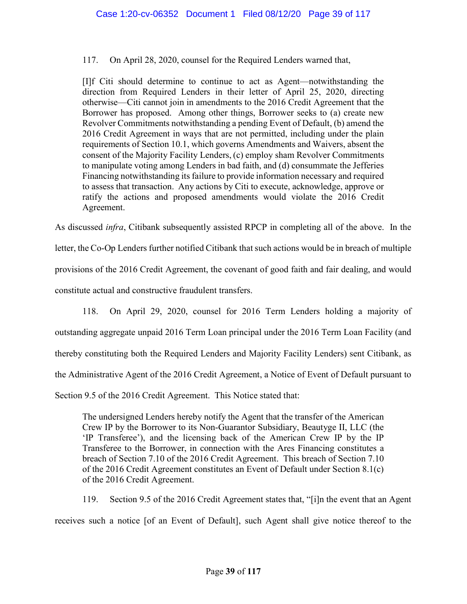117. On April 28, 2020, counsel for the Required Lenders warned that,

[I]f Citi should determine to continue to act as Agent—notwithstanding the direction from Required Lenders in their letter of April 25, 2020, directing otherwise—Citi cannot join in amendments to the 2016 Credit Agreement that the Borrower has proposed. Among other things, Borrower seeks to (a) create new Revolver Commitments notwithstanding a pending Event of Default, (b) amend the 2016 Credit Agreement in ways that are not permitted, including under the plain requirements of Section 10.1, which governs Amendments and Waivers, absent the consent of the Majority Facility Lenders, (c) employ sham Revolver Commitments to manipulate voting among Lenders in bad faith, and (d) consummate the Jefferies Financing notwithstanding its failure to provide information necessary and required to assess that transaction. Any actions by Citi to execute, acknowledge, approve or ratify the actions and proposed amendments would violate the 2016 Credit Agreement.

As discussed infra, Citibank subsequently assisted RPCP in completing all of the above. In the

letter, the Co-Op Lenders further notified Citibank that such actions would be in breach of multiple provisions of the 2016 Credit Agreement, the covenant of good faith and fair dealing, and would constitute actual and constructive fraudulent transfers.

118. On April 29, 2020, counsel for 2016 Term Lenders holding a majority of outstanding aggregate unpaid 2016 Term Loan principal under the 2016 Term Loan Facility (and thereby constituting both the Required Lenders and Majority Facility Lenders) sent Citibank, as the Administrative Agent of the 2016 Credit Agreement, a Notice of Event of Default pursuant to Section 9.5 of the 2016 Credit Agreement. This Notice stated that:

The undersigned Lenders hereby notify the Agent that the transfer of the American Crew IP by the Borrower to its Non-Guarantor Subsidiary, Beautyge II, LLC (the 'IP Transferee'), and the licensing back of the American Crew IP by the IP Transferee to the Borrower, in connection with the Ares Financing constitutes a breach of Section 7.10 of the 2016 Credit Agreement. This breach of Section 7.10 of the 2016 Credit Agreement constitutes an Event of Default under Section 8.1(c) of the 2016 Credit Agreement.

119. Section 9.5 of the 2016 Credit Agreement states that, "[i]n the event that an Agent receives such a notice [of an Event of Default], such Agent shall give notice thereof to the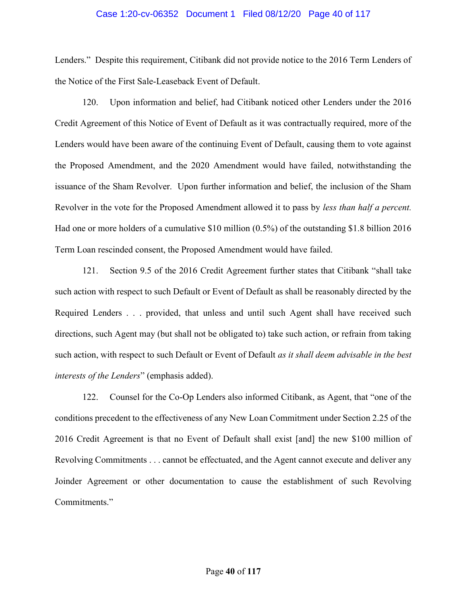## Case 1:20-cv-06352 Document 1 Filed 08/12/20 Page 40 of 117

Lenders." Despite this requirement, Citibank did not provide notice to the 2016 Term Lenders of the Notice of the First Sale-Leaseback Event of Default.

120. Upon information and belief, had Citibank noticed other Lenders under the 2016 Credit Agreement of this Notice of Event of Default as it was contractually required, more of the Lenders would have been aware of the continuing Event of Default, causing them to vote against the Proposed Amendment, and the 2020 Amendment would have failed, notwithstanding the issuance of the Sham Revolver. Upon further information and belief, the inclusion of the Sham Revolver in the vote for the Proposed Amendment allowed it to pass by *less than half a percent*. Had one or more holders of a cumulative \$10 million (0.5%) of the outstanding \$1.8 billion 2016 Term Loan rescinded consent, the Proposed Amendment would have failed.

121. Section 9.5 of the 2016 Credit Agreement further states that Citibank "shall take such action with respect to such Default or Event of Default as shall be reasonably directed by the Required Lenders . . . provided, that unless and until such Agent shall have received such directions, such Agent may (but shall not be obligated to) take such action, or refrain from taking such action, with respect to such Default or Event of Default as it shall deem advisable in the best interests of the Lenders" (emphasis added).

122. Counsel for the Co-Op Lenders also informed Citibank, as Agent, that "one of the conditions precedent to the effectiveness of any New Loan Commitment under Section 2.25 of the 2016 Credit Agreement is that no Event of Default shall exist [and] the new \$100 million of Revolving Commitments . . . cannot be effectuated, and the Agent cannot execute and deliver any Joinder Agreement or other documentation to cause the establishment of such Revolving Commitments."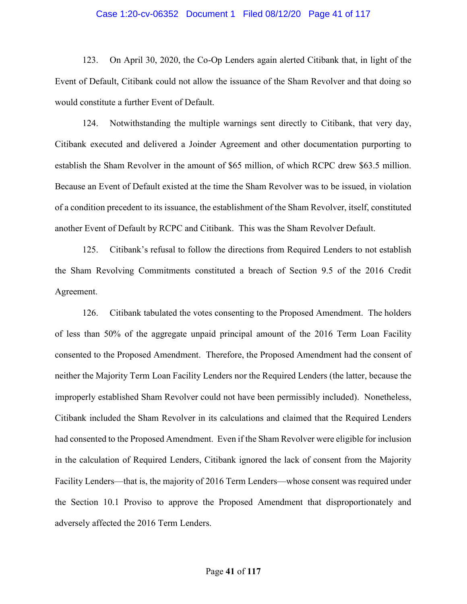### Case 1:20-cv-06352 Document 1 Filed 08/12/20 Page 41 of 117

123. On April 30, 2020, the Co-Op Lenders again alerted Citibank that, in light of the Event of Default, Citibank could not allow the issuance of the Sham Revolver and that doing so would constitute a further Event of Default.

124. Notwithstanding the multiple warnings sent directly to Citibank, that very day, Citibank executed and delivered a Joinder Agreement and other documentation purporting to establish the Sham Revolver in the amount of \$65 million, of which RCPC drew \$63.5 million. Because an Event of Default existed at the time the Sham Revolver was to be issued, in violation of a condition precedent to its issuance, the establishment of the Sham Revolver, itself, constituted another Event of Default by RCPC and Citibank. This was the Sham Revolver Default.

125. Citibank's refusal to follow the directions from Required Lenders to not establish the Sham Revolving Commitments constituted a breach of Section 9.5 of the 2016 Credit Agreement.

126. Citibank tabulated the votes consenting to the Proposed Amendment. The holders of less than 50% of the aggregate unpaid principal amount of the 2016 Term Loan Facility consented to the Proposed Amendment. Therefore, the Proposed Amendment had the consent of neither the Majority Term Loan Facility Lenders nor the Required Lenders (the latter, because the improperly established Sham Revolver could not have been permissibly included). Nonetheless, Citibank included the Sham Revolver in its calculations and claimed that the Required Lenders had consented to the Proposed Amendment. Even if the Sham Revolver were eligible for inclusion in the calculation of Required Lenders, Citibank ignored the lack of consent from the Majority Facility Lenders—that is, the majority of 2016 Term Lenders—whose consent was required under the Section 10.1 Proviso to approve the Proposed Amendment that disproportionately and adversely affected the 2016 Term Lenders.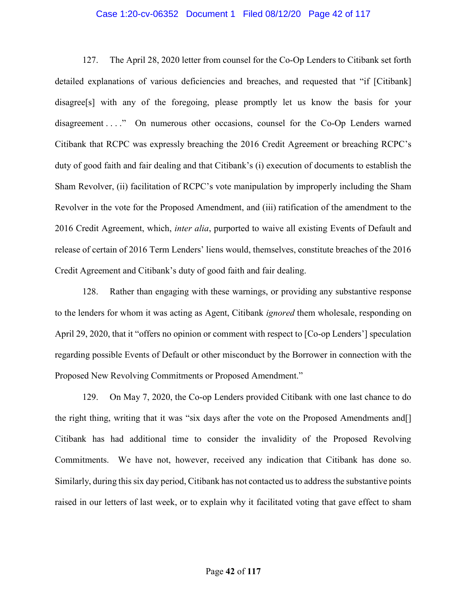## Case 1:20-cv-06352 Document 1 Filed 08/12/20 Page 42 of 117

127. The April 28, 2020 letter from counsel for the Co-Op Lenders to Citibank set forth detailed explanations of various deficiencies and breaches, and requested that "if [Citibank] disagree[s] with any of the foregoing, please promptly let us know the basis for your disagreement . . . " On numerous other occasions, counsel for the Co-Op Lenders warned Citibank that RCPC was expressly breaching the 2016 Credit Agreement or breaching RCPC's duty of good faith and fair dealing and that Citibank's (i) execution of documents to establish the Sham Revolver, (ii) facilitation of RCPC's vote manipulation by improperly including the Sham Revolver in the vote for the Proposed Amendment, and (iii) ratification of the amendment to the 2016 Credit Agreement, which, *inter alia*, purported to waive all existing Events of Default and release of certain of 2016 Term Lenders' liens would, themselves, constitute breaches of the 2016 Credit Agreement and Citibank's duty of good faith and fair dealing.

128. Rather than engaging with these warnings, or providing any substantive response to the lenders for whom it was acting as Agent, Citibank *ignored* them wholesale, responding on April 29, 2020, that it "offers no opinion or comment with respect to [Co-op Lenders'] speculation regarding possible Events of Default or other misconduct by the Borrower in connection with the Proposed New Revolving Commitments or Proposed Amendment."

129. On May 7, 2020, the Co-op Lenders provided Citibank with one last chance to do the right thing, writing that it was "six days after the vote on the Proposed Amendments and[] Citibank has had additional time to consider the invalidity of the Proposed Revolving Commitments. We have not, however, received any indication that Citibank has done so. Similarly, during this six day period, Citibank has not contacted us to address the substantive points raised in our letters of last week, or to explain why it facilitated voting that gave effect to sham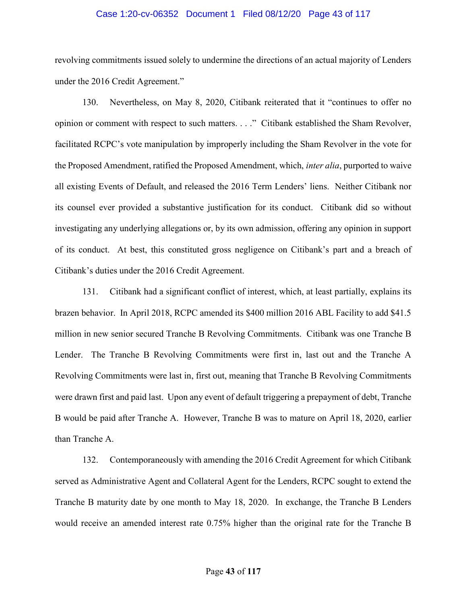## Case 1:20-cv-06352 Document 1 Filed 08/12/20 Page 43 of 117

revolving commitments issued solely to undermine the directions of an actual majority of Lenders under the 2016 Credit Agreement."

130. Nevertheless, on May 8, 2020, Citibank reiterated that it "continues to offer no opinion or comment with respect to such matters. . . ." Citibank established the Sham Revolver, facilitated RCPC's vote manipulation by improperly including the Sham Revolver in the vote for the Proposed Amendment, ratified the Proposed Amendment, which, inter alia, purported to waive all existing Events of Default, and released the 2016 Term Lenders' liens. Neither Citibank nor its counsel ever provided a substantive justification for its conduct. Citibank did so without investigating any underlying allegations or, by its own admission, offering any opinion in support of its conduct. At best, this constituted gross negligence on Citibank's part and a breach of Citibank's duties under the 2016 Credit Agreement.

131. Citibank had a significant conflict of interest, which, at least partially, explains its brazen behavior. In April 2018, RCPC amended its \$400 million 2016 ABL Facility to add \$41.5 million in new senior secured Tranche B Revolving Commitments. Citibank was one Tranche B Lender. The Tranche B Revolving Commitments were first in, last out and the Tranche A Revolving Commitments were last in, first out, meaning that Tranche B Revolving Commitments were drawn first and paid last. Upon any event of default triggering a prepayment of debt, Tranche B would be paid after Tranche A. However, Tranche B was to mature on April 18, 2020, earlier than Tranche A.

132. Contemporaneously with amending the 2016 Credit Agreement for which Citibank served as Administrative Agent and Collateral Agent for the Lenders, RCPC sought to extend the Tranche B maturity date by one month to May 18, 2020. In exchange, the Tranche B Lenders would receive an amended interest rate 0.75% higher than the original rate for the Tranche B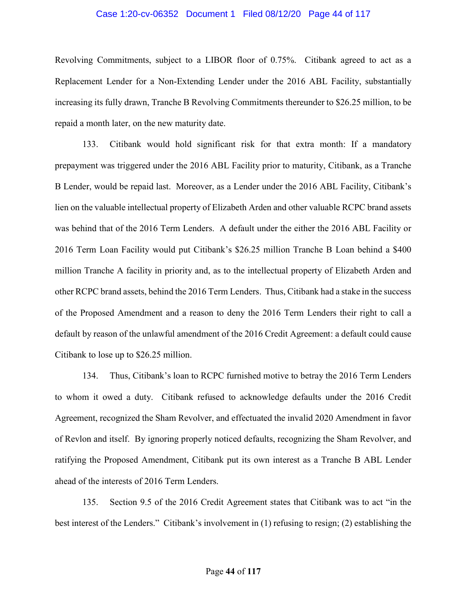## Case 1:20-cv-06352 Document 1 Filed 08/12/20 Page 44 of 117

Revolving Commitments, subject to a LIBOR floor of 0.75%. Citibank agreed to act as a Replacement Lender for a Non-Extending Lender under the 2016 ABL Facility, substantially increasing its fully drawn, Tranche B Revolving Commitments thereunder to \$26.25 million, to be repaid a month later, on the new maturity date.

133. Citibank would hold significant risk for that extra month: If a mandatory prepayment was triggered under the 2016 ABL Facility prior to maturity, Citibank, as a Tranche B Lender, would be repaid last. Moreover, as a Lender under the 2016 ABL Facility, Citibank's lien on the valuable intellectual property of Elizabeth Arden and other valuable RCPC brand assets was behind that of the 2016 Term Lenders. A default under the either the 2016 ABL Facility or 2016 Term Loan Facility would put Citibank's \$26.25 million Tranche B Loan behind a \$400 million Tranche A facility in priority and, as to the intellectual property of Elizabeth Arden and other RCPC brand assets, behind the 2016 Term Lenders. Thus, Citibank had a stake in the success of the Proposed Amendment and a reason to deny the 2016 Term Lenders their right to call a default by reason of the unlawful amendment of the 2016 Credit Agreement: a default could cause Citibank to lose up to \$26.25 million.

134. Thus, Citibank's loan to RCPC furnished motive to betray the 2016 Term Lenders to whom it owed a duty. Citibank refused to acknowledge defaults under the 2016 Credit Agreement, recognized the Sham Revolver, and effectuated the invalid 2020 Amendment in favor of Revlon and itself. By ignoring properly noticed defaults, recognizing the Sham Revolver, and ratifying the Proposed Amendment, Citibank put its own interest as a Tranche B ABL Lender ahead of the interests of 2016 Term Lenders.

135. Section 9.5 of the 2016 Credit Agreement states that Citibank was to act "in the best interest of the Lenders." Citibank's involvement in (1) refusing to resign; (2) establishing the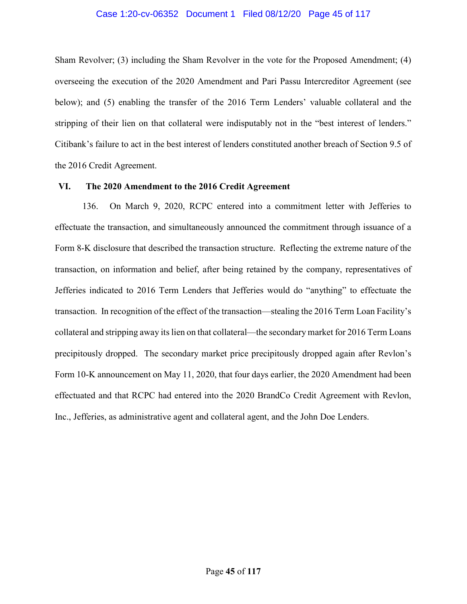## Case 1:20-cv-06352 Document 1 Filed 08/12/20 Page 45 of 117

Sham Revolver; (3) including the Sham Revolver in the vote for the Proposed Amendment; (4) overseeing the execution of the 2020 Amendment and Pari Passu Intercreditor Agreement (see below); and (5) enabling the transfer of the 2016 Term Lenders' valuable collateral and the stripping of their lien on that collateral were indisputably not in the "best interest of lenders." Citibank's failure to act in the best interest of lenders constituted another breach of Section 9.5 of the 2016 Credit Agreement.

#### VI. The 2020 Amendment to the 2016 Credit Agreement

136. On March 9, 2020, RCPC entered into a commitment letter with Jefferies to effectuate the transaction, and simultaneously announced the commitment through issuance of a Form 8-K disclosure that described the transaction structure. Reflecting the extreme nature of the transaction, on information and belief, after being retained by the company, representatives of Jefferies indicated to 2016 Term Lenders that Jefferies would do "anything" to effectuate the transaction. In recognition of the effect of the transaction—stealing the 2016 Term Loan Facility's collateral and stripping away its lien on that collateral—the secondary market for 2016 Term Loans precipitously dropped. The secondary market price precipitously dropped again after Revlon's Form 10-K announcement on May 11, 2020, that four days earlier, the 2020 Amendment had been effectuated and that RCPC had entered into the 2020 BrandCo Credit Agreement with Revlon, Inc., Jefferies, as administrative agent and collateral agent, and the John Doe Lenders.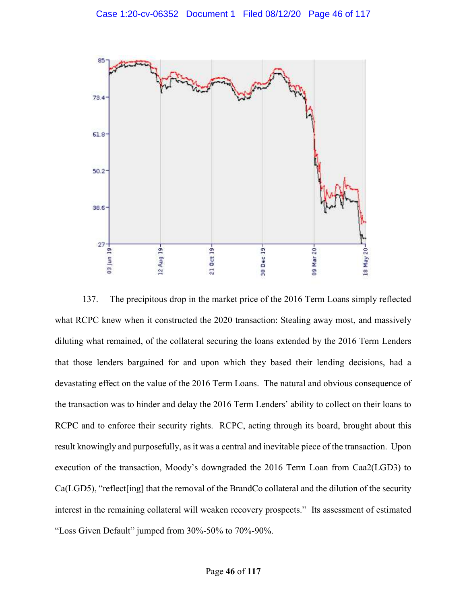

137. The precipitous drop in the market price of the 2016 Term Loans simply reflected what RCPC knew when it constructed the 2020 transaction: Stealing away most, and massively diluting what remained, of the collateral securing the loans extended by the 2016 Term Lenders that those lenders bargained for and upon which they based their lending decisions, had a devastating effect on the value of the 2016 Term Loans. The natural and obvious consequence of the transaction was to hinder and delay the 2016 Term Lenders' ability to collect on their loans to RCPC and to enforce their security rights. RCPC, acting through its board, brought about this result knowingly and purposefully, as it was a central and inevitable piece of the transaction. Upon execution of the transaction, Moody's downgraded the 2016 Term Loan from Caa2(LGD3) to Ca(LGD5), "reflect[ing] that the removal of the BrandCo collateral and the dilution of the security interest in the remaining collateral will weaken recovery prospects." Its assessment of estimated "Loss Given Default" jumped from 30%-50% to 70%-90%.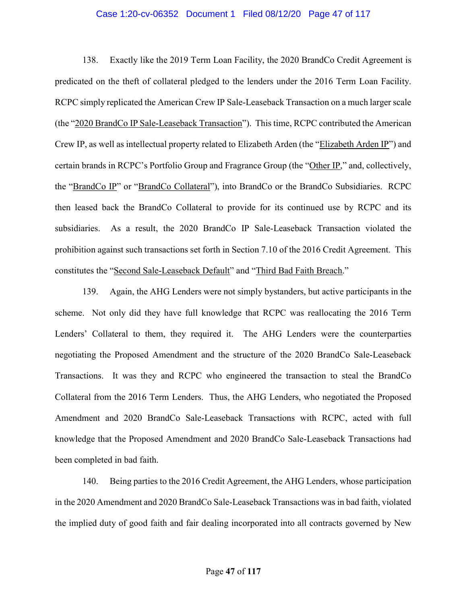## Case 1:20-cv-06352 Document 1 Filed 08/12/20 Page 47 of 117

138. Exactly like the 2019 Term Loan Facility, the 2020 BrandCo Credit Agreement is predicated on the theft of collateral pledged to the lenders under the 2016 Term Loan Facility. RCPC simply replicated the American Crew IP Sale-Leaseback Transaction on a much larger scale (the "2020 BrandCo IP Sale-Leaseback Transaction"). This time, RCPC contributed the American Crew IP, as well as intellectual property related to Elizabeth Arden (the "Elizabeth Arden IP") and certain brands in RCPC's Portfolio Group and Fragrance Group (the "Other IP," and, collectively, the "BrandCo IP" or "BrandCo Collateral"), into BrandCo or the BrandCo Subsidiaries. RCPC then leased back the BrandCo Collateral to provide for its continued use by RCPC and its subsidiaries. As a result, the 2020 BrandCo IP Sale-Leaseback Transaction violated the prohibition against such transactions set forth in Section 7.10 of the 2016 Credit Agreement. This constitutes the "Second Sale-Leaseback Default" and "Third Bad Faith Breach."

139. Again, the AHG Lenders were not simply bystanders, but active participants in the scheme. Not only did they have full knowledge that RCPC was reallocating the 2016 Term Lenders' Collateral to them, they required it. The AHG Lenders were the counterparties negotiating the Proposed Amendment and the structure of the 2020 BrandCo Sale-Leaseback Transactions. It was they and RCPC who engineered the transaction to steal the BrandCo Collateral from the 2016 Term Lenders. Thus, the AHG Lenders, who negotiated the Proposed Amendment and 2020 BrandCo Sale-Leaseback Transactions with RCPC, acted with full knowledge that the Proposed Amendment and 2020 BrandCo Sale-Leaseback Transactions had been completed in bad faith.

140. Being parties to the 2016 Credit Agreement, the AHG Lenders, whose participation in the 2020 Amendment and 2020 BrandCo Sale-Leaseback Transactions was in bad faith, violated the implied duty of good faith and fair dealing incorporated into all contracts governed by New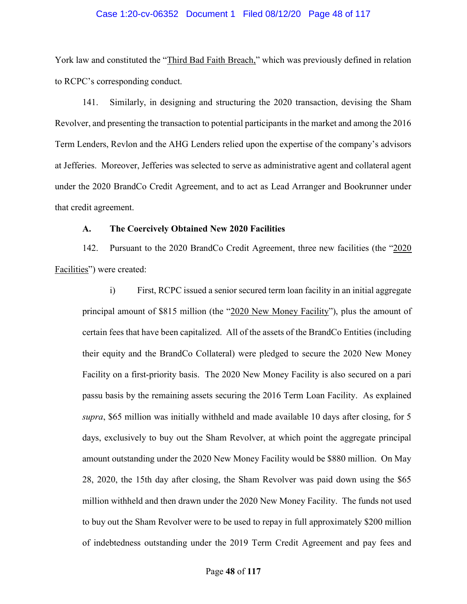### Case 1:20-cv-06352 Document 1 Filed 08/12/20 Page 48 of 117

York law and constituted the "Third Bad Faith Breach," which was previously defined in relation to RCPC's corresponding conduct.

141. Similarly, in designing and structuring the 2020 transaction, devising the Sham Revolver, and presenting the transaction to potential participants in the market and among the 2016 Term Lenders, Revlon and the AHG Lenders relied upon the expertise of the company's advisors at Jefferies. Moreover, Jefferies was selected to serve as administrative agent and collateral agent under the 2020 BrandCo Credit Agreement, and to act as Lead Arranger and Bookrunner under that credit agreement.

## A. The Coercively Obtained New 2020 Facilities

142. Pursuant to the 2020 BrandCo Credit Agreement, three new facilities (the "2020 Facilities") were created:

i) First, RCPC issued a senior secured term loan facility in an initial aggregate principal amount of \$815 million (the "2020 New Money Facility"), plus the amount of certain fees that have been capitalized. All of the assets of the BrandCo Entities (including their equity and the BrandCo Collateral) were pledged to secure the 2020 New Money Facility on a first-priority basis. The 2020 New Money Facility is also secured on a pari passu basis by the remaining assets securing the 2016 Term Loan Facility. As explained supra, \$65 million was initially withheld and made available 10 days after closing, for 5 days, exclusively to buy out the Sham Revolver, at which point the aggregate principal amount outstanding under the 2020 New Money Facility would be \$880 million. On May 28, 2020, the 15th day after closing, the Sham Revolver was paid down using the \$65 million withheld and then drawn under the 2020 New Money Facility. The funds not used to buy out the Sham Revolver were to be used to repay in full approximately \$200 million of indebtedness outstanding under the 2019 Term Credit Agreement and pay fees and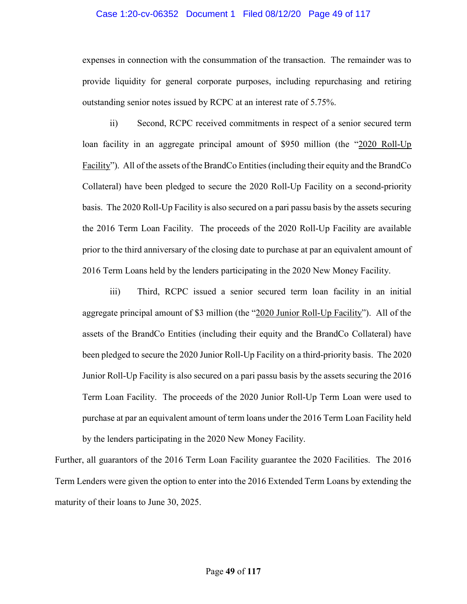## Case 1:20-cv-06352 Document 1 Filed 08/12/20 Page 49 of 117

expenses in connection with the consummation of the transaction. The remainder was to provide liquidity for general corporate purposes, including repurchasing and retiring outstanding senior notes issued by RCPC at an interest rate of 5.75%.

ii) Second, RCPC received commitments in respect of a senior secured term loan facility in an aggregate principal amount of \$950 million (the "2020 Roll-Up Facility"). All of the assets of the BrandCo Entities (including their equity and the BrandCo Collateral) have been pledged to secure the 2020 Roll-Up Facility on a second-priority basis. The 2020 Roll-Up Facility is also secured on a pari passu basis by the assets securing the 2016 Term Loan Facility. The proceeds of the 2020 Roll-Up Facility are available prior to the third anniversary of the closing date to purchase at par an equivalent amount of 2016 Term Loans held by the lenders participating in the 2020 New Money Facility.

iii) Third, RCPC issued a senior secured term loan facility in an initial aggregate principal amount of \$3 million (the "2020 Junior Roll-Up Facility"). All of the assets of the BrandCo Entities (including their equity and the BrandCo Collateral) have been pledged to secure the 2020 Junior Roll-Up Facility on a third-priority basis. The 2020 Junior Roll-Up Facility is also secured on a pari passu basis by the assets securing the 2016 Term Loan Facility. The proceeds of the 2020 Junior Roll-Up Term Loan were used to purchase at par an equivalent amount of term loans under the 2016 Term Loan Facility held by the lenders participating in the 2020 New Money Facility.

Further, all guarantors of the 2016 Term Loan Facility guarantee the 2020 Facilities. The 2016 Term Lenders were given the option to enter into the 2016 Extended Term Loans by extending the maturity of their loans to June 30, 2025.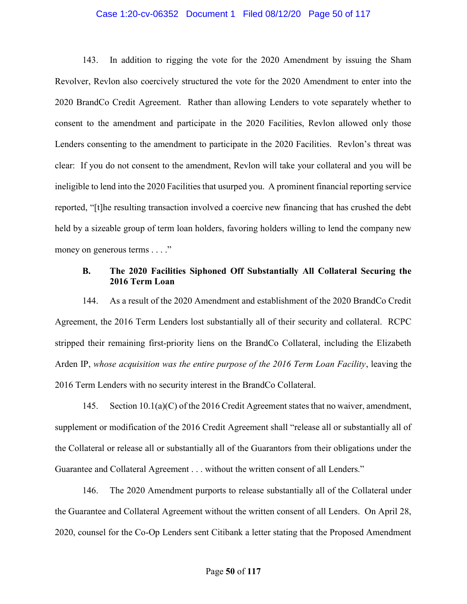## Case 1:20-cv-06352 Document 1 Filed 08/12/20 Page 50 of 117

143. In addition to rigging the vote for the 2020 Amendment by issuing the Sham Revolver, Revlon also coercively structured the vote for the 2020 Amendment to enter into the 2020 BrandCo Credit Agreement. Rather than allowing Lenders to vote separately whether to consent to the amendment and participate in the 2020 Facilities, Revlon allowed only those Lenders consenting to the amendment to participate in the 2020 Facilities. Revlon's threat was clear: If you do not consent to the amendment, Revlon will take your collateral and you will be ineligible to lend into the 2020 Facilities that usurped you. A prominent financial reporting service reported, "[t]he resulting transaction involved a coercive new financing that has crushed the debt held by a sizeable group of term loan holders, favoring holders willing to lend the company new money on generous terms . . . ."

# B. The 2020 Facilities Siphoned Off Substantially All Collateral Securing the 2016 Term Loan

144. As a result of the 2020 Amendment and establishment of the 2020 BrandCo Credit Agreement, the 2016 Term Lenders lost substantially all of their security and collateral. RCPC stripped their remaining first-priority liens on the BrandCo Collateral, including the Elizabeth Arden IP, whose acquisition was the entire purpose of the 2016 Term Loan Facility, leaving the 2016 Term Lenders with no security interest in the BrandCo Collateral.

145. Section 10.1(a)(C) of the 2016 Credit Agreement states that no waiver, amendment, supplement or modification of the 2016 Credit Agreement shall "release all or substantially all of the Collateral or release all or substantially all of the Guarantors from their obligations under the Guarantee and Collateral Agreement . . . without the written consent of all Lenders."

146. The 2020 Amendment purports to release substantially all of the Collateral under the Guarantee and Collateral Agreement without the written consent of all Lenders. On April 28, 2020, counsel for the Co-Op Lenders sent Citibank a letter stating that the Proposed Amendment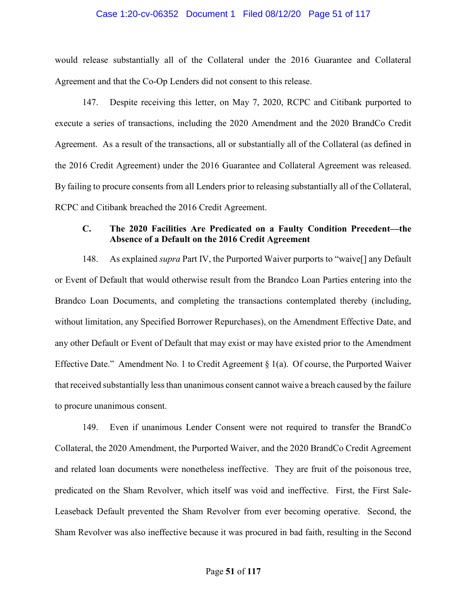### Case 1:20-cv-06352 Document 1 Filed 08/12/20 Page 51 of 117

would release substantially all of the Collateral under the 2016 Guarantee and Collateral Agreement and that the Co-Op Lenders did not consent to this release.

147. Despite receiving this letter, on May 7, 2020, RCPC and Citibank purported to execute a series of transactions, including the 2020 Amendment and the 2020 BrandCo Credit Agreement. As a result of the transactions, all or substantially all of the Collateral (as defined in the 2016 Credit Agreement) under the 2016 Guarantee and Collateral Agreement was released. By failing to procure consents from all Lenders prior to releasing substantially all of the Collateral, RCPC and Citibank breached the 2016 Credit Agreement.

# C. The 2020 Facilities Are Predicated on a Faulty Condition Precedent—the Absence of a Default on the 2016 Credit Agreement

148. As explained *supra* Part IV, the Purported Waiver purports to "waive<sup>[]</sup> any Default or Event of Default that would otherwise result from the Brandco Loan Parties entering into the Brandco Loan Documents, and completing the transactions contemplated thereby (including, without limitation, any Specified Borrower Repurchases), on the Amendment Effective Date, and any other Default or Event of Default that may exist or may have existed prior to the Amendment Effective Date." Amendment No. 1 to Credit Agreement  $\S$  1(a). Of course, the Purported Waiver that received substantially less than unanimous consent cannot waive a breach caused by the failure to procure unanimous consent.

149. Even if unanimous Lender Consent were not required to transfer the BrandCo Collateral, the 2020 Amendment, the Purported Waiver, and the 2020 BrandCo Credit Agreement and related loan documents were nonetheless ineffective. They are fruit of the poisonous tree, predicated on the Sham Revolver, which itself was void and ineffective. First, the First Sale-Leaseback Default prevented the Sham Revolver from ever becoming operative. Second, the Sham Revolver was also ineffective because it was procured in bad faith, resulting in the Second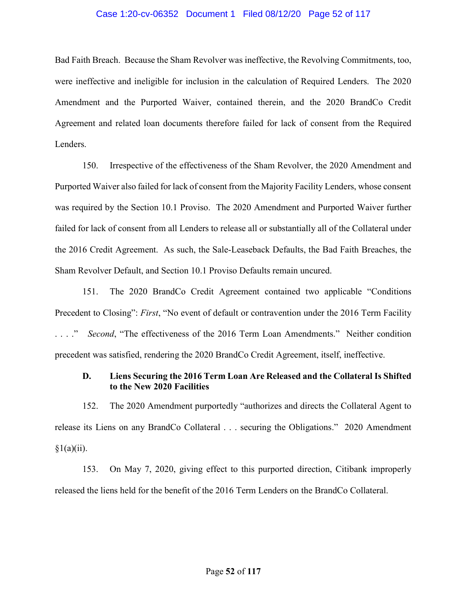## Case 1:20-cv-06352 Document 1 Filed 08/12/20 Page 52 of 117

Bad Faith Breach. Because the Sham Revolver was ineffective, the Revolving Commitments, too, were ineffective and ineligible for inclusion in the calculation of Required Lenders. The 2020 Amendment and the Purported Waiver, contained therein, and the 2020 BrandCo Credit Agreement and related loan documents therefore failed for lack of consent from the Required Lenders.

150. Irrespective of the effectiveness of the Sham Revolver, the 2020 Amendment and Purported Waiver also failed for lack of consent from the Majority Facility Lenders, whose consent was required by the Section 10.1 Proviso. The 2020 Amendment and Purported Waiver further failed for lack of consent from all Lenders to release all or substantially all of the Collateral under the 2016 Credit Agreement. As such, the Sale-Leaseback Defaults, the Bad Faith Breaches, the Sham Revolver Default, and Section 10.1 Proviso Defaults remain uncured.

151. The 2020 BrandCo Credit Agreement contained two applicable "Conditions Precedent to Closing": First, "No event of default or contravention under the 2016 Term Facility ...." Second, "The effectiveness of the 2016 Term Loan Amendments." Neither condition precedent was satisfied, rendering the 2020 BrandCo Credit Agreement, itself, ineffective.

# D. Liens Securing the 2016 Term Loan Are Released and the Collateral Is Shifted to the New 2020 Facilities

152. The 2020 Amendment purportedly "authorizes and directs the Collateral Agent to release its Liens on any BrandCo Collateral . . . securing the Obligations." 2020 Amendment  $§1(a)(ii).$ 

153. On May 7, 2020, giving effect to this purported direction, Citibank improperly released the liens held for the benefit of the 2016 Term Lenders on the BrandCo Collateral.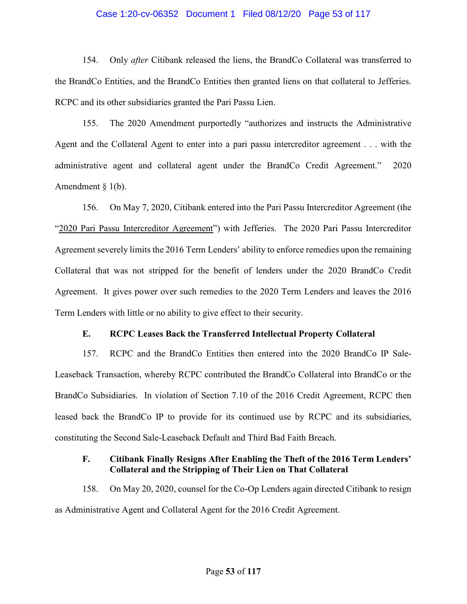## Case 1:20-cv-06352 Document 1 Filed 08/12/20 Page 53 of 117

154. Only *after* Citibank released the liens, the BrandCo Collateral was transferred to the BrandCo Entities, and the BrandCo Entities then granted liens on that collateral to Jefferies. RCPC and its other subsidiaries granted the Pari Passu Lien.

155. The 2020 Amendment purportedly "authorizes and instructs the Administrative Agent and the Collateral Agent to enter into a pari passu intercreditor agreement . . . with the administrative agent and collateral agent under the BrandCo Credit Agreement." 2020 Amendment  $\S$  1(b).

156. On May 7, 2020, Citibank entered into the Pari Passu Intercreditor Agreement (the "2020 Pari Passu Intercreditor Agreement") with Jefferies. The 2020 Pari Passu Intercreditor Agreement severely limits the 2016 Term Lenders' ability to enforce remedies upon the remaining Collateral that was not stripped for the benefit of lenders under the 2020 BrandCo Credit Agreement. It gives power over such remedies to the 2020 Term Lenders and leaves the 2016 Term Lenders with little or no ability to give effect to their security.

# E. RCPC Leases Back the Transferred Intellectual Property Collateral

157. RCPC and the BrandCo Entities then entered into the 2020 BrandCo IP Sale-Leaseback Transaction, whereby RCPC contributed the BrandCo Collateral into BrandCo or the BrandCo Subsidiaries. In violation of Section 7.10 of the 2016 Credit Agreement, RCPC then leased back the BrandCo IP to provide for its continued use by RCPC and its subsidiaries, constituting the Second Sale-Leaseback Default and Third Bad Faith Breach.

# F. Citibank Finally Resigns After Enabling the Theft of the 2016 Term Lenders' Collateral and the Stripping of Their Lien on That Collateral

158. On May 20, 2020, counsel for the Co-Op Lenders again directed Citibank to resign as Administrative Agent and Collateral Agent for the 2016 Credit Agreement.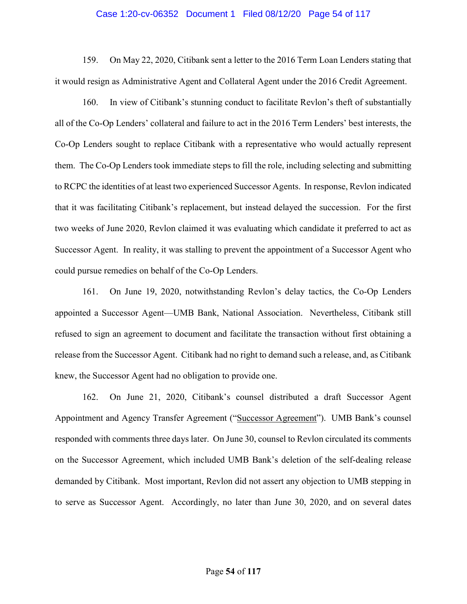#### Case 1:20-cv-06352 Document 1 Filed 08/12/20 Page 54 of 117

159. On May 22, 2020, Citibank sent a letter to the 2016 Term Loan Lenders stating that it would resign as Administrative Agent and Collateral Agent under the 2016 Credit Agreement.

160. In view of Citibank's stunning conduct to facilitate Revlon's theft of substantially all of the Co-Op Lenders' collateral and failure to act in the 2016 Term Lenders' best interests, the Co-Op Lenders sought to replace Citibank with a representative who would actually represent them. The Co-Op Lenders took immediate steps to fill the role, including selecting and submitting to RCPC the identities of at least two experienced Successor Agents. In response, Revlon indicated that it was facilitating Citibank's replacement, but instead delayed the succession. For the first two weeks of June 2020, Revlon claimed it was evaluating which candidate it preferred to act as Successor Agent. In reality, it was stalling to prevent the appointment of a Successor Agent who could pursue remedies on behalf of the Co-Op Lenders.

161. On June 19, 2020, notwithstanding Revlon's delay tactics, the Co-Op Lenders appointed a Successor Agent—UMB Bank, National Association. Nevertheless, Citibank still refused to sign an agreement to document and facilitate the transaction without first obtaining a release from the Successor Agent. Citibank had no right to demand such a release, and, as Citibank knew, the Successor Agent had no obligation to provide one.

162. On June 21, 2020, Citibank's counsel distributed a draft Successor Agent Appointment and Agency Transfer Agreement ("Successor Agreement"). UMB Bank's counsel responded with comments three days later. On June 30, counsel to Revlon circulated its comments on the Successor Agreement, which included UMB Bank's deletion of the self-dealing release demanded by Citibank. Most important, Revlon did not assert any objection to UMB stepping in to serve as Successor Agent. Accordingly, no later than June 30, 2020, and on several dates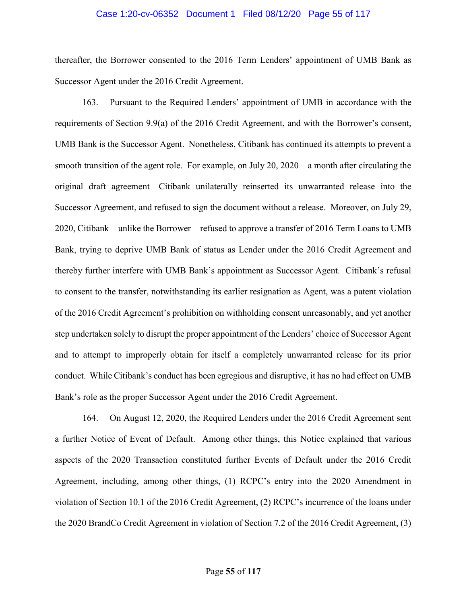#### Case 1:20-cv-06352 Document 1 Filed 08/12/20 Page 55 of 117

thereafter, the Borrower consented to the 2016 Term Lenders' appointment of UMB Bank as Successor Agent under the 2016 Credit Agreement.

163. Pursuant to the Required Lenders' appointment of UMB in accordance with the requirements of Section 9.9(a) of the 2016 Credit Agreement, and with the Borrower's consent, UMB Bank is the Successor Agent. Nonetheless, Citibank has continued its attempts to prevent a smooth transition of the agent role. For example, on July 20, 2020—a month after circulating the original draft agreement—Citibank unilaterally reinserted its unwarranted release into the Successor Agreement, and refused to sign the document without a release. Moreover, on July 29, 2020, Citibank—unlike the Borrower—refused to approve a transfer of 2016 Term Loans to UMB Bank, trying to deprive UMB Bank of status as Lender under the 2016 Credit Agreement and thereby further interfere with UMB Bank's appointment as Successor Agent. Citibank's refusal to consent to the transfer, notwithstanding its earlier resignation as Agent, was a patent violation of the 2016 Credit Agreement's prohibition on withholding consent unreasonably, and yet another step undertaken solely to disrupt the proper appointment of the Lenders' choice of Successor Agent and to attempt to improperly obtain for itself a completely unwarranted release for its prior conduct. While Citibank's conduct has been egregious and disruptive, it has no had effect on UMB Bank's role as the proper Successor Agent under the 2016 Credit Agreement.

164. On August 12, 2020, the Required Lenders under the 2016 Credit Agreement sent a further Notice of Event of Default. Among other things, this Notice explained that various aspects of the 2020 Transaction constituted further Events of Default under the 2016 Credit Agreement, including, among other things, (1) RCPC's entry into the 2020 Amendment in violation of Section 10.1 of the 2016 Credit Agreement, (2) RCPC's incurrence of the loans under the 2020 BrandCo Credit Agreement in violation of Section 7.2 of the 2016 Credit Agreement, (3)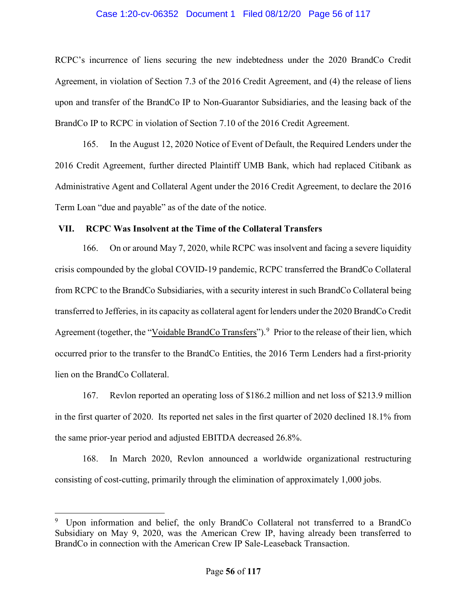## Case 1:20-cv-06352 Document 1 Filed 08/12/20 Page 56 of 117

RCPC's incurrence of liens securing the new indebtedness under the 2020 BrandCo Credit Agreement, in violation of Section 7.3 of the 2016 Credit Agreement, and (4) the release of liens upon and transfer of the BrandCo IP to Non-Guarantor Subsidiaries, and the leasing back of the BrandCo IP to RCPC in violation of Section 7.10 of the 2016 Credit Agreement.

165. In the August 12, 2020 Notice of Event of Default, the Required Lenders under the 2016 Credit Agreement, further directed Plaintiff UMB Bank, which had replaced Citibank as Administrative Agent and Collateral Agent under the 2016 Credit Agreement, to declare the 2016 Term Loan "due and payable" as of the date of the notice.

# VII. RCPC Was Insolvent at the Time of the Collateral Transfers

166. On or around May 7, 2020, while RCPC was insolvent and facing a severe liquidity crisis compounded by the global COVID-19 pandemic, RCPC transferred the BrandCo Collateral from RCPC to the BrandCo Subsidiaries, with a security interest in such BrandCo Collateral being transferred to Jefferies, in its capacity as collateral agent for lenders under the 2020 BrandCo Credit Agreement (together, the "Voidable BrandCo Transfers").<sup>9</sup> Prior to the release of their lien, which occurred prior to the transfer to the BrandCo Entities, the 2016 Term Lenders had a first-priority lien on the BrandCo Collateral.

167. Revlon reported an operating loss of \$186.2 million and net loss of \$213.9 million in the first quarter of 2020. Its reported net sales in the first quarter of 2020 declined 18.1% from the same prior-year period and adjusted EBITDA decreased 26.8%.

168. In March 2020, Revlon announced a worldwide organizational restructuring consisting of cost-cutting, primarily through the elimination of approximately 1,000 jobs.

 $\overline{a}$ 

<sup>9</sup> Upon information and belief, the only BrandCo Collateral not transferred to a BrandCo Subsidiary on May 9, 2020, was the American Crew IP, having already been transferred to BrandCo in connection with the American Crew IP Sale-Leaseback Transaction.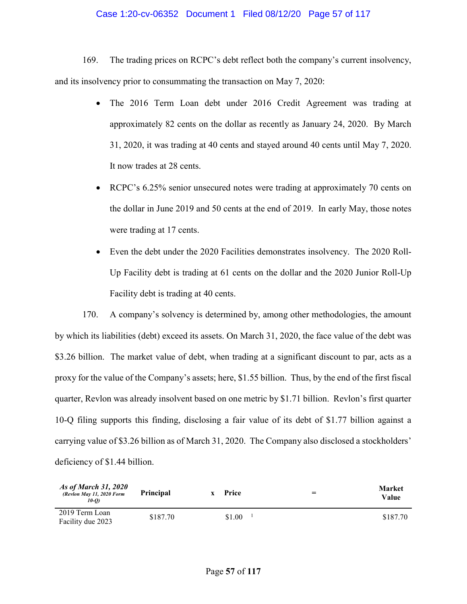## Case 1:20-cv-06352 Document 1 Filed 08/12/20 Page 57 of 117

169. The trading prices on RCPC's debt reflect both the company's current insolvency, and its insolvency prior to consummating the transaction on May 7, 2020:

- The 2016 Term Loan debt under 2016 Credit Agreement was trading at approximately 82 cents on the dollar as recently as January 24, 2020. By March 31, 2020, it was trading at 40 cents and stayed around 40 cents until May 7, 2020. It now trades at 28 cents.
- RCPC's 6.25% senior unsecured notes were trading at approximately 70 cents on the dollar in June 2019 and 50 cents at the end of 2019. In early May, those notes were trading at 17 cents.
- Even the debt under the 2020 Facilities demonstrates insolvency. The 2020 Roll-Up Facility debt is trading at 61 cents on the dollar and the 2020 Junior Roll-Up Facility debt is trading at 40 cents.

170. A company's solvency is determined by, among other methodologies, the amount by which its liabilities (debt) exceed its assets. On March 31, 2020, the face value of the debt was \$3.26 billion. The market value of debt, when trading at a significant discount to par, acts as a proxy for the value of the Company's assets; here, \$1.55 billion. Thus, by the end of the first fiscal quarter, Revlon was already insolvent based on one metric by \$1.71 billion. Revlon's first quarter 10-Q filing supports this finding, disclosing a fair value of its debt of \$1.77 billion against a carrying value of \$3.26 billion as of March 31, 2020. The Company also disclosed a stockholders' deficiency of \$1.44 billion.

| As of March 31, 2020<br>(Revlon May 11, 2020 Form<br>10-O) | <b>Principal</b> | Price  | $=$ | <b>Market</b><br>Value |
|------------------------------------------------------------|------------------|--------|-----|------------------------|
| 2019 Term Loan<br>Facility due 2023                        | \$187.70         | \$1.00 |     | \$187.70               |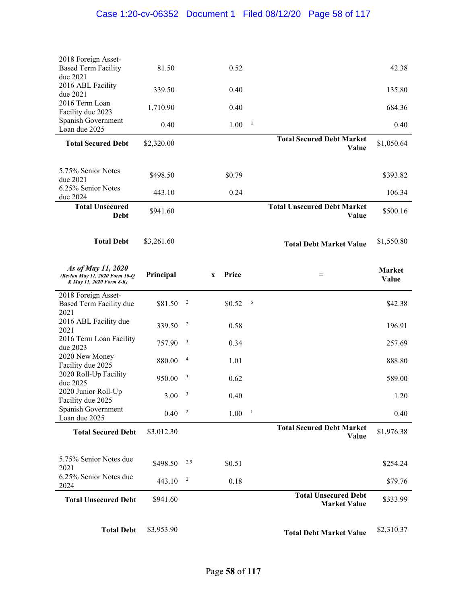| 2018 Foreign Asset-<br><b>Based Term Facility</b><br>due 2021                    | 81.50      |                         |              | 0.52   |              |                                                    | 42.38                  |
|----------------------------------------------------------------------------------|------------|-------------------------|--------------|--------|--------------|----------------------------------------------------|------------------------|
| 2016 ABL Facility<br>due 2021                                                    | 339.50     |                         |              | 0.40   |              |                                                    | 135.80                 |
| 2016 Term Loan<br>Facility due 2023                                              | 1,710.90   |                         |              | 0.40   |              |                                                    | 684.36                 |
| Spanish Government<br>Loan due 2025                                              | 0.40       |                         |              | 1.00   | $\mathbf{1}$ |                                                    | 0.40                   |
| <b>Total Secured Debt</b>                                                        | \$2,320.00 |                         |              |        |              | <b>Total Secured Debt Market</b><br><b>Value</b>   | \$1,050.64             |
|                                                                                  |            |                         |              |        |              |                                                    |                        |
| 5.75% Senior Notes<br>due 2021                                                   | \$498.50   |                         |              | \$0.79 |              |                                                    | \$393.82               |
| 6.25% Senior Notes<br>due 2024                                                   | 443.10     |                         |              | 0.24   |              |                                                    | 106.34                 |
| <b>Total Unsecured</b><br>Debt                                                   | \$941.60   |                         |              |        |              | <b>Total Unsecured Debt Market</b><br>Value        | \$500.16               |
| <b>Total Debt</b>                                                                | \$3,261.60 |                         |              |        |              | <b>Total Debt Market Value</b>                     | \$1,550.80             |
| As of May 11, 2020<br>(Revlon May 11, 2020 Form 10-Q<br>& May 11, 2020 Form 8-K) | Principal  |                         | $\mathbf{X}$ | Price  |              | $=$                                                | <b>Market</b><br>Value |
| 2018 Foreign Asset-<br>Based Term Facility due<br>2021                           | \$81.50    | $\overline{c}$          |              | \$0.52 | 6            |                                                    | \$42.38                |
| 2016 ABL Facility due<br>2021                                                    | 339.50     | $\overline{c}$          |              | 0.58   |              |                                                    | 196.91                 |
| 2016 Term Loan Facility<br>due 2023                                              | 757.90     | $\overline{\mathbf{3}}$ |              | 0.34   |              |                                                    | 257.69                 |
| 2020 New Money<br>Facility due 2025                                              | 880.00     | $\overline{4}$          |              | 1.01   |              |                                                    | 888.80                 |
| 2020 Roll-Up Facility<br>due 2025                                                | 950.00     | $\overline{\mathbf{3}}$ |              | 0.62   |              |                                                    | 589.00                 |
| 2020 Junior Roll-Up<br>Facility due 2025                                         | $3.00-3$   |                         |              | 0.40   |              |                                                    | 1.20                   |
| Spanish Government<br>Loan due 2025                                              | 0.40       | $\overline{c}$          |              | 1.00   | $\mathbf{1}$ |                                                    | 0.40                   |
| <b>Total Secured Debt</b>                                                        | \$3,012.30 |                         |              |        |              | <b>Total Secured Debt Market</b><br>Value          | \$1,976.38             |
|                                                                                  |            |                         |              |        |              |                                                    |                        |
| 5.75% Senior Notes due<br>2021                                                   | \$498.50   | 2,5                     |              | \$0.51 |              |                                                    | \$254.24               |
| 6.25% Senior Notes due<br>2024                                                   | 443.10     | $\overline{\mathbf{c}}$ |              | 0.18   |              |                                                    | \$79.76                |
| <b>Total Unsecured Debt</b>                                                      | \$941.60   |                         |              |        |              | <b>Total Unsecured Debt</b><br><b>Market Value</b> | \$333.99               |
| <b>Total Debt</b>                                                                | \$3,953.90 |                         |              |        |              | <b>Total Debt Market Value</b>                     | \$2,310.37             |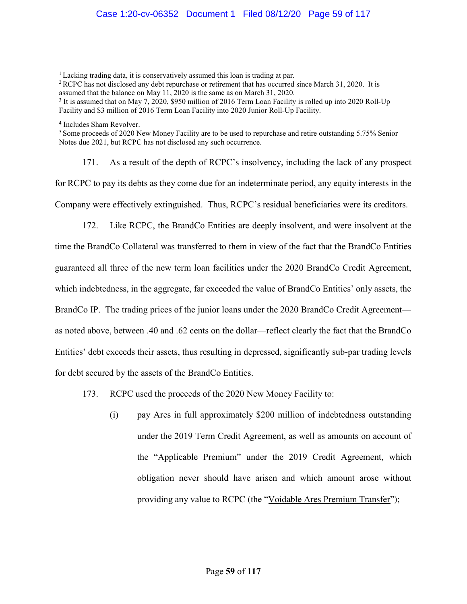# Case 1:20-cv-06352 Document 1 Filed 08/12/20 Page 59 of 117

<sup>1</sup> Lacking trading data, it is conservatively assumed this loan is trading at par.

<sup>2</sup> RCPC has not disclosed any debt repurchase or retirement that has occurred since March 31, 2020. It is assumed that the balance on May 11, 2020 is the same as on March 31, 2020.

<sup>3</sup> It is assumed that on May 7, 2020, \$950 million of 2016 Term Loan Facility is rolled up into 2020 Roll-Up Facility and \$3 million of 2016 Term Loan Facility into 2020 Junior Roll-Up Facility.

4 Includes Sham Revolver.

<sup>5</sup> Some proceeds of 2020 New Money Facility are to be used to repurchase and retire outstanding 5.75% Senior Notes due 2021, but RCPC has not disclosed any such occurrence.

171. As a result of the depth of RCPC's insolvency, including the lack of any prospect for RCPC to pay its debts as they come due for an indeterminate period, any equity interests in the Company were effectively extinguished. Thus, RCPC's residual beneficiaries were its creditors.

172. Like RCPC, the BrandCo Entities are deeply insolvent, and were insolvent at the time the BrandCo Collateral was transferred to them in view of the fact that the BrandCo Entities guaranteed all three of the new term loan facilities under the 2020 BrandCo Credit Agreement, which indebtedness, in the aggregate, far exceeded the value of BrandCo Entities' only assets, the BrandCo IP. The trading prices of the junior loans under the 2020 BrandCo Credit Agreement as noted above, between .40 and .62 cents on the dollar—reflect clearly the fact that the BrandCo Entities' debt exceeds their assets, thus resulting in depressed, significantly sub-par trading levels for debt secured by the assets of the BrandCo Entities.

- 173. RCPC used the proceeds of the 2020 New Money Facility to:
	- (i) pay Ares in full approximately \$200 million of indebtedness outstanding under the 2019 Term Credit Agreement, as well as amounts on account of the "Applicable Premium" under the 2019 Credit Agreement, which obligation never should have arisen and which amount arose without providing any value to RCPC (the "Voidable Ares Premium Transfer");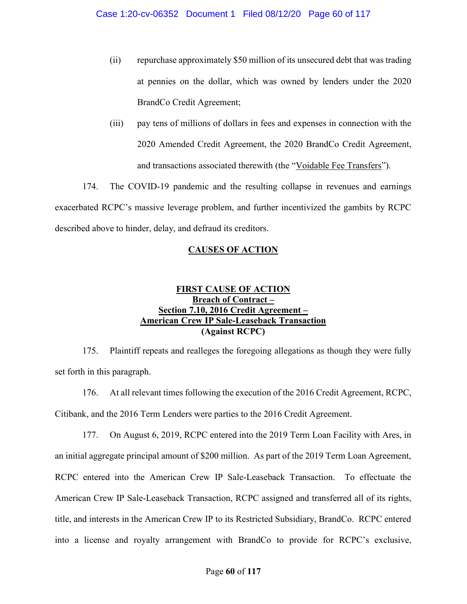- (ii) repurchase approximately \$50 million of its unsecured debt that was trading at pennies on the dollar, which was owned by lenders under the 2020 BrandCo Credit Agreement;
- (iii) pay tens of millions of dollars in fees and expenses in connection with the 2020 Amended Credit Agreement, the 2020 BrandCo Credit Agreement, and transactions associated therewith (the "Voidable Fee Transfers").

174. The COVID-19 pandemic and the resulting collapse in revenues and earnings exacerbated RCPC's massive leverage problem, and further incentivized the gambits by RCPC described above to hinder, delay, and defraud its creditors.

# CAUSES OF ACTION

# FIRST CAUSE OF ACTION Breach of Contract – Section 7.10, 2016 Credit Agreement -American Crew IP Sale-Leaseback Transaction (Against RCPC)

175. Plaintiff repeats and realleges the foregoing allegations as though they were fully set forth in this paragraph.

176. At all relevant times following the execution of the 2016 Credit Agreement, RCPC, Citibank, and the 2016 Term Lenders were parties to the 2016 Credit Agreement.

177. On August 6, 2019, RCPC entered into the 2019 Term Loan Facility with Ares, in an initial aggregate principal amount of \$200 million. As part of the 2019 Term Loan Agreement, RCPC entered into the American Crew IP Sale-Leaseback Transaction. To effectuate the American Crew IP Sale-Leaseback Transaction, RCPC assigned and transferred all of its rights, title, and interests in the American Crew IP to its Restricted Subsidiary, BrandCo. RCPC entered into a license and royalty arrangement with BrandCo to provide for RCPC's exclusive,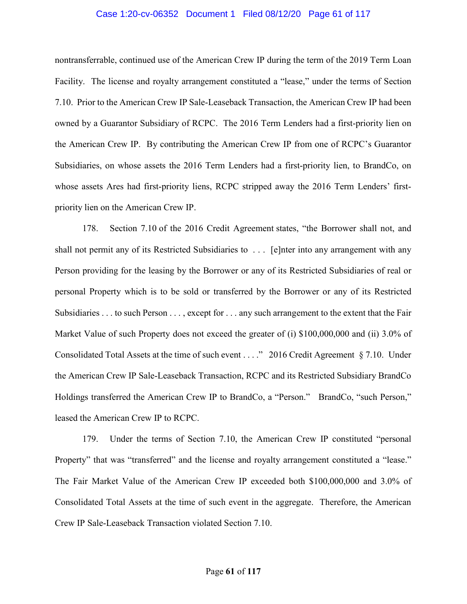## Case 1:20-cv-06352 Document 1 Filed 08/12/20 Page 61 of 117

nontransferrable, continued use of the American Crew IP during the term of the 2019 Term Loan Facility. The license and royalty arrangement constituted a "lease," under the terms of Section 7.10. Prior to the American Crew IP Sale-Leaseback Transaction, the American Crew IP had been owned by a Guarantor Subsidiary of RCPC. The 2016 Term Lenders had a first-priority lien on the American Crew IP. By contributing the American Crew IP from one of RCPC's Guarantor Subsidiaries, on whose assets the 2016 Term Lenders had a first-priority lien, to BrandCo, on whose assets Ares had first-priority liens, RCPC stripped away the 2016 Term Lenders' firstpriority lien on the American Crew IP.

178. Section 7.10 of the 2016 Credit Agreement states, "the Borrower shall not, and shall not permit any of its Restricted Subsidiaries to . . . [e]nter into any arrangement with any Person providing for the leasing by the Borrower or any of its Restricted Subsidiaries of real or personal Property which is to be sold or transferred by the Borrower or any of its Restricted Subsidiaries . . . to such Person . . . , except for . . . any such arrangement to the extent that the Fair Market Value of such Property does not exceed the greater of (i) \$100,000,000 and (ii) 3.0% of Consolidated Total Assets at the time of such event . . . ." 2016 Credit Agreement § 7.10. Under the American Crew IP Sale-Leaseback Transaction, RCPC and its Restricted Subsidiary BrandCo Holdings transferred the American Crew IP to BrandCo, a "Person." BrandCo, "such Person," leased the American Crew IP to RCPC.

179. Under the terms of Section 7.10, the American Crew IP constituted "personal Property" that was "transferred" and the license and royalty arrangement constituted a "lease." The Fair Market Value of the American Crew IP exceeded both \$100,000,000 and 3.0% of Consolidated Total Assets at the time of such event in the aggregate. Therefore, the American Crew IP Sale-Leaseback Transaction violated Section 7.10.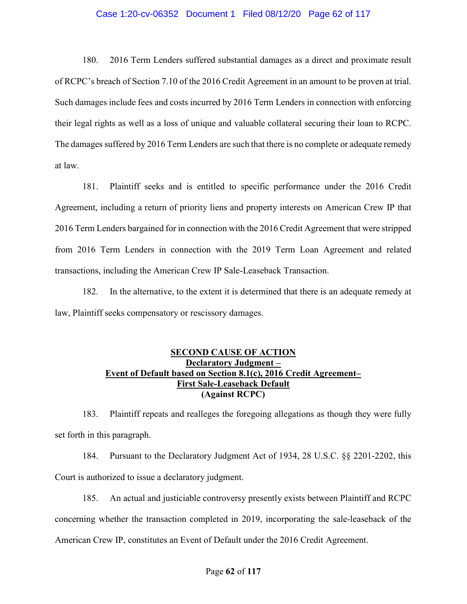## Case 1:20-cv-06352 Document 1 Filed 08/12/20 Page 62 of 117

180. 2016 Term Lenders suffered substantial damages as a direct and proximate result of RCPC's breach of Section 7.10 of the 2016 Credit Agreement in an amount to be proven at trial. Such damages include fees and costs incurred by 2016 Term Lenders in connection with enforcing their legal rights as well as a loss of unique and valuable collateral securing their loan to RCPC. The damages suffered by 2016 Term Lenders are such that there is no complete or adequate remedy at law.

181. Plaintiff seeks and is entitled to specific performance under the 2016 Credit Agreement, including a return of priority liens and property interests on American Crew IP that 2016 Term Lenders bargained for in connection with the 2016 Credit Agreement that were stripped from 2016 Term Lenders in connection with the 2019 Term Loan Agreement and related transactions, including the American Crew IP Sale-Leaseback Transaction.

182. In the alternative, to the extent it is determined that there is an adequate remedy at law, Plaintiff seeks compensatory or rescissory damages.

# SECOND CAUSE OF ACTION Declaratory Judgment – Event of Default based on Section 8.1(c), 2016 Credit Agreement– First Sale-Leaseback Default (Against RCPC)

183. Plaintiff repeats and realleges the foregoing allegations as though they were fully set forth in this paragraph.

184. Pursuant to the Declaratory Judgment Act of 1934, 28 U.S.C. §§ 2201-2202, this Court is authorized to issue a declaratory judgment.

185. An actual and justiciable controversy presently exists between Plaintiff and RCPC concerning whether the transaction completed in 2019, incorporating the sale-leaseback of the American Crew IP, constitutes an Event of Default under the 2016 Credit Agreement.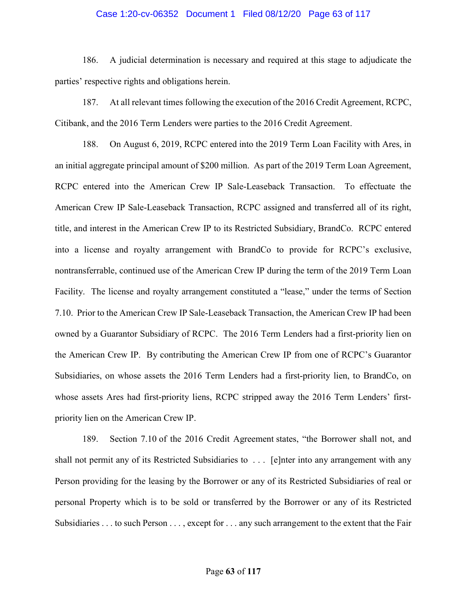## Case 1:20-cv-06352 Document 1 Filed 08/12/20 Page 63 of 117

186. A judicial determination is necessary and required at this stage to adjudicate the parties' respective rights and obligations herein.

187. At all relevant times following the execution of the 2016 Credit Agreement, RCPC, Citibank, and the 2016 Term Lenders were parties to the 2016 Credit Agreement.

188. On August 6, 2019, RCPC entered into the 2019 Term Loan Facility with Ares, in an initial aggregate principal amount of \$200 million. As part of the 2019 Term Loan Agreement, RCPC entered into the American Crew IP Sale-Leaseback Transaction. To effectuate the American Crew IP Sale-Leaseback Transaction, RCPC assigned and transferred all of its right, title, and interest in the American Crew IP to its Restricted Subsidiary, BrandCo. RCPC entered into a license and royalty arrangement with BrandCo to provide for RCPC's exclusive, nontransferrable, continued use of the American Crew IP during the term of the 2019 Term Loan Facility. The license and royalty arrangement constituted a "lease," under the terms of Section 7.10. Prior to the American Crew IP Sale-Leaseback Transaction, the American Crew IP had been owned by a Guarantor Subsidiary of RCPC. The 2016 Term Lenders had a first-priority lien on the American Crew IP. By contributing the American Crew IP from one of RCPC's Guarantor Subsidiaries, on whose assets the 2016 Term Lenders had a first-priority lien, to BrandCo, on whose assets Ares had first-priority liens, RCPC stripped away the 2016 Term Lenders' firstpriority lien on the American Crew IP.

189. Section 7.10 of the 2016 Credit Agreement states, "the Borrower shall not, and shall not permit any of its Restricted Subsidiaries to . . . [e]nter into any arrangement with any Person providing for the leasing by the Borrower or any of its Restricted Subsidiaries of real or personal Property which is to be sold or transferred by the Borrower or any of its Restricted Subsidiaries . . . to such Person . . . , except for . . . any such arrangement to the extent that the Fair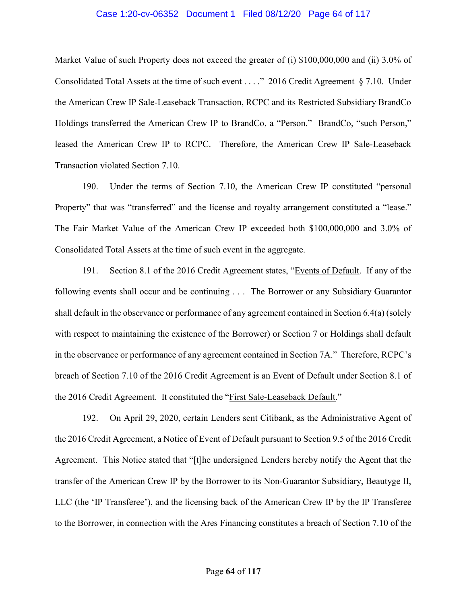## Case 1:20-cv-06352 Document 1 Filed 08/12/20 Page 64 of 117

Market Value of such Property does not exceed the greater of (i) \$100,000,000 and (ii) 3.0% of Consolidated Total Assets at the time of such event . . . ." 2016 Credit Agreement § 7.10. Under the American Crew IP Sale-Leaseback Transaction, RCPC and its Restricted Subsidiary BrandCo Holdings transferred the American Crew IP to BrandCo, a "Person." BrandCo, "such Person," leased the American Crew IP to RCPC. Therefore, the American Crew IP Sale-Leaseback Transaction violated Section 7.10.

190. Under the terms of Section 7.10, the American Crew IP constituted "personal Property" that was "transferred" and the license and royalty arrangement constituted a "lease." The Fair Market Value of the American Crew IP exceeded both \$100,000,000 and 3.0% of Consolidated Total Assets at the time of such event in the aggregate.

191. Section 8.1 of the 2016 Credit Agreement states, "Events of Default. If any of the following events shall occur and be continuing . . . The Borrower or any Subsidiary Guarantor shall default in the observance or performance of any agreement contained in Section 6.4(a) (solely with respect to maintaining the existence of the Borrower) or Section 7 or Holdings shall default in the observance or performance of any agreement contained in Section 7A." Therefore, RCPC's breach of Section 7.10 of the 2016 Credit Agreement is an Event of Default under Section 8.1 of the 2016 Credit Agreement. It constituted the "First Sale-Leaseback Default."

192. On April 29, 2020, certain Lenders sent Citibank, as the Administrative Agent of the 2016 Credit Agreement, a Notice of Event of Default pursuant to Section 9.5 of the 2016 Credit Agreement. This Notice stated that "[t]he undersigned Lenders hereby notify the Agent that the transfer of the American Crew IP by the Borrower to its Non-Guarantor Subsidiary, Beautyge II, LLC (the 'IP Transferee'), and the licensing back of the American Crew IP by the IP Transferee to the Borrower, in connection with the Ares Financing constitutes a breach of Section 7.10 of the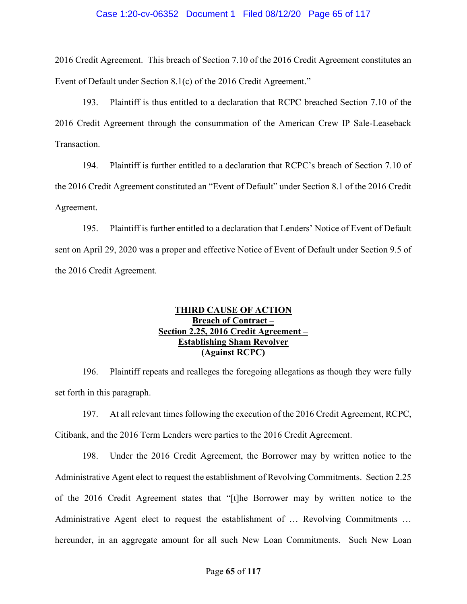## Case 1:20-cv-06352 Document 1 Filed 08/12/20 Page 65 of 117

2016 Credit Agreement. This breach of Section 7.10 of the 2016 Credit Agreement constitutes an Event of Default under Section 8.1(c) of the 2016 Credit Agreement."

193. Plaintiff is thus entitled to a declaration that RCPC breached Section 7.10 of the 2016 Credit Agreement through the consummation of the American Crew IP Sale-Leaseback Transaction.

194. Plaintiff is further entitled to a declaration that RCPC's breach of Section 7.10 of the 2016 Credit Agreement constituted an "Event of Default" under Section 8.1 of the 2016 Credit Agreement.

195. Plaintiff is further entitled to a declaration that Lenders' Notice of Event of Default sent on April 29, 2020 was a proper and effective Notice of Event of Default under Section 9.5 of the 2016 Credit Agreement.

# THIRD CAUSE OF ACTION Breach of Contract – Section 2.25, 2016 Credit Agreement – Establishing Sham Revolver (Against RCPC)

196. Plaintiff repeats and realleges the foregoing allegations as though they were fully set forth in this paragraph.

197. At all relevant times following the execution of the 2016 Credit Agreement, RCPC, Citibank, and the 2016 Term Lenders were parties to the 2016 Credit Agreement.

198. Under the 2016 Credit Agreement, the Borrower may by written notice to the Administrative Agent elect to request the establishment of Revolving Commitments. Section 2.25 of the 2016 Credit Agreement states that "[t]he Borrower may by written notice to the Administrative Agent elect to request the establishment of … Revolving Commitments … hereunder, in an aggregate amount for all such New Loan Commitments. Such New Loan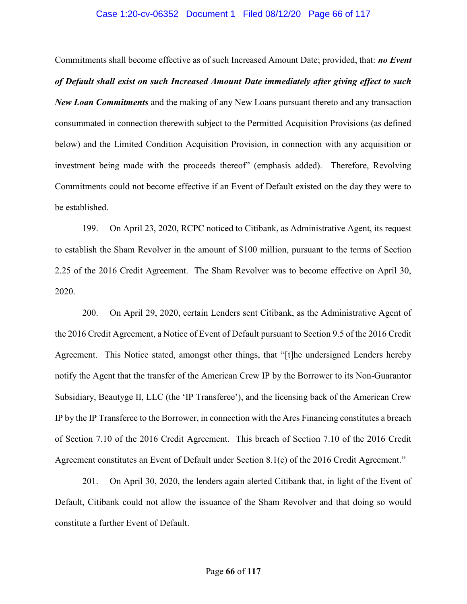### Case 1:20-cv-06352 Document 1 Filed 08/12/20 Page 66 of 117

Commitments shall become effective as of such Increased Amount Date; provided, that: no Event of Default shall exist on such Increased Amount Date immediately after giving effect to such New Loan Commitments and the making of any New Loans pursuant thereto and any transaction consummated in connection therewith subject to the Permitted Acquisition Provisions (as defined below) and the Limited Condition Acquisition Provision, in connection with any acquisition or investment being made with the proceeds thereof" (emphasis added). Therefore, Revolving Commitments could not become effective if an Event of Default existed on the day they were to be established.

199. On April 23, 2020, RCPC noticed to Citibank, as Administrative Agent, its request to establish the Sham Revolver in the amount of \$100 million, pursuant to the terms of Section 2.25 of the 2016 Credit Agreement. The Sham Revolver was to become effective on April 30, 2020.

200. On April 29, 2020, certain Lenders sent Citibank, as the Administrative Agent of the 2016 Credit Agreement, a Notice of Event of Default pursuant to Section 9.5 of the 2016 Credit Agreement. This Notice stated, amongst other things, that "[t]he undersigned Lenders hereby notify the Agent that the transfer of the American Crew IP by the Borrower to its Non-Guarantor Subsidiary, Beautyge II, LLC (the 'IP Transferee'), and the licensing back of the American Crew IP by the IP Transferee to the Borrower, in connection with the Ares Financing constitutes a breach of Section 7.10 of the 2016 Credit Agreement. This breach of Section 7.10 of the 2016 Credit Agreement constitutes an Event of Default under Section 8.1(c) of the 2016 Credit Agreement."

201. On April 30, 2020, the lenders again alerted Citibank that, in light of the Event of Default, Citibank could not allow the issuance of the Sham Revolver and that doing so would constitute a further Event of Default.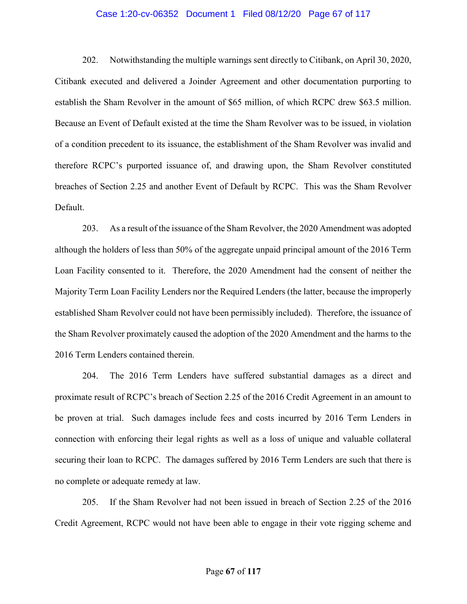## Case 1:20-cv-06352 Document 1 Filed 08/12/20 Page 67 of 117

202. Notwithstanding the multiple warnings sent directly to Citibank, on April 30, 2020, Citibank executed and delivered a Joinder Agreement and other documentation purporting to establish the Sham Revolver in the amount of \$65 million, of which RCPC drew \$63.5 million. Because an Event of Default existed at the time the Sham Revolver was to be issued, in violation of a condition precedent to its issuance, the establishment of the Sham Revolver was invalid and therefore RCPC's purported issuance of, and drawing upon, the Sham Revolver constituted breaches of Section 2.25 and another Event of Default by RCPC. This was the Sham Revolver Default.

203. As a result of the issuance of the Sham Revolver, the 2020 Amendment was adopted although the holders of less than 50% of the aggregate unpaid principal amount of the 2016 Term Loan Facility consented to it. Therefore, the 2020 Amendment had the consent of neither the Majority Term Loan Facility Lenders nor the Required Lenders (the latter, because the improperly established Sham Revolver could not have been permissibly included). Therefore, the issuance of the Sham Revolver proximately caused the adoption of the 2020 Amendment and the harms to the 2016 Term Lenders contained therein.

204. The 2016 Term Lenders have suffered substantial damages as a direct and proximate result of RCPC's breach of Section 2.25 of the 2016 Credit Agreement in an amount to be proven at trial. Such damages include fees and costs incurred by 2016 Term Lenders in connection with enforcing their legal rights as well as a loss of unique and valuable collateral securing their loan to RCPC. The damages suffered by 2016 Term Lenders are such that there is no complete or adequate remedy at law.

205. If the Sham Revolver had not been issued in breach of Section 2.25 of the 2016 Credit Agreement, RCPC would not have been able to engage in their vote rigging scheme and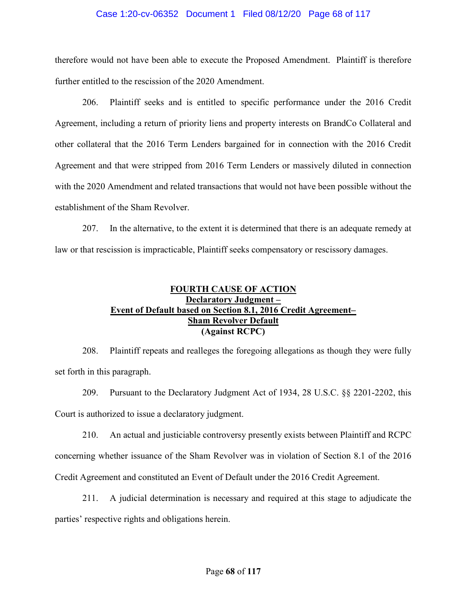## Case 1:20-cv-06352 Document 1 Filed 08/12/20 Page 68 of 117

therefore would not have been able to execute the Proposed Amendment. Plaintiff is therefore further entitled to the rescission of the 2020 Amendment.

206. Plaintiff seeks and is entitled to specific performance under the 2016 Credit Agreement, including a return of priority liens and property interests on BrandCo Collateral and other collateral that the 2016 Term Lenders bargained for in connection with the 2016 Credit Agreement and that were stripped from 2016 Term Lenders or massively diluted in connection with the 2020 Amendment and related transactions that would not have been possible without the establishment of the Sham Revolver.

207. In the alternative, to the extent it is determined that there is an adequate remedy at law or that rescission is impracticable, Plaintiff seeks compensatory or rescissory damages.

# FOURTH CAUSE OF ACTION Declaratory Judgment – Event of Default based on Section 8.1, 2016 Credit Agreement– Sham Revolver Default (Against RCPC)

208. Plaintiff repeats and realleges the foregoing allegations as though they were fully set forth in this paragraph.

209. Pursuant to the Declaratory Judgment Act of 1934, 28 U.S.C. §§ 2201-2202, this Court is authorized to issue a declaratory judgment.

210. An actual and justiciable controversy presently exists between Plaintiff and RCPC concerning whether issuance of the Sham Revolver was in violation of Section 8.1 of the 2016 Credit Agreement and constituted an Event of Default under the 2016 Credit Agreement.

211. A judicial determination is necessary and required at this stage to adjudicate the parties' respective rights and obligations herein.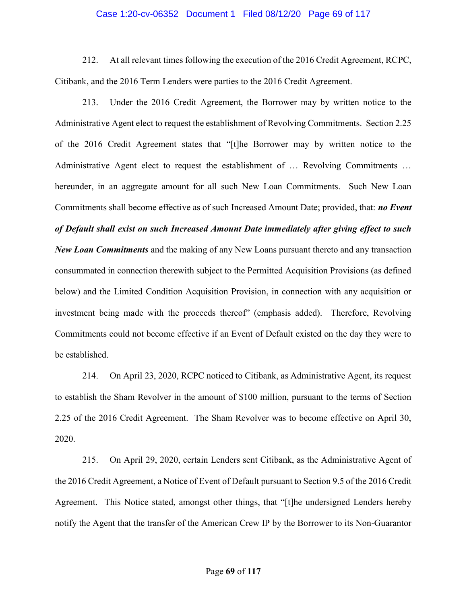### Case 1:20-cv-06352 Document 1 Filed 08/12/20 Page 69 of 117

212. At all relevant times following the execution of the 2016 Credit Agreement, RCPC, Citibank, and the 2016 Term Lenders were parties to the 2016 Credit Agreement.

213. Under the 2016 Credit Agreement, the Borrower may by written notice to the Administrative Agent elect to request the establishment of Revolving Commitments. Section 2.25 of the 2016 Credit Agreement states that "[t]he Borrower may by written notice to the Administrative Agent elect to request the establishment of … Revolving Commitments … hereunder, in an aggregate amount for all such New Loan Commitments. Such New Loan Commitments shall become effective as of such Increased Amount Date; provided, that: **no Event** of Default shall exist on such Increased Amount Date immediately after giving effect to such New Loan Commitments and the making of any New Loans pursuant thereto and any transaction consummated in connection therewith subject to the Permitted Acquisition Provisions (as defined below) and the Limited Condition Acquisition Provision, in connection with any acquisition or investment being made with the proceeds thereof" (emphasis added). Therefore, Revolving Commitments could not become effective if an Event of Default existed on the day they were to be established.

214. On April 23, 2020, RCPC noticed to Citibank, as Administrative Agent, its request to establish the Sham Revolver in the amount of \$100 million, pursuant to the terms of Section 2.25 of the 2016 Credit Agreement. The Sham Revolver was to become effective on April 30, 2020.

215. On April 29, 2020, certain Lenders sent Citibank, as the Administrative Agent of the 2016 Credit Agreement, a Notice of Event of Default pursuant to Section 9.5 of the 2016 Credit Agreement. This Notice stated, amongst other things, that "[t]he undersigned Lenders hereby notify the Agent that the transfer of the American Crew IP by the Borrower to its Non-Guarantor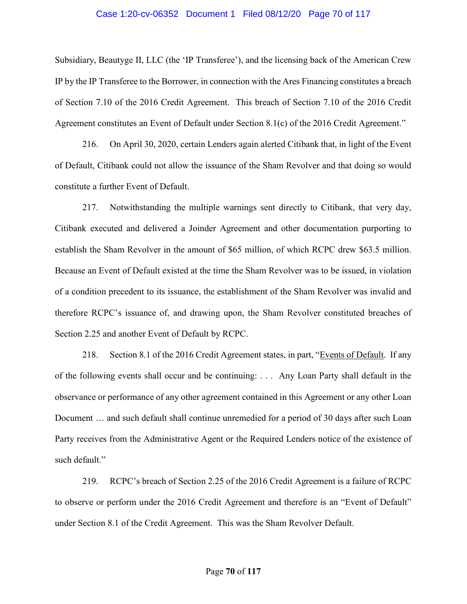### Case 1:20-cv-06352 Document 1 Filed 08/12/20 Page 70 of 117

Subsidiary, Beautyge II, LLC (the 'IP Transferee'), and the licensing back of the American Crew IP by the IP Transferee to the Borrower, in connection with the Ares Financing constitutes a breach of Section 7.10 of the 2016 Credit Agreement. This breach of Section 7.10 of the 2016 Credit Agreement constitutes an Event of Default under Section 8.1(c) of the 2016 Credit Agreement."

216. On April 30, 2020, certain Lenders again alerted Citibank that, in light of the Event of Default, Citibank could not allow the issuance of the Sham Revolver and that doing so would constitute a further Event of Default.

217. Notwithstanding the multiple warnings sent directly to Citibank, that very day, Citibank executed and delivered a Joinder Agreement and other documentation purporting to establish the Sham Revolver in the amount of \$65 million, of which RCPC drew \$63.5 million. Because an Event of Default existed at the time the Sham Revolver was to be issued, in violation of a condition precedent to its issuance, the establishment of the Sham Revolver was invalid and therefore RCPC's issuance of, and drawing upon, the Sham Revolver constituted breaches of Section 2.25 and another Event of Default by RCPC.

218. Section 8.1 of the 2016 Credit Agreement states, in part, "Events of Default. If any of the following events shall occur and be continuing: . . . Any Loan Party shall default in the observance or performance of any other agreement contained in this Agreement or any other Loan Document … and such default shall continue unremedied for a period of 30 days after such Loan Party receives from the Administrative Agent or the Required Lenders notice of the existence of such default."

219. RCPC's breach of Section 2.25 of the 2016 Credit Agreement is a failure of RCPC to observe or perform under the 2016 Credit Agreement and therefore is an "Event of Default" under Section 8.1 of the Credit Agreement. This was the Sham Revolver Default.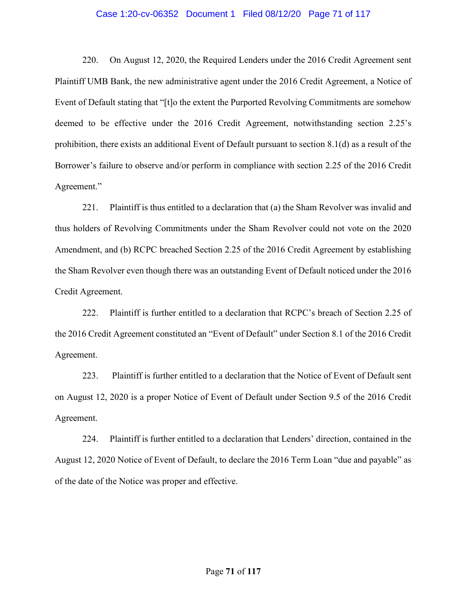#### Case 1:20-cv-06352 Document 1 Filed 08/12/20 Page 71 of 117

220. On August 12, 2020, the Required Lenders under the 2016 Credit Agreement sent Plaintiff UMB Bank, the new administrative agent under the 2016 Credit Agreement, a Notice of Event of Default stating that "[t]o the extent the Purported Revolving Commitments are somehow deemed to be effective under the 2016 Credit Agreement, notwithstanding section 2.25's prohibition, there exists an additional Event of Default pursuant to section 8.1(d) as a result of the Borrower's failure to observe and/or perform in compliance with section 2.25 of the 2016 Credit Agreement."

221. Plaintiff is thus entitled to a declaration that (a) the Sham Revolver was invalid and thus holders of Revolving Commitments under the Sham Revolver could not vote on the 2020 Amendment, and (b) RCPC breached Section 2.25 of the 2016 Credit Agreement by establishing the Sham Revolver even though there was an outstanding Event of Default noticed under the 2016 Credit Agreement.

222. Plaintiff is further entitled to a declaration that RCPC's breach of Section 2.25 of the 2016 Credit Agreement constituted an "Event of Default" under Section 8.1 of the 2016 Credit Agreement.

223. Plaintiff is further entitled to a declaration that the Notice of Event of Default sent on August 12, 2020 is a proper Notice of Event of Default under Section 9.5 of the 2016 Credit Agreement.

224. Plaintiff is further entitled to a declaration that Lenders' direction, contained in the August 12, 2020 Notice of Event of Default, to declare the 2016 Term Loan "due and payable" as of the date of the Notice was proper and effective.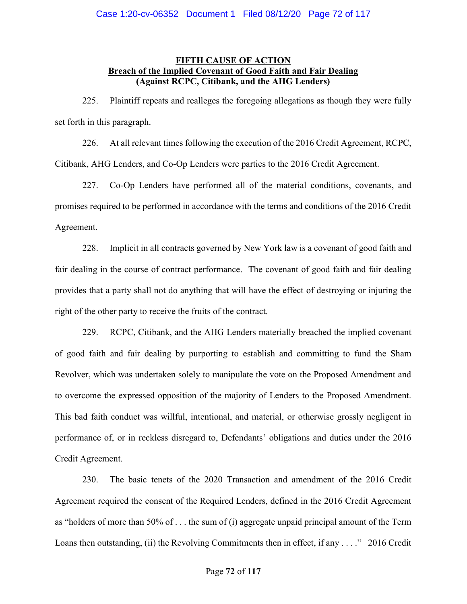# FIFTH CAUSE OF ACTION Breach of the Implied Covenant of Good Faith and Fair Dealing (Against RCPC, Citibank, and the AHG Lenders)

225. Plaintiff repeats and realleges the foregoing allegations as though they were fully set forth in this paragraph.

226. At all relevant times following the execution of the 2016 Credit Agreement, RCPC, Citibank, AHG Lenders, and Co-Op Lenders were parties to the 2016 Credit Agreement.

227. Co-Op Lenders have performed all of the material conditions, covenants, and promises required to be performed in accordance with the terms and conditions of the 2016 Credit Agreement.

228. Implicit in all contracts governed by New York law is a covenant of good faith and fair dealing in the course of contract performance. The covenant of good faith and fair dealing provides that a party shall not do anything that will have the effect of destroying or injuring the right of the other party to receive the fruits of the contract.

229. RCPC, Citibank, and the AHG Lenders materially breached the implied covenant of good faith and fair dealing by purporting to establish and committing to fund the Sham Revolver, which was undertaken solely to manipulate the vote on the Proposed Amendment and to overcome the expressed opposition of the majority of Lenders to the Proposed Amendment. This bad faith conduct was willful, intentional, and material, or otherwise grossly negligent in performance of, or in reckless disregard to, Defendants' obligations and duties under the 2016 Credit Agreement.

230. The basic tenets of the 2020 Transaction and amendment of the 2016 Credit Agreement required the consent of the Required Lenders, defined in the 2016 Credit Agreement as "holders of more than 50% of . . . the sum of (i) aggregate unpaid principal amount of the Term Loans then outstanding, (ii) the Revolving Commitments then in effect, if any . . . ." 2016 Credit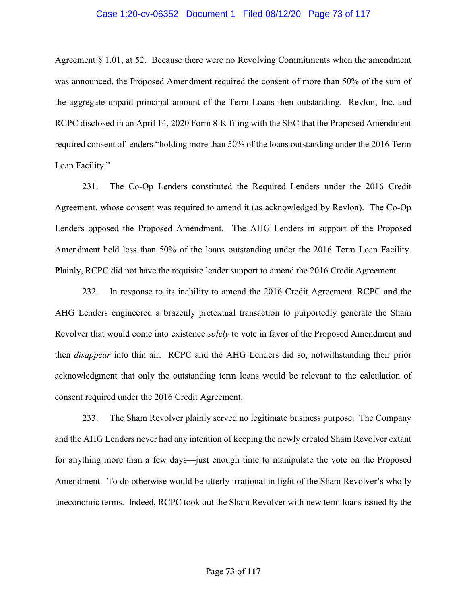#### Case 1:20-cv-06352 Document 1 Filed 08/12/20 Page 73 of 117

Agreement § 1.01, at 52. Because there were no Revolving Commitments when the amendment was announced, the Proposed Amendment required the consent of more than 50% of the sum of the aggregate unpaid principal amount of the Term Loans then outstanding. Revlon, Inc. and RCPC disclosed in an April 14, 2020 Form 8-K filing with the SEC that the Proposed Amendment required consent of lenders "holding more than 50% of the loans outstanding under the 2016 Term Loan Facility."

231. The Co-Op Lenders constituted the Required Lenders under the 2016 Credit Agreement, whose consent was required to amend it (as acknowledged by Revlon). The Co-Op Lenders opposed the Proposed Amendment. The AHG Lenders in support of the Proposed Amendment held less than 50% of the loans outstanding under the 2016 Term Loan Facility. Plainly, RCPC did not have the requisite lender support to amend the 2016 Credit Agreement.

232. In response to its inability to amend the 2016 Credit Agreement, RCPC and the AHG Lenders engineered a brazenly pretextual transaction to purportedly generate the Sham Revolver that would come into existence *solely* to vote in favor of the Proposed Amendment and then disappear into thin air. RCPC and the AHG Lenders did so, notwithstanding their prior acknowledgment that only the outstanding term loans would be relevant to the calculation of consent required under the 2016 Credit Agreement.

233. The Sham Revolver plainly served no legitimate business purpose. The Company and the AHG Lenders never had any intention of keeping the newly created Sham Revolver extant for anything more than a few days—just enough time to manipulate the vote on the Proposed Amendment. To do otherwise would be utterly irrational in light of the Sham Revolver's wholly uneconomic terms. Indeed, RCPC took out the Sham Revolver with new term loans issued by the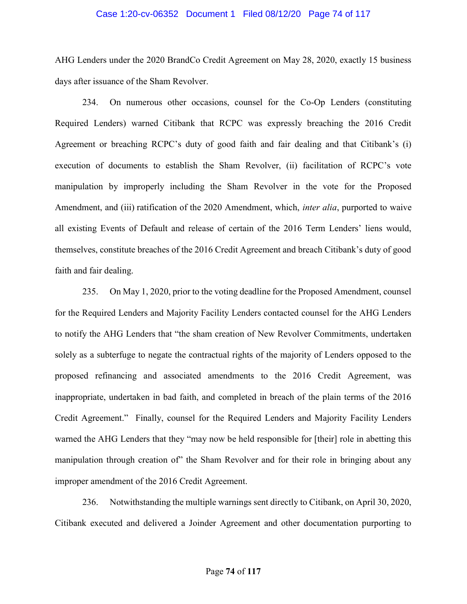#### Case 1:20-cv-06352 Document 1 Filed 08/12/20 Page 74 of 117

AHG Lenders under the 2020 BrandCo Credit Agreement on May 28, 2020, exactly 15 business days after issuance of the Sham Revolver.

234. On numerous other occasions, counsel for the Co-Op Lenders (constituting Required Lenders) warned Citibank that RCPC was expressly breaching the 2016 Credit Agreement or breaching RCPC's duty of good faith and fair dealing and that Citibank's (i) execution of documents to establish the Sham Revolver, (ii) facilitation of RCPC's vote manipulation by improperly including the Sham Revolver in the vote for the Proposed Amendment, and (iii) ratification of the 2020 Amendment, which, *inter alia*, purported to waive all existing Events of Default and release of certain of the 2016 Term Lenders' liens would, themselves, constitute breaches of the 2016 Credit Agreement and breach Citibank's duty of good faith and fair dealing.

235. On May 1, 2020, prior to the voting deadline for the Proposed Amendment, counsel for the Required Lenders and Majority Facility Lenders contacted counsel for the AHG Lenders to notify the AHG Lenders that "the sham creation of New Revolver Commitments, undertaken solely as a subterfuge to negate the contractual rights of the majority of Lenders opposed to the proposed refinancing and associated amendments to the 2016 Credit Agreement, was inappropriate, undertaken in bad faith, and completed in breach of the plain terms of the 2016 Credit Agreement." Finally, counsel for the Required Lenders and Majority Facility Lenders warned the AHG Lenders that they "may now be held responsible for [their] role in abetting this manipulation through creation of" the Sham Revolver and for their role in bringing about any improper amendment of the 2016 Credit Agreement.

236. Notwithstanding the multiple warnings sent directly to Citibank, on April 30, 2020, Citibank executed and delivered a Joinder Agreement and other documentation purporting to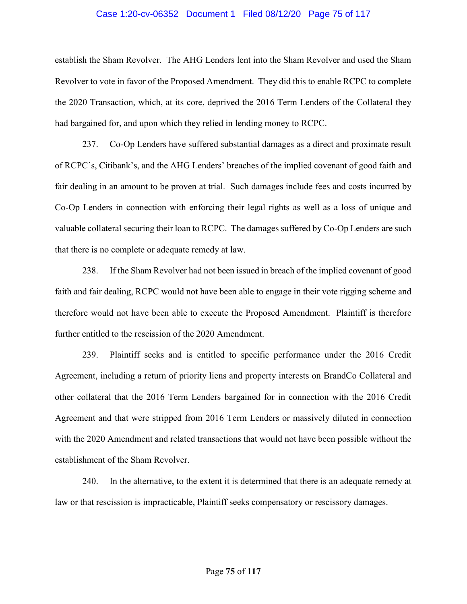#### Case 1:20-cv-06352 Document 1 Filed 08/12/20 Page 75 of 117

establish the Sham Revolver. The AHG Lenders lent into the Sham Revolver and used the Sham Revolver to vote in favor of the Proposed Amendment. They did this to enable RCPC to complete the 2020 Transaction, which, at its core, deprived the 2016 Term Lenders of the Collateral they had bargained for, and upon which they relied in lending money to RCPC.

237. Co-Op Lenders have suffered substantial damages as a direct and proximate result of RCPC's, Citibank's, and the AHG Lenders' breaches of the implied covenant of good faith and fair dealing in an amount to be proven at trial. Such damages include fees and costs incurred by Co-Op Lenders in connection with enforcing their legal rights as well as a loss of unique and valuable collateral securing their loan to RCPC. The damages suffered by Co-Op Lenders are such that there is no complete or adequate remedy at law.

238. If the Sham Revolver had not been issued in breach of the implied covenant of good faith and fair dealing, RCPC would not have been able to engage in their vote rigging scheme and therefore would not have been able to execute the Proposed Amendment. Plaintiff is therefore further entitled to the rescission of the 2020 Amendment.

239. Plaintiff seeks and is entitled to specific performance under the 2016 Credit Agreement, including a return of priority liens and property interests on BrandCo Collateral and other collateral that the 2016 Term Lenders bargained for in connection with the 2016 Credit Agreement and that were stripped from 2016 Term Lenders or massively diluted in connection with the 2020 Amendment and related transactions that would not have been possible without the establishment of the Sham Revolver.

240. In the alternative, to the extent it is determined that there is an adequate remedy at law or that rescission is impracticable, Plaintiff seeks compensatory or rescissory damages.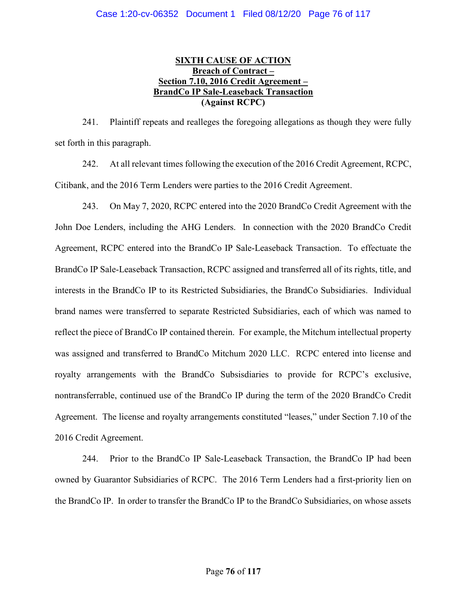# SIXTH CAUSE OF ACTION Breach of Contract – Section 7.10, 2016 Credit Agreement – BrandCo IP Sale-Leaseback Transaction (Against RCPC)

241. Plaintiff repeats and realleges the foregoing allegations as though they were fully set forth in this paragraph.

242. At all relevant times following the execution of the 2016 Credit Agreement, RCPC, Citibank, and the 2016 Term Lenders were parties to the 2016 Credit Agreement.

243. On May 7, 2020, RCPC entered into the 2020 BrandCo Credit Agreement with the John Doe Lenders, including the AHG Lenders. In connection with the 2020 BrandCo Credit Agreement, RCPC entered into the BrandCo IP Sale-Leaseback Transaction. To effectuate the BrandCo IP Sale-Leaseback Transaction, RCPC assigned and transferred all of its rights, title, and interests in the BrandCo IP to its Restricted Subsidiaries, the BrandCo Subsidiaries. Individual brand names were transferred to separate Restricted Subsidiaries, each of which was named to reflect the piece of BrandCo IP contained therein. For example, the Mitchum intellectual property was assigned and transferred to BrandCo Mitchum 2020 LLC. RCPC entered into license and royalty arrangements with the BrandCo Subsisdiaries to provide for RCPC's exclusive, nontransferrable, continued use of the BrandCo IP during the term of the 2020 BrandCo Credit Agreement. The license and royalty arrangements constituted "leases," under Section 7.10 of the 2016 Credit Agreement.

244. Prior to the BrandCo IP Sale-Leaseback Transaction, the BrandCo IP had been owned by Guarantor Subsidiaries of RCPC. The 2016 Term Lenders had a first-priority lien on the BrandCo IP. In order to transfer the BrandCo IP to the BrandCo Subsidiaries, on whose assets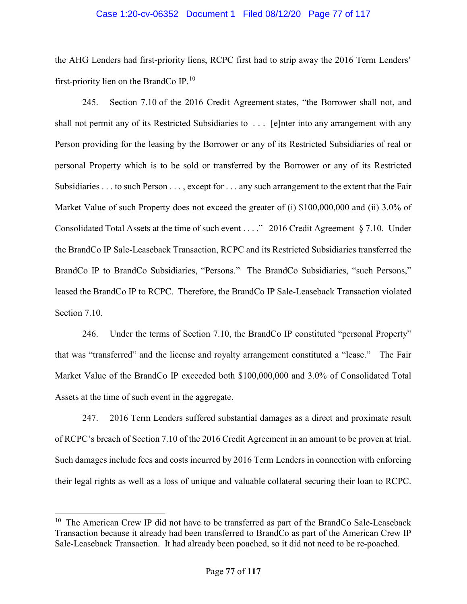#### Case 1:20-cv-06352 Document 1 Filed 08/12/20 Page 77 of 117

the AHG Lenders had first-priority liens, RCPC first had to strip away the 2016 Term Lenders' first-priority lien on the BrandCo IP. $^{10}$ 

245. Section 7.10 of the 2016 Credit Agreement states, "the Borrower shall not, and shall not permit any of its Restricted Subsidiaries to . . . [e]nter into any arrangement with any Person providing for the leasing by the Borrower or any of its Restricted Subsidiaries of real or personal Property which is to be sold or transferred by the Borrower or any of its Restricted Subsidiaries . . . to such Person . . . , except for . . . any such arrangement to the extent that the Fair Market Value of such Property does not exceed the greater of (i) \$100,000,000 and (ii) 3.0% of Consolidated Total Assets at the time of such event . . . ." 2016 Credit Agreement § 7.10. Under the BrandCo IP Sale-Leaseback Transaction, RCPC and its Restricted Subsidiaries transferred the BrandCo IP to BrandCo Subsidiaries, "Persons." The BrandCo Subsidiaries, "such Persons," leased the BrandCo IP to RCPC. Therefore, the BrandCo IP Sale-Leaseback Transaction violated Section 7.10.

246. Under the terms of Section 7.10, the BrandCo IP constituted "personal Property" that was "transferred" and the license and royalty arrangement constituted a "lease." The Fair Market Value of the BrandCo IP exceeded both \$100,000,000 and 3.0% of Consolidated Total Assets at the time of such event in the aggregate.

247. 2016 Term Lenders suffered substantial damages as a direct and proximate result of RCPC's breach of Section 7.10 of the 2016 Credit Agreement in an amount to be proven at trial. Such damages include fees and costs incurred by 2016 Term Lenders in connection with enforcing their legal rights as well as a loss of unique and valuable collateral securing their loan to RCPC.

 $\overline{a}$ 

<sup>&</sup>lt;sup>10</sup> The American Crew IP did not have to be transferred as part of the BrandCo Sale-Leaseback Transaction because it already had been transferred to BrandCo as part of the American Crew IP Sale-Leaseback Transaction. It had already been poached, so it did not need to be re-poached.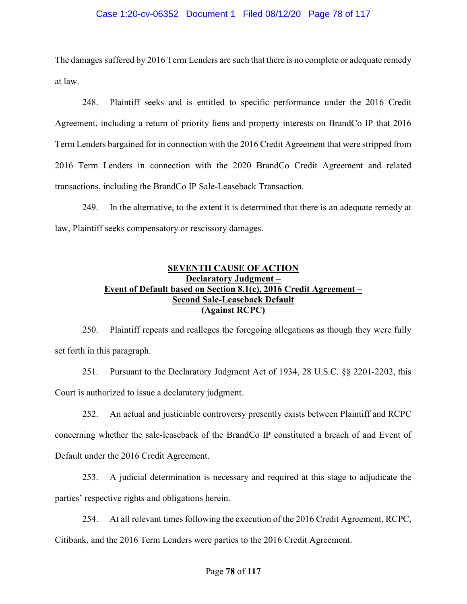#### Case 1:20-cv-06352 Document 1 Filed 08/12/20 Page 78 of 117

The damages suffered by 2016 Term Lenders are such that there is no complete or adequate remedy at law.

248. Plaintiff seeks and is entitled to specific performance under the 2016 Credit Agreement, including a return of priority liens and property interests on BrandCo IP that 2016 Term Lenders bargained for in connection with the 2016 Credit Agreement that were stripped from 2016 Term Lenders in connection with the 2020 BrandCo Credit Agreement and related transactions, including the BrandCo IP Sale-Leaseback Transaction.

249. In the alternative, to the extent it is determined that there is an adequate remedy at law, Plaintiff seeks compensatory or rescissory damages.

## SEVENTH CAUSE OF ACTION Declaratory Judgment – Event of Default based on Section 8.1(c), 2016 Credit Agreement – Second Sale-Leaseback Default (Against RCPC)

250. Plaintiff repeats and realleges the foregoing allegations as though they were fully set forth in this paragraph.

251. Pursuant to the Declaratory Judgment Act of 1934, 28 U.S.C. §§ 2201-2202, this Court is authorized to issue a declaratory judgment.

252. An actual and justiciable controversy presently exists between Plaintiff and RCPC concerning whether the sale-leaseback of the BrandCo IP constituted a breach of and Event of Default under the 2016 Credit Agreement.

253. A judicial determination is necessary and required at this stage to adjudicate the parties' respective rights and obligations herein.

254. At all relevant times following the execution of the 2016 Credit Agreement, RCPC, Citibank, and the 2016 Term Lenders were parties to the 2016 Credit Agreement.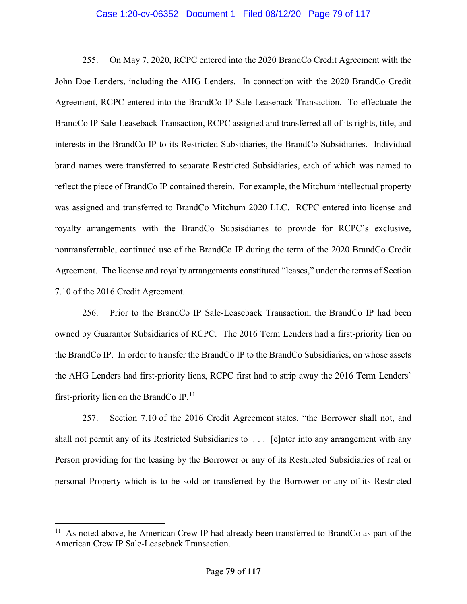#### Case 1:20-cv-06352 Document 1 Filed 08/12/20 Page 79 of 117

255. On May 7, 2020, RCPC entered into the 2020 BrandCo Credit Agreement with the John Doe Lenders, including the AHG Lenders. In connection with the 2020 BrandCo Credit Agreement, RCPC entered into the BrandCo IP Sale-Leaseback Transaction. To effectuate the BrandCo IP Sale-Leaseback Transaction, RCPC assigned and transferred all of its rights, title, and interests in the BrandCo IP to its Restricted Subsidiaries, the BrandCo Subsidiaries. Individual brand names were transferred to separate Restricted Subsidiaries, each of which was named to reflect the piece of BrandCo IP contained therein. For example, the Mitchum intellectual property was assigned and transferred to BrandCo Mitchum 2020 LLC. RCPC entered into license and royalty arrangements with the BrandCo Subsisdiaries to provide for RCPC's exclusive, nontransferrable, continued use of the BrandCo IP during the term of the 2020 BrandCo Credit Agreement. The license and royalty arrangements constituted "leases," under the terms of Section 7.10 of the 2016 Credit Agreement.

256. Prior to the BrandCo IP Sale-Leaseback Transaction, the BrandCo IP had been owned by Guarantor Subsidiaries of RCPC. The 2016 Term Lenders had a first-priority lien on the BrandCo IP. In order to transfer the BrandCo IP to the BrandCo Subsidiaries, on whose assets the AHG Lenders had first-priority liens, RCPC first had to strip away the 2016 Term Lenders' first-priority lien on the BrandCo IP. $^{11}$ 

257. Section 7.10 of the 2016 Credit Agreement states, "the Borrower shall not, and shall not permit any of its Restricted Subsidiaries to . . . [e]nter into any arrangement with any Person providing for the leasing by the Borrower or any of its Restricted Subsidiaries of real or personal Property which is to be sold or transferred by the Borrower or any of its Restricted

 $\overline{a}$ 

 $11$  As noted above, he American Crew IP had already been transferred to BrandCo as part of the American Crew IP Sale-Leaseback Transaction.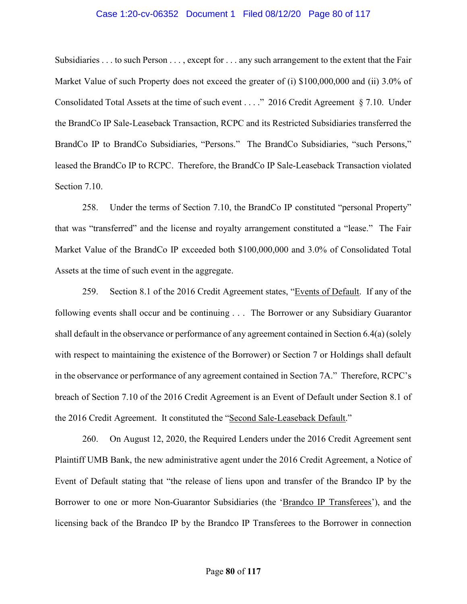#### Case 1:20-cv-06352 Document 1 Filed 08/12/20 Page 80 of 117

Subsidiaries . . . to such Person . . . , except for . . . any such arrangement to the extent that the Fair Market Value of such Property does not exceed the greater of (i) \$100,000,000 and (ii) 3.0% of Consolidated Total Assets at the time of such event . . . ." 2016 Credit Agreement § 7.10. Under the BrandCo IP Sale-Leaseback Transaction, RCPC and its Restricted Subsidiaries transferred the BrandCo IP to BrandCo Subsidiaries, "Persons." The BrandCo Subsidiaries, "such Persons," leased the BrandCo IP to RCPC. Therefore, the BrandCo IP Sale-Leaseback Transaction violated Section 7.10.

258. Under the terms of Section 7.10, the BrandCo IP constituted "personal Property" that was "transferred" and the license and royalty arrangement constituted a "lease." The Fair Market Value of the BrandCo IP exceeded both \$100,000,000 and 3.0% of Consolidated Total Assets at the time of such event in the aggregate.

259. Section 8.1 of the 2016 Credit Agreement states, "Events of Default. If any of the following events shall occur and be continuing . . . The Borrower or any Subsidiary Guarantor shall default in the observance or performance of any agreement contained in Section 6.4(a) (solely with respect to maintaining the existence of the Borrower) or Section 7 or Holdings shall default in the observance or performance of any agreement contained in Section 7A." Therefore, RCPC's breach of Section 7.10 of the 2016 Credit Agreement is an Event of Default under Section 8.1 of the 2016 Credit Agreement. It constituted the "Second Sale-Leaseback Default."

260. On August 12, 2020, the Required Lenders under the 2016 Credit Agreement sent Plaintiff UMB Bank, the new administrative agent under the 2016 Credit Agreement, a Notice of Event of Default stating that "the release of liens upon and transfer of the Brandco IP by the Borrower to one or more Non-Guarantor Subsidiaries (the 'Brandco IP Transferees'), and the licensing back of the Brandco IP by the Brandco IP Transferees to the Borrower in connection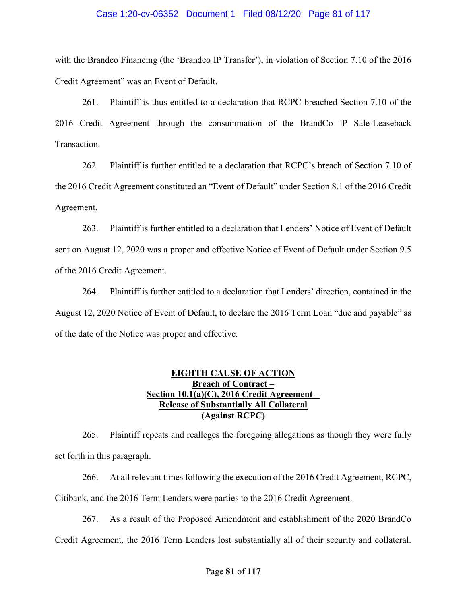#### Case 1:20-cv-06352 Document 1 Filed 08/12/20 Page 81 of 117

with the Brandco Financing (the 'Brandco IP Transfer'), in violation of Section 7.10 of the 2016 Credit Agreement" was an Event of Default.

261. Plaintiff is thus entitled to a declaration that RCPC breached Section 7.10 of the 2016 Credit Agreement through the consummation of the BrandCo IP Sale-Leaseback Transaction.

262. Plaintiff is further entitled to a declaration that RCPC's breach of Section 7.10 of the 2016 Credit Agreement constituted an "Event of Default" under Section 8.1 of the 2016 Credit Agreement.

263. Plaintiff is further entitled to a declaration that Lenders' Notice of Event of Default sent on August 12, 2020 was a proper and effective Notice of Event of Default under Section 9.5 of the 2016 Credit Agreement.

264. Plaintiff is further entitled to a declaration that Lenders' direction, contained in the August 12, 2020 Notice of Event of Default, to declare the 2016 Term Loan "due and payable" as of the date of the Notice was proper and effective.

# EIGHTH CAUSE OF ACTION Breach of Contract – Section 10.1(a)(C), 2016 Credit Agreement – Release of Substantially All Collateral (Against RCPC)

265. Plaintiff repeats and realleges the foregoing allegations as though they were fully set forth in this paragraph.

266. At all relevant times following the execution of the 2016 Credit Agreement, RCPC, Citibank, and the 2016 Term Lenders were parties to the 2016 Credit Agreement.

267. As a result of the Proposed Amendment and establishment of the 2020 BrandCo Credit Agreement, the 2016 Term Lenders lost substantially all of their security and collateral.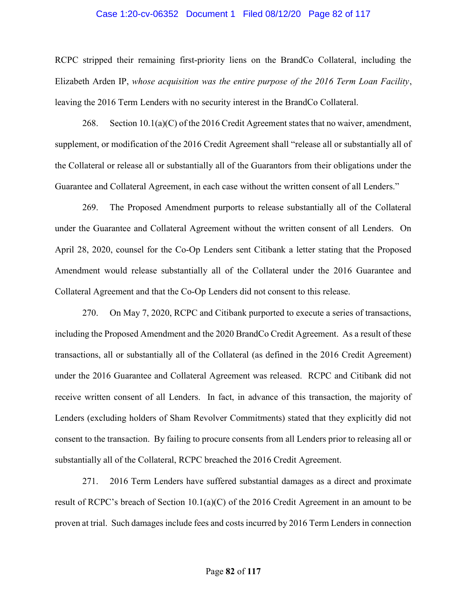#### Case 1:20-cv-06352 Document 1 Filed 08/12/20 Page 82 of 117

RCPC stripped their remaining first-priority liens on the BrandCo Collateral, including the Elizabeth Arden IP, whose acquisition was the entire purpose of the 2016 Term Loan Facility, leaving the 2016 Term Lenders with no security interest in the BrandCo Collateral.

268. Section  $10.1(a)(C)$  of the 2016 Credit Agreement states that no waiver, amendment, supplement, or modification of the 2016 Credit Agreement shall "release all or substantially all of the Collateral or release all or substantially all of the Guarantors from their obligations under the Guarantee and Collateral Agreement, in each case without the written consent of all Lenders."

269. The Proposed Amendment purports to release substantially all of the Collateral under the Guarantee and Collateral Agreement without the written consent of all Lenders. On April 28, 2020, counsel for the Co-Op Lenders sent Citibank a letter stating that the Proposed Amendment would release substantially all of the Collateral under the 2016 Guarantee and Collateral Agreement and that the Co-Op Lenders did not consent to this release.

270. On May 7, 2020, RCPC and Citibank purported to execute a series of transactions, including the Proposed Amendment and the 2020 BrandCo Credit Agreement. As a result of these transactions, all or substantially all of the Collateral (as defined in the 2016 Credit Agreement) under the 2016 Guarantee and Collateral Agreement was released. RCPC and Citibank did not receive written consent of all Lenders. In fact, in advance of this transaction, the majority of Lenders (excluding holders of Sham Revolver Commitments) stated that they explicitly did not consent to the transaction. By failing to procure consents from all Lenders prior to releasing all or substantially all of the Collateral, RCPC breached the 2016 Credit Agreement.

271. 2016 Term Lenders have suffered substantial damages as a direct and proximate result of RCPC's breach of Section 10.1(a)(C) of the 2016 Credit Agreement in an amount to be proven at trial. Such damages include fees and costs incurred by 2016 Term Lenders in connection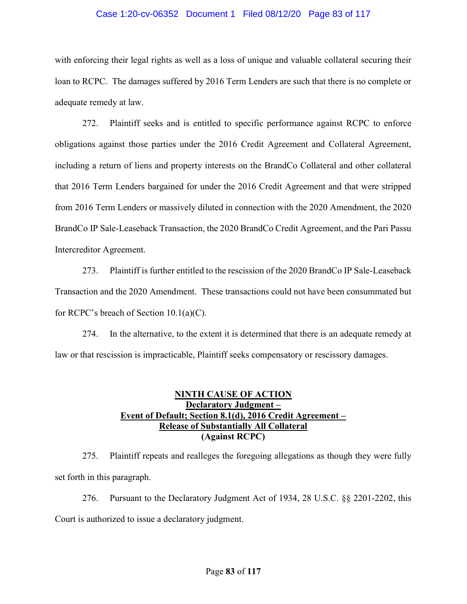#### Case 1:20-cv-06352 Document 1 Filed 08/12/20 Page 83 of 117

with enforcing their legal rights as well as a loss of unique and valuable collateral securing their loan to RCPC. The damages suffered by 2016 Term Lenders are such that there is no complete or adequate remedy at law.

272. Plaintiff seeks and is entitled to specific performance against RCPC to enforce obligations against those parties under the 2016 Credit Agreement and Collateral Agreement, including a return of liens and property interests on the BrandCo Collateral and other collateral that 2016 Term Lenders bargained for under the 2016 Credit Agreement and that were stripped from 2016 Term Lenders or massively diluted in connection with the 2020 Amendment, the 2020 BrandCo IP Sale-Leaseback Transaction, the 2020 BrandCo Credit Agreement, and the Pari Passu Intercreditor Agreement.

273. Plaintiff is further entitled to the rescission of the 2020 BrandCo IP Sale-Leaseback Transaction and the 2020 Amendment. These transactions could not have been consummated but for RCPC's breach of Section 10.1(a)(C).

274. In the alternative, to the extent it is determined that there is an adequate remedy at law or that rescission is impracticable, Plaintiff seeks compensatory or rescissory damages.

# NINTH CAUSE OF ACTION Declaratory Judgment -Event of Default; Section 8.1(d), 2016 Credit Agreement – Release of Substantially All Collateral (Against RCPC)

275. Plaintiff repeats and realleges the foregoing allegations as though they were fully set forth in this paragraph.

276. Pursuant to the Declaratory Judgment Act of 1934, 28 U.S.C. §§ 2201-2202, this Court is authorized to issue a declaratory judgment.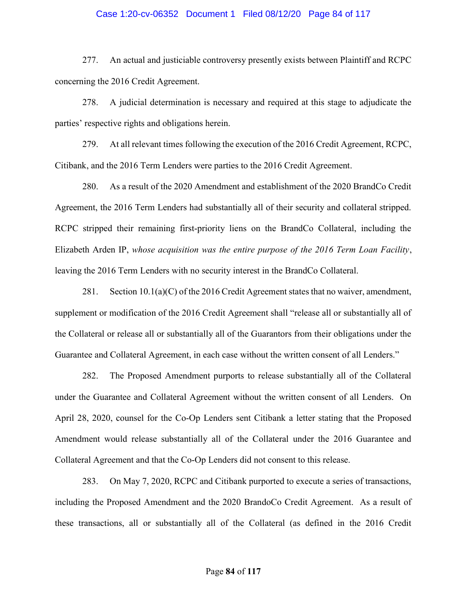#### Case 1:20-cv-06352 Document 1 Filed 08/12/20 Page 84 of 117

277. An actual and justiciable controversy presently exists between Plaintiff and RCPC concerning the 2016 Credit Agreement.

278. A judicial determination is necessary and required at this stage to adjudicate the parties' respective rights and obligations herein.

279. At all relevant times following the execution of the 2016 Credit Agreement, RCPC, Citibank, and the 2016 Term Lenders were parties to the 2016 Credit Agreement.

280. As a result of the 2020 Amendment and establishment of the 2020 BrandCo Credit Agreement, the 2016 Term Lenders had substantially all of their security and collateral stripped. RCPC stripped their remaining first-priority liens on the BrandCo Collateral, including the Elizabeth Arden IP, whose acquisition was the entire purpose of the 2016 Term Loan Facility, leaving the 2016 Term Lenders with no security interest in the BrandCo Collateral.

281. Section  $10.1(a)(C)$  of the 2016 Credit Agreement states that no waiver, amendment, supplement or modification of the 2016 Credit Agreement shall "release all or substantially all of the Collateral or release all or substantially all of the Guarantors from their obligations under the Guarantee and Collateral Agreement, in each case without the written consent of all Lenders."

282. The Proposed Amendment purports to release substantially all of the Collateral under the Guarantee and Collateral Agreement without the written consent of all Lenders. On April 28, 2020, counsel for the Co-Op Lenders sent Citibank a letter stating that the Proposed Amendment would release substantially all of the Collateral under the 2016 Guarantee and Collateral Agreement and that the Co-Op Lenders did not consent to this release.

283. On May 7, 2020, RCPC and Citibank purported to execute a series of transactions, including the Proposed Amendment and the 2020 BrandoCo Credit Agreement. As a result of these transactions, all or substantially all of the Collateral (as defined in the 2016 Credit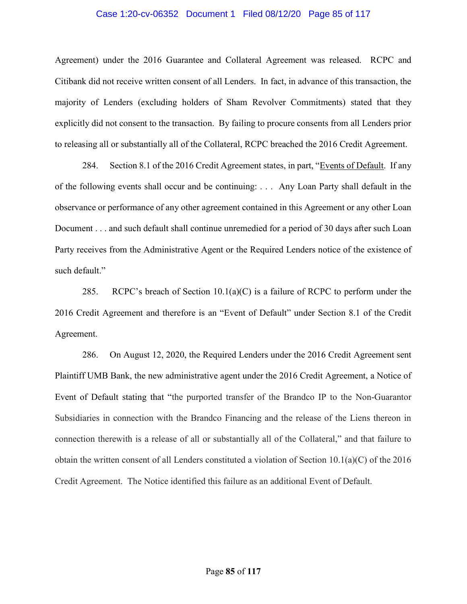#### Case 1:20-cv-06352 Document 1 Filed 08/12/20 Page 85 of 117

Agreement) under the 2016 Guarantee and Collateral Agreement was released. RCPC and Citibank did not receive written consent of all Lenders. In fact, in advance of this transaction, the majority of Lenders (excluding holders of Sham Revolver Commitments) stated that they explicitly did not consent to the transaction. By failing to procure consents from all Lenders prior to releasing all or substantially all of the Collateral, RCPC breached the 2016 Credit Agreement.

284. Section 8.1 of the 2016 Credit Agreement states, in part, "Events of Default. If any of the following events shall occur and be continuing: . . . Any Loan Party shall default in the observance or performance of any other agreement contained in this Agreement or any other Loan Document . . . and such default shall continue unremedied for a period of 30 days after such Loan Party receives from the Administrative Agent or the Required Lenders notice of the existence of such default."

285. RCPC's breach of Section  $10.1(a)(C)$  is a failure of RCPC to perform under the 2016 Credit Agreement and therefore is an "Event of Default" under Section 8.1 of the Credit Agreement.

286. On August 12, 2020, the Required Lenders under the 2016 Credit Agreement sent Plaintiff UMB Bank, the new administrative agent under the 2016 Credit Agreement, a Notice of Event of Default stating that "the purported transfer of the Brandco IP to the Non-Guarantor Subsidiaries in connection with the Brandco Financing and the release of the Liens thereon in connection therewith is a release of all or substantially all of the Collateral," and that failure to obtain the written consent of all Lenders constituted a violation of Section 10.1(a)(C) of the 2016 Credit Agreement. The Notice identified this failure as an additional Event of Default.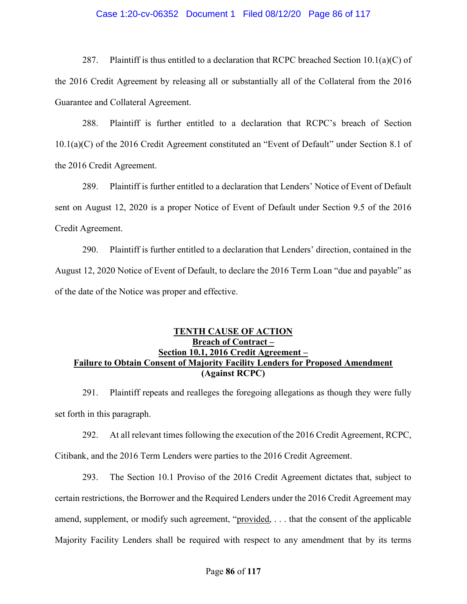#### Case 1:20-cv-06352 Document 1 Filed 08/12/20 Page 86 of 117

287. Plaintiff is thus entitled to a declaration that RCPC breached Section 10.1(a)(C) of the 2016 Credit Agreement by releasing all or substantially all of the Collateral from the 2016 Guarantee and Collateral Agreement.

288. Plaintiff is further entitled to a declaration that RCPC's breach of Section 10.1(a)(C) of the 2016 Credit Agreement constituted an "Event of Default" under Section 8.1 of the 2016 Credit Agreement.

289. Plaintiff is further entitled to a declaration that Lenders' Notice of Event of Default sent on August 12, 2020 is a proper Notice of Event of Default under Section 9.5 of the 2016 Credit Agreement.

290. Plaintiff is further entitled to a declaration that Lenders' direction, contained in the August 12, 2020 Notice of Event of Default, to declare the 2016 Term Loan "due and payable" as of the date of the Notice was proper and effective.

# TENTH CAUSE OF ACTION Breach of Contract – Section 10.1, 2016 Credit Agreement – Failure to Obtain Consent of Majority Facility Lenders for Proposed Amendment (Against RCPC)

291. Plaintiff repeats and realleges the foregoing allegations as though they were fully set forth in this paragraph.

292. At all relevant times following the execution of the 2016 Credit Agreement, RCPC, Citibank, and the 2016 Term Lenders were parties to the 2016 Credit Agreement.

293. The Section 10.1 Proviso of the 2016 Credit Agreement dictates that, subject to certain restrictions, the Borrower and the Required Lenders under the 2016 Credit Agreement may amend, supplement, or modify such agreement, "provided, ... that the consent of the applicable Majority Facility Lenders shall be required with respect to any amendment that by its terms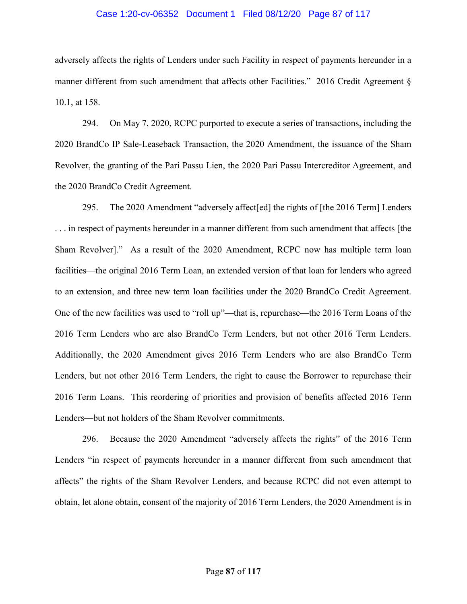#### Case 1:20-cv-06352 Document 1 Filed 08/12/20 Page 87 of 117

adversely affects the rights of Lenders under such Facility in respect of payments hereunder in a manner different from such amendment that affects other Facilities." 2016 Credit Agreement § 10.1, at 158.

294. On May 7, 2020, RCPC purported to execute a series of transactions, including the 2020 BrandCo IP Sale-Leaseback Transaction, the 2020 Amendment, the issuance of the Sham Revolver, the granting of the Pari Passu Lien, the 2020 Pari Passu Intercreditor Agreement, and the 2020 BrandCo Credit Agreement.

295. The 2020 Amendment "adversely affect[ed] the rights of [the 2016 Term] Lenders . . . in respect of payments hereunder in a manner different from such amendment that affects [the Sham Revolver]." As a result of the 2020 Amendment, RCPC now has multiple term loan facilities—the original 2016 Term Loan, an extended version of that loan for lenders who agreed to an extension, and three new term loan facilities under the 2020 BrandCo Credit Agreement. One of the new facilities was used to "roll up"—that is, repurchase—the 2016 Term Loans of the 2016 Term Lenders who are also BrandCo Term Lenders, but not other 2016 Term Lenders. Additionally, the 2020 Amendment gives 2016 Term Lenders who are also BrandCo Term Lenders, but not other 2016 Term Lenders, the right to cause the Borrower to repurchase their 2016 Term Loans. This reordering of priorities and provision of benefits affected 2016 Term Lenders—but not holders of the Sham Revolver commitments.

296. Because the 2020 Amendment "adversely affects the rights" of the 2016 Term Lenders "in respect of payments hereunder in a manner different from such amendment that affects" the rights of the Sham Revolver Lenders, and because RCPC did not even attempt to obtain, let alone obtain, consent of the majority of 2016 Term Lenders, the 2020 Amendment is in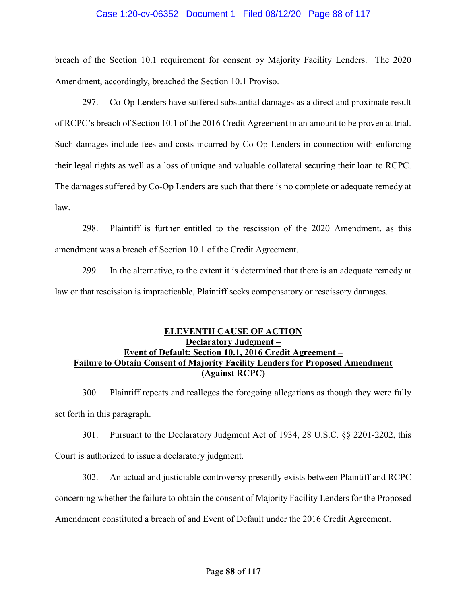#### Case 1:20-cv-06352 Document 1 Filed 08/12/20 Page 88 of 117

breach of the Section 10.1 requirement for consent by Majority Facility Lenders. The 2020 Amendment, accordingly, breached the Section 10.1 Proviso.

297. Co-Op Lenders have suffered substantial damages as a direct and proximate result of RCPC's breach of Section 10.1 of the 2016 Credit Agreement in an amount to be proven at trial. Such damages include fees and costs incurred by Co-Op Lenders in connection with enforcing their legal rights as well as a loss of unique and valuable collateral securing their loan to RCPC. The damages suffered by Co-Op Lenders are such that there is no complete or adequate remedy at law.

298. Plaintiff is further entitled to the rescission of the 2020 Amendment, as this amendment was a breach of Section 10.1 of the Credit Agreement.

299. In the alternative, to the extent it is determined that there is an adequate remedy at law or that rescission is impracticable, Plaintiff seeks compensatory or rescissory damages.

## ELEVENTH CAUSE OF ACTION Declaratory Judgment – Event of Default; Section 10.1, 2016 Credit Agreement – Failure to Obtain Consent of Majority Facility Lenders for Proposed Amendment (Against RCPC)

300. Plaintiff repeats and realleges the foregoing allegations as though they were fully set forth in this paragraph.

301. Pursuant to the Declaratory Judgment Act of 1934, 28 U.S.C. §§ 2201-2202, this Court is authorized to issue a declaratory judgment.

302. An actual and justiciable controversy presently exists between Plaintiff and RCPC concerning whether the failure to obtain the consent of Majority Facility Lenders for the Proposed Amendment constituted a breach of and Event of Default under the 2016 Credit Agreement.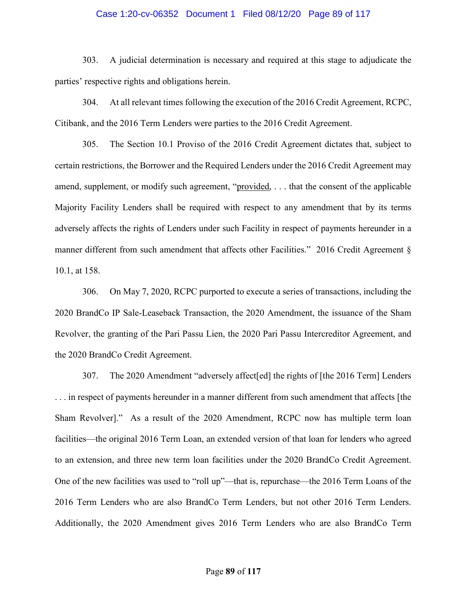#### Case 1:20-cv-06352 Document 1 Filed 08/12/20 Page 89 of 117

303. A judicial determination is necessary and required at this stage to adjudicate the parties' respective rights and obligations herein.

304. At all relevant times following the execution of the 2016 Credit Agreement, RCPC, Citibank, and the 2016 Term Lenders were parties to the 2016 Credit Agreement.

305. The Section 10.1 Proviso of the 2016 Credit Agreement dictates that, subject to certain restrictions, the Borrower and the Required Lenders under the 2016 Credit Agreement may amend, supplement, or modify such agreement, "provided, . . . that the consent of the applicable Majority Facility Lenders shall be required with respect to any amendment that by its terms adversely affects the rights of Lenders under such Facility in respect of payments hereunder in a manner different from such amendment that affects other Facilities." 2016 Credit Agreement § 10.1, at 158.

306. On May 7, 2020, RCPC purported to execute a series of transactions, including the 2020 BrandCo IP Sale-Leaseback Transaction, the 2020 Amendment, the issuance of the Sham Revolver, the granting of the Pari Passu Lien, the 2020 Pari Passu Intercreditor Agreement, and the 2020 BrandCo Credit Agreement.

307. The 2020 Amendment "adversely affect[ed] the rights of [the 2016 Term] Lenders . . . in respect of payments hereunder in a manner different from such amendment that affects [the Sham Revolver]." As a result of the 2020 Amendment, RCPC now has multiple term loan facilities—the original 2016 Term Loan, an extended version of that loan for lenders who agreed to an extension, and three new term loan facilities under the 2020 BrandCo Credit Agreement. One of the new facilities was used to "roll up"—that is, repurchase—the 2016 Term Loans of the 2016 Term Lenders who are also BrandCo Term Lenders, but not other 2016 Term Lenders. Additionally, the 2020 Amendment gives 2016 Term Lenders who are also BrandCo Term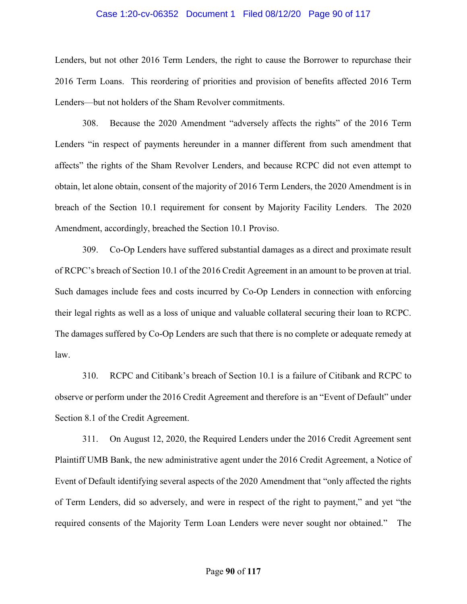#### Case 1:20-cv-06352 Document 1 Filed 08/12/20 Page 90 of 117

Lenders, but not other 2016 Term Lenders, the right to cause the Borrower to repurchase their 2016 Term Loans. This reordering of priorities and provision of benefits affected 2016 Term Lenders—but not holders of the Sham Revolver commitments.

308. Because the 2020 Amendment "adversely affects the rights" of the 2016 Term Lenders "in respect of payments hereunder in a manner different from such amendment that affects" the rights of the Sham Revolver Lenders, and because RCPC did not even attempt to obtain, let alone obtain, consent of the majority of 2016 Term Lenders, the 2020 Amendment is in breach of the Section 10.1 requirement for consent by Majority Facility Lenders. The 2020 Amendment, accordingly, breached the Section 10.1 Proviso.

309. Co-Op Lenders have suffered substantial damages as a direct and proximate result of RCPC's breach of Section 10.1 of the 2016 Credit Agreement in an amount to be proven at trial. Such damages include fees and costs incurred by Co-Op Lenders in connection with enforcing their legal rights as well as a loss of unique and valuable collateral securing their loan to RCPC. The damages suffered by Co-Op Lenders are such that there is no complete or adequate remedy at law.

310. RCPC and Citibank's breach of Section 10.1 is a failure of Citibank and RCPC to observe or perform under the 2016 Credit Agreement and therefore is an "Event of Default" under Section 8.1 of the Credit Agreement.

311. On August 12, 2020, the Required Lenders under the 2016 Credit Agreement sent Plaintiff UMB Bank, the new administrative agent under the 2016 Credit Agreement, a Notice of Event of Default identifying several aspects of the 2020 Amendment that "only affected the rights of Term Lenders, did so adversely, and were in respect of the right to payment," and yet "the required consents of the Majority Term Loan Lenders were never sought nor obtained." The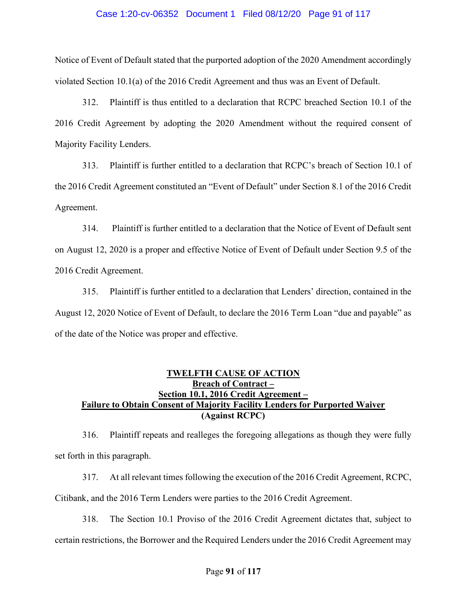#### Case 1:20-cv-06352 Document 1 Filed 08/12/20 Page 91 of 117

Notice of Event of Default stated that the purported adoption of the 2020 Amendment accordingly violated Section 10.1(a) of the 2016 Credit Agreement and thus was an Event of Default.

312. Plaintiff is thus entitled to a declaration that RCPC breached Section 10.1 of the 2016 Credit Agreement by adopting the 2020 Amendment without the required consent of Majority Facility Lenders.

313. Plaintiff is further entitled to a declaration that RCPC's breach of Section 10.1 of the 2016 Credit Agreement constituted an "Event of Default" under Section 8.1 of the 2016 Credit Agreement.

314. Plaintiff is further entitled to a declaration that the Notice of Event of Default sent on August 12, 2020 is a proper and effective Notice of Event of Default under Section 9.5 of the 2016 Credit Agreement.

315. Plaintiff is further entitled to a declaration that Lenders' direction, contained in the August 12, 2020 Notice of Event of Default, to declare the 2016 Term Loan "due and payable" as of the date of the Notice was proper and effective.

# TWELFTH CAUSE OF ACTION Breach of Contract – Section 10.1, 2016 Credit Agreement – Failure to Obtain Consent of Majority Facility Lenders for Purported Waiver (Against RCPC)

316. Plaintiff repeats and realleges the foregoing allegations as though they were fully set forth in this paragraph.

317. At all relevant times following the execution of the 2016 Credit Agreement, RCPC, Citibank, and the 2016 Term Lenders were parties to the 2016 Credit Agreement.

318. The Section 10.1 Proviso of the 2016 Credit Agreement dictates that, subject to certain restrictions, the Borrower and the Required Lenders under the 2016 Credit Agreement may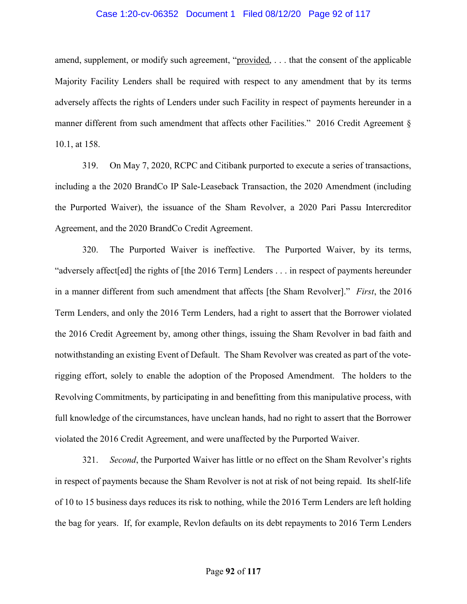#### Case 1:20-cv-06352 Document 1 Filed 08/12/20 Page 92 of 117

amend, supplement, or modify such agreement, "provided, . . . that the consent of the applicable Majority Facility Lenders shall be required with respect to any amendment that by its terms adversely affects the rights of Lenders under such Facility in respect of payments hereunder in a manner different from such amendment that affects other Facilities." 2016 Credit Agreement § 10.1, at 158.

319. On May 7, 2020, RCPC and Citibank purported to execute a series of transactions, including a the 2020 BrandCo IP Sale-Leaseback Transaction, the 2020 Amendment (including the Purported Waiver), the issuance of the Sham Revolver, a 2020 Pari Passu Intercreditor Agreement, and the 2020 BrandCo Credit Agreement.

320. The Purported Waiver is ineffective. The Purported Waiver, by its terms, "adversely affect[ed] the rights of [the 2016 Term] Lenders . . . in respect of payments hereunder in a manner different from such amendment that affects [the Sham Revolver]." First, the 2016 Term Lenders, and only the 2016 Term Lenders, had a right to assert that the Borrower violated the 2016 Credit Agreement by, among other things, issuing the Sham Revolver in bad faith and notwithstanding an existing Event of Default. The Sham Revolver was created as part of the voterigging effort, solely to enable the adoption of the Proposed Amendment. The holders to the Revolving Commitments, by participating in and benefitting from this manipulative process, with full knowledge of the circumstances, have unclean hands, had no right to assert that the Borrower violated the 2016 Credit Agreement, and were unaffected by the Purported Waiver.

321. Second, the Purported Waiver has little or no effect on the Sham Revolver's rights in respect of payments because the Sham Revolver is not at risk of not being repaid. Its shelf-life of 10 to 15 business days reduces its risk to nothing, while the 2016 Term Lenders are left holding the bag for years. If, for example, Revlon defaults on its debt repayments to 2016 Term Lenders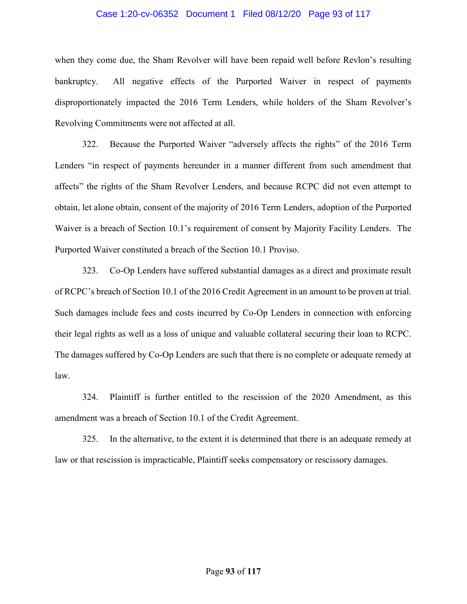#### Case 1:20-cv-06352 Document 1 Filed 08/12/20 Page 93 of 117

when they come due, the Sham Revolver will have been repaid well before Revlon's resulting bankruptcy. All negative effects of the Purported Waiver in respect of payments disproportionately impacted the 2016 Term Lenders, while holders of the Sham Revolver's Revolving Commitments were not affected at all.

322. Because the Purported Waiver "adversely affects the rights" of the 2016 Term Lenders "in respect of payments hereunder in a manner different from such amendment that affects" the rights of the Sham Revolver Lenders, and because RCPC did not even attempt to obtain, let alone obtain, consent of the majority of 2016 Term Lenders, adoption of the Purported Waiver is a breach of Section 10.1's requirement of consent by Majority Facility Lenders. The Purported Waiver constituted a breach of the Section 10.1 Proviso.

323. Co-Op Lenders have suffered substantial damages as a direct and proximate result of RCPC's breach of Section 10.1 of the 2016 Credit Agreement in an amount to be proven at trial. Such damages include fees and costs incurred by Co-Op Lenders in connection with enforcing their legal rights as well as a loss of unique and valuable collateral securing their loan to RCPC. The damages suffered by Co-Op Lenders are such that there is no complete or adequate remedy at law.

324. Plaintiff is further entitled to the rescission of the 2020 Amendment, as this amendment was a breach of Section 10.1 of the Credit Agreement.

325. In the alternative, to the extent it is determined that there is an adequate remedy at law or that rescission is impracticable, Plaintiff seeks compensatory or rescissory damages.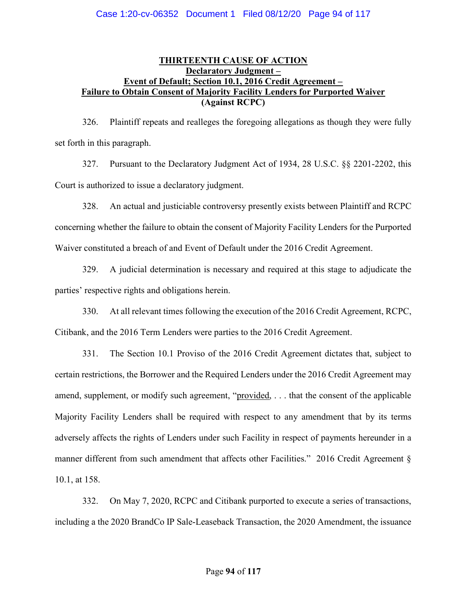# THIRTEENTH CAUSE OF ACTION Declaratory Judgment – Event of Default; Section 10.1, 2016 Credit Agreement – Failure to Obtain Consent of Majority Facility Lenders for Purported Waiver (Against RCPC)

326. Plaintiff repeats and realleges the foregoing allegations as though they were fully set forth in this paragraph.

327. Pursuant to the Declaratory Judgment Act of 1934, 28 U.S.C. §§ 2201-2202, this Court is authorized to issue a declaratory judgment.

328. An actual and justiciable controversy presently exists between Plaintiff and RCPC concerning whether the failure to obtain the consent of Majority Facility Lenders for the Purported Waiver constituted a breach of and Event of Default under the 2016 Credit Agreement.

329. A judicial determination is necessary and required at this stage to adjudicate the parties' respective rights and obligations herein.

330. At all relevant times following the execution of the 2016 Credit Agreement, RCPC, Citibank, and the 2016 Term Lenders were parties to the 2016 Credit Agreement.

331. The Section 10.1 Proviso of the 2016 Credit Agreement dictates that, subject to certain restrictions, the Borrower and the Required Lenders under the 2016 Credit Agreement may amend, supplement, or modify such agreement, "provided, . . . that the consent of the applicable Majority Facility Lenders shall be required with respect to any amendment that by its terms adversely affects the rights of Lenders under such Facility in respect of payments hereunder in a manner different from such amendment that affects other Facilities." 2016 Credit Agreement § 10.1, at 158.

332. On May 7, 2020, RCPC and Citibank purported to execute a series of transactions, including a the 2020 BrandCo IP Sale-Leaseback Transaction, the 2020 Amendment, the issuance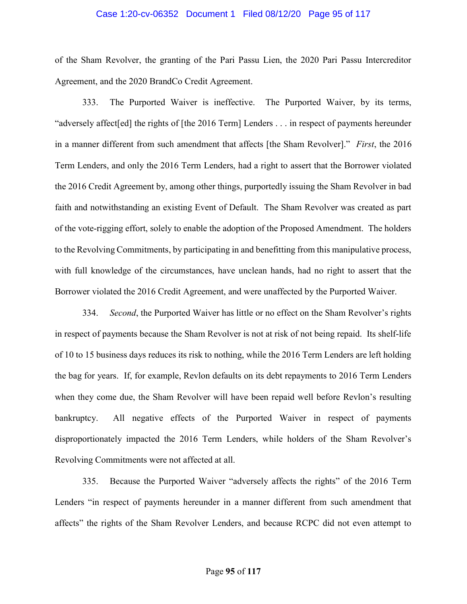#### Case 1:20-cv-06352 Document 1 Filed 08/12/20 Page 95 of 117

of the Sham Revolver, the granting of the Pari Passu Lien, the 2020 Pari Passu Intercreditor Agreement, and the 2020 BrandCo Credit Agreement.

333. The Purported Waiver is ineffective. The Purported Waiver, by its terms, "adversely affect[ed] the rights of [the 2016 Term] Lenders . . . in respect of payments hereunder in a manner different from such amendment that affects [the Sham Revolver]." First, the 2016 Term Lenders, and only the 2016 Term Lenders, had a right to assert that the Borrower violated the 2016 Credit Agreement by, among other things, purportedly issuing the Sham Revolver in bad faith and notwithstanding an existing Event of Default. The Sham Revolver was created as part of the vote-rigging effort, solely to enable the adoption of the Proposed Amendment. The holders to the Revolving Commitments, by participating in and benefitting from this manipulative process, with full knowledge of the circumstances, have unclean hands, had no right to assert that the Borrower violated the 2016 Credit Agreement, and were unaffected by the Purported Waiver.

334. Second, the Purported Waiver has little or no effect on the Sham Revolver's rights in respect of payments because the Sham Revolver is not at risk of not being repaid. Its shelf-life of 10 to 15 business days reduces its risk to nothing, while the 2016 Term Lenders are left holding the bag for years. If, for example, Revlon defaults on its debt repayments to 2016 Term Lenders when they come due, the Sham Revolver will have been repaid well before Revlon's resulting bankruptcy. All negative effects of the Purported Waiver in respect of payments disproportionately impacted the 2016 Term Lenders, while holders of the Sham Revolver's Revolving Commitments were not affected at all.

335. Because the Purported Waiver "adversely affects the rights" of the 2016 Term Lenders "in respect of payments hereunder in a manner different from such amendment that affects" the rights of the Sham Revolver Lenders, and because RCPC did not even attempt to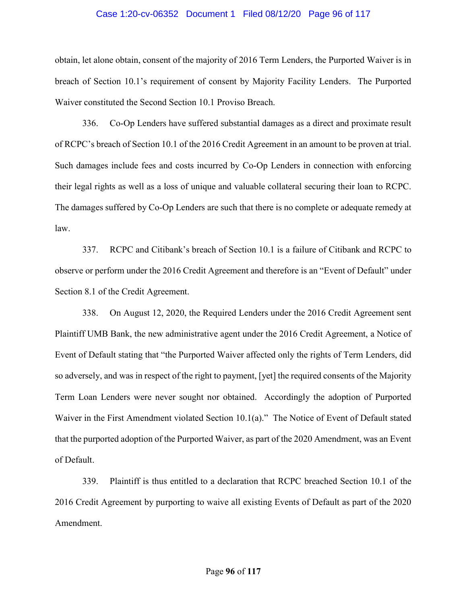#### Case 1:20-cv-06352 Document 1 Filed 08/12/20 Page 96 of 117

obtain, let alone obtain, consent of the majority of 2016 Term Lenders, the Purported Waiver is in breach of Section 10.1's requirement of consent by Majority Facility Lenders. The Purported Waiver constituted the Second Section 10.1 Proviso Breach.

336. Co-Op Lenders have suffered substantial damages as a direct and proximate result of RCPC's breach of Section 10.1 of the 2016 Credit Agreement in an amount to be proven at trial. Such damages include fees and costs incurred by Co-Op Lenders in connection with enforcing their legal rights as well as a loss of unique and valuable collateral securing their loan to RCPC. The damages suffered by Co-Op Lenders are such that there is no complete or adequate remedy at law.

337. RCPC and Citibank's breach of Section 10.1 is a failure of Citibank and RCPC to observe or perform under the 2016 Credit Agreement and therefore is an "Event of Default" under Section 8.1 of the Credit Agreement.

338. On August 12, 2020, the Required Lenders under the 2016 Credit Agreement sent Plaintiff UMB Bank, the new administrative agent under the 2016 Credit Agreement, a Notice of Event of Default stating that "the Purported Waiver affected only the rights of Term Lenders, did so adversely, and was in respect of the right to payment, [yet] the required consents of the Majority Term Loan Lenders were never sought nor obtained. Accordingly the adoption of Purported Waiver in the First Amendment violated Section 10.1(a)." The Notice of Event of Default stated that the purported adoption of the Purported Waiver, as part of the 2020 Amendment, was an Event of Default.

339. Plaintiff is thus entitled to a declaration that RCPC breached Section 10.1 of the 2016 Credit Agreement by purporting to waive all existing Events of Default as part of the 2020 Amendment.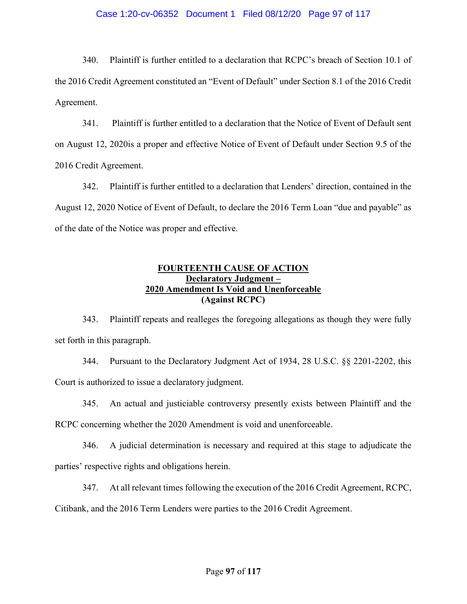#### Case 1:20-cv-06352 Document 1 Filed 08/12/20 Page 97 of 117

340. Plaintiff is further entitled to a declaration that RCPC's breach of Section 10.1 of the 2016 Credit Agreement constituted an "Event of Default" under Section 8.1 of the 2016 Credit Agreement.

341. Plaintiff is further entitled to a declaration that the Notice of Event of Default sent on August 12, 2020is a proper and effective Notice of Event of Default under Section 9.5 of the 2016 Credit Agreement.

342. Plaintiff is further entitled to a declaration that Lenders' direction, contained in the August 12, 2020 Notice of Event of Default, to declare the 2016 Term Loan "due and payable" as of the date of the Notice was proper and effective.

## FOURTEENTH CAUSE OF ACTION Declaratory Judgment – 2020 Amendment Is Void and Unenforceable (Against RCPC)

343. Plaintiff repeats and realleges the foregoing allegations as though they were fully set forth in this paragraph.

344. Pursuant to the Declaratory Judgment Act of 1934, 28 U.S.C. §§ 2201-2202, this Court is authorized to issue a declaratory judgment.

345. An actual and justiciable controversy presently exists between Plaintiff and the

RCPC concerning whether the 2020 Amendment is void and unenforceable.

346. A judicial determination is necessary and required at this stage to adjudicate the parties' respective rights and obligations herein.

347. At all relevant times following the execution of the 2016 Credit Agreement, RCPC, Citibank, and the 2016 Term Lenders were parties to the 2016 Credit Agreement.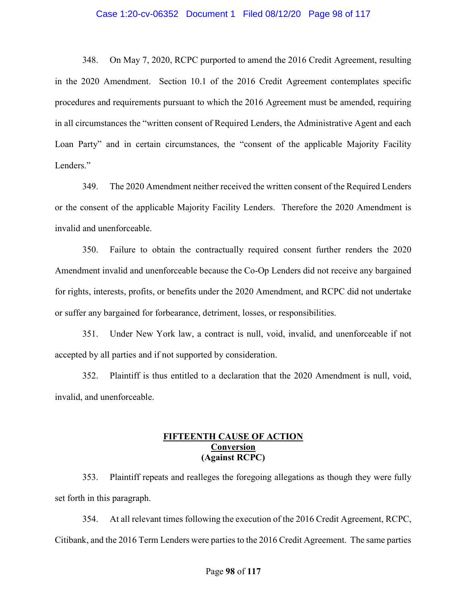#### Case 1:20-cv-06352 Document 1 Filed 08/12/20 Page 98 of 117

348. On May 7, 2020, RCPC purported to amend the 2016 Credit Agreement, resulting in the 2020 Amendment. Section 10.1 of the 2016 Credit Agreement contemplates specific procedures and requirements pursuant to which the 2016 Agreement must be amended, requiring in all circumstances the "written consent of Required Lenders, the Administrative Agent and each Loan Party" and in certain circumstances, the "consent of the applicable Majority Facility Lenders."

349. The 2020 Amendment neither received the written consent of the Required Lenders or the consent of the applicable Majority Facility Lenders. Therefore the 2020 Amendment is invalid and unenforceable.

350. Failure to obtain the contractually required consent further renders the 2020 Amendment invalid and unenforceable because the Co-Op Lenders did not receive any bargained for rights, interests, profits, or benefits under the 2020 Amendment, and RCPC did not undertake or suffer any bargained for forbearance, detriment, losses, or responsibilities.

351. Under New York law, a contract is null, void, invalid, and unenforceable if not accepted by all parties and if not supported by consideration.

352. Plaintiff is thus entitled to a declaration that the 2020 Amendment is null, void, invalid, and unenforceable.

## FIFTEENTH CAUSE OF ACTION Conversion (Against RCPC)

353. Plaintiff repeats and realleges the foregoing allegations as though they were fully set forth in this paragraph.

354. At all relevant times following the execution of the 2016 Credit Agreement, RCPC, Citibank, and the 2016 Term Lenders were parties to the 2016 Credit Agreement. The same parties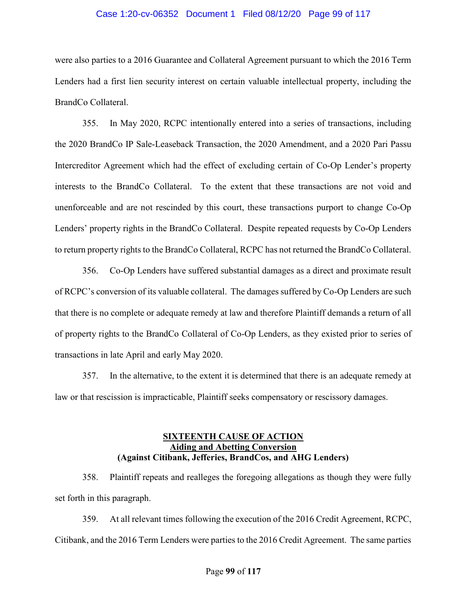#### Case 1:20-cv-06352 Document 1 Filed 08/12/20 Page 99 of 117

were also parties to a 2016 Guarantee and Collateral Agreement pursuant to which the 2016 Term Lenders had a first lien security interest on certain valuable intellectual property, including the BrandCo Collateral.

355. In May 2020, RCPC intentionally entered into a series of transactions, including the 2020 BrandCo IP Sale-Leaseback Transaction, the 2020 Amendment, and a 2020 Pari Passu Intercreditor Agreement which had the effect of excluding certain of Co-Op Lender's property interests to the BrandCo Collateral. To the extent that these transactions are not void and unenforceable and are not rescinded by this court, these transactions purport to change Co-Op Lenders' property rights in the BrandCo Collateral. Despite repeated requests by Co-Op Lenders to return property rights to the BrandCo Collateral, RCPC has not returned the BrandCo Collateral.

356. Co-Op Lenders have suffered substantial damages as a direct and proximate result of RCPC's conversion of its valuable collateral. The damages suffered by Co-Op Lenders are such that there is no complete or adequate remedy at law and therefore Plaintiff demands a return of all of property rights to the BrandCo Collateral of Co-Op Lenders, as they existed prior to series of transactions in late April and early May 2020.

357. In the alternative, to the extent it is determined that there is an adequate remedy at law or that rescission is impracticable, Plaintiff seeks compensatory or rescissory damages.

# SIXTEENTH CAUSE OF ACTION Aiding and Abetting Conversion (Against Citibank, Jefferies, BrandCos, and AHG Lenders)

358. Plaintiff repeats and realleges the foregoing allegations as though they were fully set forth in this paragraph.

359. At all relevant times following the execution of the 2016 Credit Agreement, RCPC, Citibank, and the 2016 Term Lenders were parties to the 2016 Credit Agreement. The same parties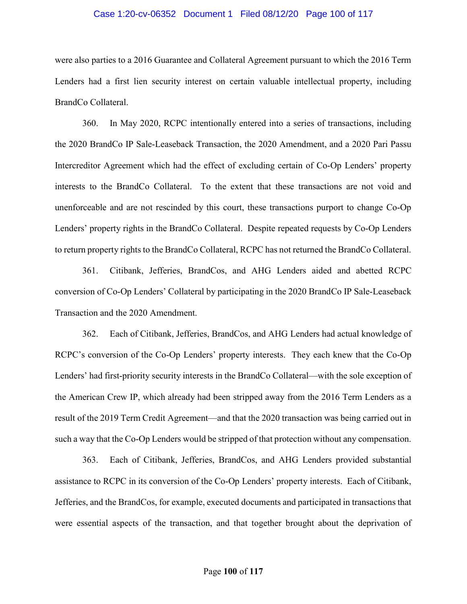#### Case 1:20-cv-06352 Document 1 Filed 08/12/20 Page 100 of 117

were also parties to a 2016 Guarantee and Collateral Agreement pursuant to which the 2016 Term Lenders had a first lien security interest on certain valuable intellectual property, including BrandCo Collateral.

360. In May 2020, RCPC intentionally entered into a series of transactions, including the 2020 BrandCo IP Sale-Leaseback Transaction, the 2020 Amendment, and a 2020 Pari Passu Intercreditor Agreement which had the effect of excluding certain of Co-Op Lenders' property interests to the BrandCo Collateral. To the extent that these transactions are not void and unenforceable and are not rescinded by this court, these transactions purport to change Co-Op Lenders' property rights in the BrandCo Collateral. Despite repeated requests by Co-Op Lenders to return property rights to the BrandCo Collateral, RCPC has not returned the BrandCo Collateral.

361. Citibank, Jefferies, BrandCos, and AHG Lenders aided and abetted RCPC conversion of Co-Op Lenders' Collateral by participating in the 2020 BrandCo IP Sale-Leaseback Transaction and the 2020 Amendment.

362. Each of Citibank, Jefferies, BrandCos, and AHG Lenders had actual knowledge of RCPC's conversion of the Co-Op Lenders' property interests. They each knew that the Co-Op Lenders' had first-priority security interests in the BrandCo Collateral—with the sole exception of the American Crew IP, which already had been stripped away from the 2016 Term Lenders as a result of the 2019 Term Credit Agreement—and that the 2020 transaction was being carried out in such a way that the Co-Op Lenders would be stripped of that protection without any compensation.

363. Each of Citibank, Jefferies, BrandCos, and AHG Lenders provided substantial assistance to RCPC in its conversion of the Co-Op Lenders' property interests. Each of Citibank, Jefferies, and the BrandCos, for example, executed documents and participated in transactions that were essential aspects of the transaction, and that together brought about the deprivation of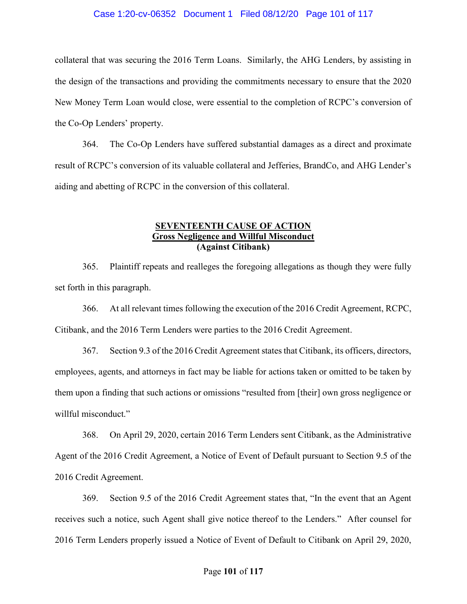#### Case 1:20-cv-06352 Document 1 Filed 08/12/20 Page 101 of 117

collateral that was securing the 2016 Term Loans. Similarly, the AHG Lenders, by assisting in the design of the transactions and providing the commitments necessary to ensure that the 2020 New Money Term Loan would close, were essential to the completion of RCPC's conversion of the Co-Op Lenders' property.

364. The Co-Op Lenders have suffered substantial damages as a direct and proximate result of RCPC's conversion of its valuable collateral and Jefferies, BrandCo, and AHG Lender's aiding and abetting of RCPC in the conversion of this collateral.

## SEVENTEENTH CAUSE OF ACTION Gross Negligence and Willful Misconduct (Against Citibank)

365. Plaintiff repeats and realleges the foregoing allegations as though they were fully set forth in this paragraph.

366. At all relevant times following the execution of the 2016 Credit Agreement, RCPC, Citibank, and the 2016 Term Lenders were parties to the 2016 Credit Agreement.

367. Section 9.3 of the 2016 Credit Agreement states that Citibank, its officers, directors, employees, agents, and attorneys in fact may be liable for actions taken or omitted to be taken by them upon a finding that such actions or omissions "resulted from [their] own gross negligence or willful misconduct."

368. On April 29, 2020, certain 2016 Term Lenders sent Citibank, as the Administrative Agent of the 2016 Credit Agreement, a Notice of Event of Default pursuant to Section 9.5 of the 2016 Credit Agreement.

369. Section 9.5 of the 2016 Credit Agreement states that, "In the event that an Agent receives such a notice, such Agent shall give notice thereof to the Lenders." After counsel for 2016 Term Lenders properly issued a Notice of Event of Default to Citibank on April 29, 2020,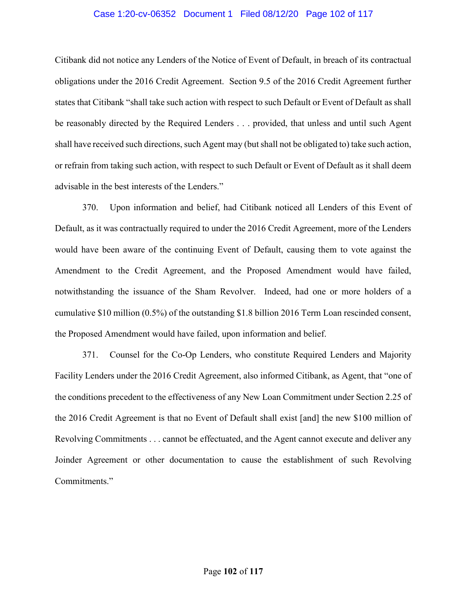#### Case 1:20-cv-06352 Document 1 Filed 08/12/20 Page 102 of 117

Citibank did not notice any Lenders of the Notice of Event of Default, in breach of its contractual obligations under the 2016 Credit Agreement. Section 9.5 of the 2016 Credit Agreement further states that Citibank "shall take such action with respect to such Default or Event of Default as shall be reasonably directed by the Required Lenders . . . provided, that unless and until such Agent shall have received such directions, such Agent may (but shall not be obligated to) take such action, or refrain from taking such action, with respect to such Default or Event of Default as it shall deem advisable in the best interests of the Lenders."

370. Upon information and belief, had Citibank noticed all Lenders of this Event of Default, as it was contractually required to under the 2016 Credit Agreement, more of the Lenders would have been aware of the continuing Event of Default, causing them to vote against the Amendment to the Credit Agreement, and the Proposed Amendment would have failed, notwithstanding the issuance of the Sham Revolver. Indeed, had one or more holders of a cumulative \$10 million (0.5%) of the outstanding \$1.8 billion 2016 Term Loan rescinded consent, the Proposed Amendment would have failed, upon information and belief.

371. Counsel for the Co-Op Lenders, who constitute Required Lenders and Majority Facility Lenders under the 2016 Credit Agreement, also informed Citibank, as Agent, that "one of the conditions precedent to the effectiveness of any New Loan Commitment under Section 2.25 of the 2016 Credit Agreement is that no Event of Default shall exist [and] the new \$100 million of Revolving Commitments . . . cannot be effectuated, and the Agent cannot execute and deliver any Joinder Agreement or other documentation to cause the establishment of such Revolving Commitments."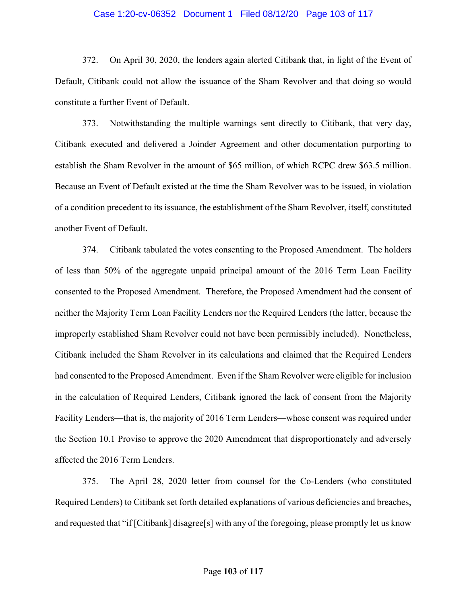#### Case 1:20-cv-06352 Document 1 Filed 08/12/20 Page 103 of 117

372. On April 30, 2020, the lenders again alerted Citibank that, in light of the Event of Default, Citibank could not allow the issuance of the Sham Revolver and that doing so would constitute a further Event of Default.

373. Notwithstanding the multiple warnings sent directly to Citibank, that very day, Citibank executed and delivered a Joinder Agreement and other documentation purporting to establish the Sham Revolver in the amount of \$65 million, of which RCPC drew \$63.5 million. Because an Event of Default existed at the time the Sham Revolver was to be issued, in violation of a condition precedent to its issuance, the establishment of the Sham Revolver, itself, constituted another Event of Default.

374. Citibank tabulated the votes consenting to the Proposed Amendment. The holders of less than 50% of the aggregate unpaid principal amount of the 2016 Term Loan Facility consented to the Proposed Amendment. Therefore, the Proposed Amendment had the consent of neither the Majority Term Loan Facility Lenders nor the Required Lenders (the latter, because the improperly established Sham Revolver could not have been permissibly included). Nonetheless, Citibank included the Sham Revolver in its calculations and claimed that the Required Lenders had consented to the Proposed Amendment. Even if the Sham Revolver were eligible for inclusion in the calculation of Required Lenders, Citibank ignored the lack of consent from the Majority Facility Lenders—that is, the majority of 2016 Term Lenders—whose consent was required under the Section 10.1 Proviso to approve the 2020 Amendment that disproportionately and adversely affected the 2016 Term Lenders.

375. The April 28, 2020 letter from counsel for the Co-Lenders (who constituted Required Lenders) to Citibank set forth detailed explanations of various deficiencies and breaches, and requested that "if [Citibank] disagree[s] with any of the foregoing, please promptly let us know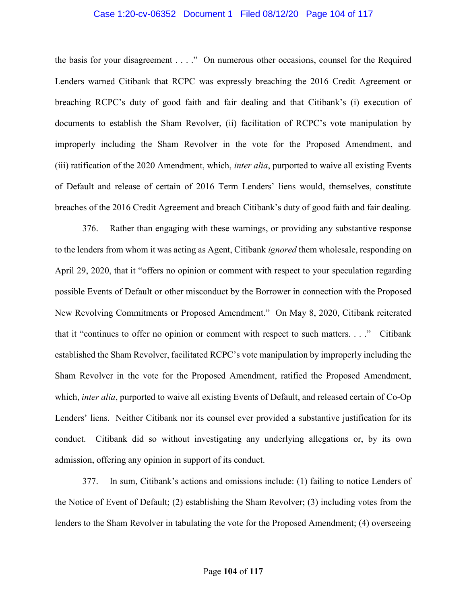#### Case 1:20-cv-06352 Document 1 Filed 08/12/20 Page 104 of 117

the basis for your disagreement . . . ." On numerous other occasions, counsel for the Required Lenders warned Citibank that RCPC was expressly breaching the 2016 Credit Agreement or breaching RCPC's duty of good faith and fair dealing and that Citibank's (i) execution of documents to establish the Sham Revolver, (ii) facilitation of RCPC's vote manipulation by improperly including the Sham Revolver in the vote for the Proposed Amendment, and (iii) ratification of the 2020 Amendment, which, inter alia, purported to waive all existing Events of Default and release of certain of 2016 Term Lenders' liens would, themselves, constitute breaches of the 2016 Credit Agreement and breach Citibank's duty of good faith and fair dealing.

376. Rather than engaging with these warnings, or providing any substantive response to the lenders from whom it was acting as Agent, Citibank *ignored* them wholesale, responding on April 29, 2020, that it "offers no opinion or comment with respect to your speculation regarding possible Events of Default or other misconduct by the Borrower in connection with the Proposed New Revolving Commitments or Proposed Amendment." On May 8, 2020, Citibank reiterated that it "continues to offer no opinion or comment with respect to such matters. . . ." Citibank established the Sham Revolver, facilitated RCPC's vote manipulation by improperly including the Sham Revolver in the vote for the Proposed Amendment, ratified the Proposed Amendment, which, *inter alia*, purported to waive all existing Events of Default, and released certain of Co-Op Lenders' liens. Neither Citibank nor its counsel ever provided a substantive justification for its conduct. Citibank did so without investigating any underlying allegations or, by its own admission, offering any opinion in support of its conduct.

377. In sum, Citibank's actions and omissions include: (1) failing to notice Lenders of the Notice of Event of Default; (2) establishing the Sham Revolver; (3) including votes from the lenders to the Sham Revolver in tabulating the vote for the Proposed Amendment; (4) overseeing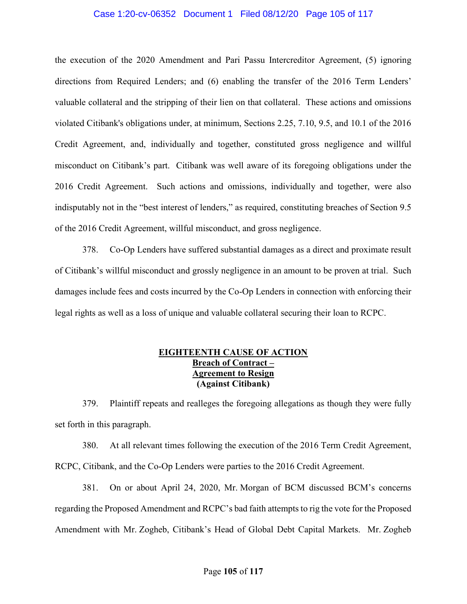#### Case 1:20-cv-06352 Document 1 Filed 08/12/20 Page 105 of 117

the execution of the 2020 Amendment and Pari Passu Intercreditor Agreement, (5) ignoring directions from Required Lenders; and (6) enabling the transfer of the 2016 Term Lenders' valuable collateral and the stripping of their lien on that collateral. These actions and omissions violated Citibank's obligations under, at minimum, Sections 2.25, 7.10, 9.5, and 10.1 of the 2016 Credit Agreement, and, individually and together, constituted gross negligence and willful misconduct on Citibank's part. Citibank was well aware of its foregoing obligations under the 2016 Credit Agreement. Such actions and omissions, individually and together, were also indisputably not in the "best interest of lenders," as required, constituting breaches of Section 9.5 of the 2016 Credit Agreement, willful misconduct, and gross negligence.

378. Co-Op Lenders have suffered substantial damages as a direct and proximate result of Citibank's willful misconduct and grossly negligence in an amount to be proven at trial. Such damages include fees and costs incurred by the Co-Op Lenders in connection with enforcing their legal rights as well as a loss of unique and valuable collateral securing their loan to RCPC.

## EIGHTEENTH CAUSE OF ACTION Breach of Contract – Agreement to Resign (Against Citibank)

379. Plaintiff repeats and realleges the foregoing allegations as though they were fully set forth in this paragraph.

380. At all relevant times following the execution of the 2016 Term Credit Agreement, RCPC, Citibank, and the Co-Op Lenders were parties to the 2016 Credit Agreement.

381. On or about April 24, 2020, Mr. Morgan of BCM discussed BCM's concerns regarding the Proposed Amendment and RCPC's bad faith attempts to rig the vote for the Proposed Amendment with Mr. Zogheb, Citibank's Head of Global Debt Capital Markets. Mr. Zogheb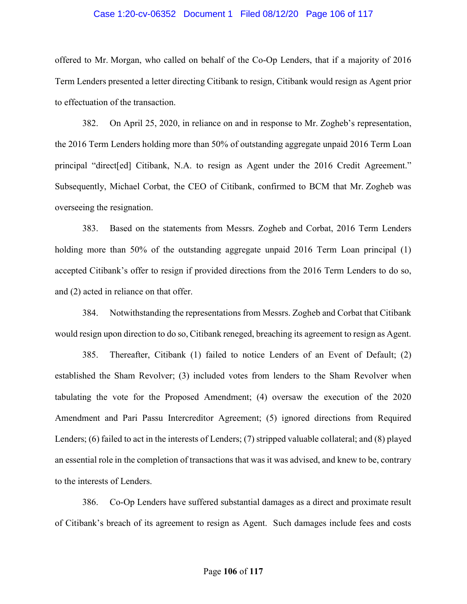#### Case 1:20-cv-06352 Document 1 Filed 08/12/20 Page 106 of 117

offered to Mr. Morgan, who called on behalf of the Co-Op Lenders, that if a majority of 2016 Term Lenders presented a letter directing Citibank to resign, Citibank would resign as Agent prior to effectuation of the transaction.

382. On April 25, 2020, in reliance on and in response to Mr. Zogheb's representation, the 2016 Term Lenders holding more than 50% of outstanding aggregate unpaid 2016 Term Loan principal "direct[ed] Citibank, N.A. to resign as Agent under the 2016 Credit Agreement." Subsequently, Michael Corbat, the CEO of Citibank, confirmed to BCM that Mr. Zogheb was overseeing the resignation.

383. Based on the statements from Messrs. Zogheb and Corbat, 2016 Term Lenders holding more than 50% of the outstanding aggregate unpaid 2016 Term Loan principal (1) accepted Citibank's offer to resign if provided directions from the 2016 Term Lenders to do so, and (2) acted in reliance on that offer.

384. Notwithstanding the representations from Messrs. Zogheb and Corbat that Citibank would resign upon direction to do so, Citibank reneged, breaching its agreement to resign as Agent.

385. Thereafter, Citibank (1) failed to notice Lenders of an Event of Default; (2) established the Sham Revolver; (3) included votes from lenders to the Sham Revolver when tabulating the vote for the Proposed Amendment; (4) oversaw the execution of the 2020 Amendment and Pari Passu Intercreditor Agreement; (5) ignored directions from Required Lenders; (6) failed to act in the interests of Lenders; (7) stripped valuable collateral; and (8) played an essential role in the completion of transactions that was it was advised, and knew to be, contrary to the interests of Lenders.

386. Co-Op Lenders have suffered substantial damages as a direct and proximate result of Citibank's breach of its agreement to resign as Agent. Such damages include fees and costs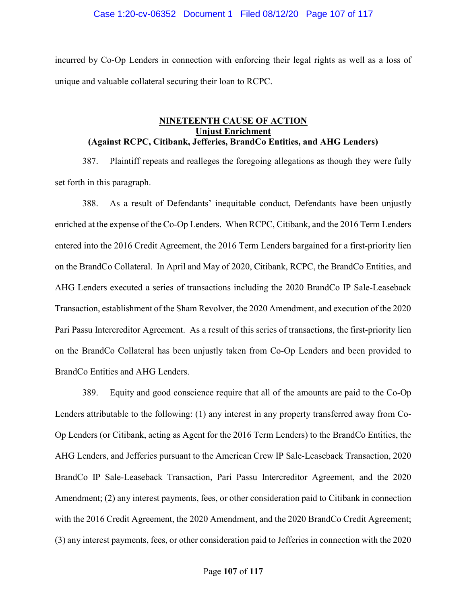incurred by Co-Op Lenders in connection with enforcing their legal rights as well as a loss of unique and valuable collateral securing their loan to RCPC.

## NINETEENTH CAUSE OF ACTION Unjust Enrichment (Against RCPC, Citibank, Jefferies, BrandCo Entities, and AHG Lenders)

387. Plaintiff repeats and realleges the foregoing allegations as though they were fully set forth in this paragraph.

388. As a result of Defendants' inequitable conduct, Defendants have been unjustly enriched at the expense of the Co-Op Lenders. When RCPC, Citibank, and the 2016 Term Lenders entered into the 2016 Credit Agreement, the 2016 Term Lenders bargained for a first-priority lien on the BrandCo Collateral. In April and May of 2020, Citibank, RCPC, the BrandCo Entities, and AHG Lenders executed a series of transactions including the 2020 BrandCo IP Sale-Leaseback Transaction, establishment of the Sham Revolver, the 2020 Amendment, and execution of the 2020 Pari Passu Intercreditor Agreement. As a result of this series of transactions, the first-priority lien on the BrandCo Collateral has been unjustly taken from Co-Op Lenders and been provided to BrandCo Entities and AHG Lenders.

389. Equity and good conscience require that all of the amounts are paid to the Co-Op Lenders attributable to the following: (1) any interest in any property transferred away from Co-Op Lenders (or Citibank, acting as Agent for the 2016 Term Lenders) to the BrandCo Entities, the AHG Lenders, and Jefferies pursuant to the American Crew IP Sale-Leaseback Transaction, 2020 BrandCo IP Sale-Leaseback Transaction, Pari Passu Intercreditor Agreement, and the 2020 Amendment; (2) any interest payments, fees, or other consideration paid to Citibank in connection with the 2016 Credit Agreement, the 2020 Amendment, and the 2020 BrandCo Credit Agreement; (3) any interest payments, fees, or other consideration paid to Jefferies in connection with the 2020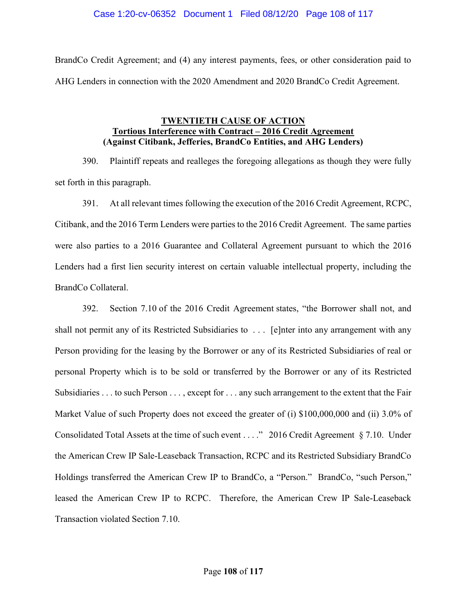#### Case 1:20-cv-06352 Document 1 Filed 08/12/20 Page 108 of 117

BrandCo Credit Agreement; and (4) any interest payments, fees, or other consideration paid to AHG Lenders in connection with the 2020 Amendment and 2020 BrandCo Credit Agreement.

## TWENTIETH CAUSE OF ACTION Tortious Interference with Contract – 2016 Credit Agreement (Against Citibank, Jefferies, BrandCo Entities, and AHG Lenders)

390. Plaintiff repeats and realleges the foregoing allegations as though they were fully set forth in this paragraph.

391. At all relevant times following the execution of the 2016 Credit Agreement, RCPC, Citibank, and the 2016 Term Lenders were parties to the 2016 Credit Agreement. The same parties were also parties to a 2016 Guarantee and Collateral Agreement pursuant to which the 2016 Lenders had a first lien security interest on certain valuable intellectual property, including the BrandCo Collateral.

392. Section 7.10 of the 2016 Credit Agreement states, "the Borrower shall not, and shall not permit any of its Restricted Subsidiaries to . . . [e]nter into any arrangement with any Person providing for the leasing by the Borrower or any of its Restricted Subsidiaries of real or personal Property which is to be sold or transferred by the Borrower or any of its Restricted Subsidiaries . . . to such Person . . . , except for . . . any such arrangement to the extent that the Fair Market Value of such Property does not exceed the greater of (i) \$100,000,000 and (ii) 3.0% of Consolidated Total Assets at the time of such event . . . ." 2016 Credit Agreement § 7.10. Under the American Crew IP Sale-Leaseback Transaction, RCPC and its Restricted Subsidiary BrandCo Holdings transferred the American Crew IP to BrandCo, a "Person." BrandCo, "such Person," leased the American Crew IP to RCPC. Therefore, the American Crew IP Sale-Leaseback Transaction violated Section 7.10.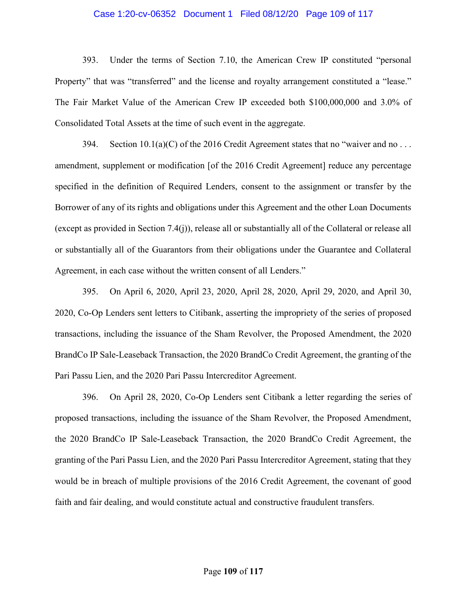# Case 1:20-cv-06352 Document 1 Filed 08/12/20 Page 109 of 117

393. Under the terms of Section 7.10, the American Crew IP constituted "personal Property" that was "transferred" and the license and royalty arrangement constituted a "lease." The Fair Market Value of the American Crew IP exceeded both \$100,000,000 and 3.0% of Consolidated Total Assets at the time of such event in the aggregate.

394. Section  $10.1(a)(C)$  of the 2016 Credit Agreement states that no "waiver and no ... amendment, supplement or modification [of the 2016 Credit Agreement] reduce any percentage specified in the definition of Required Lenders, consent to the assignment or transfer by the Borrower of any of its rights and obligations under this Agreement and the other Loan Documents (except as provided in Section 7.4(j)), release all or substantially all of the Collateral or release all or substantially all of the Guarantors from their obligations under the Guarantee and Collateral Agreement, in each case without the written consent of all Lenders."

395. On April 6, 2020, April 23, 2020, April 28, 2020, April 29, 2020, and April 30, 2020, Co-Op Lenders sent letters to Citibank, asserting the impropriety of the series of proposed transactions, including the issuance of the Sham Revolver, the Proposed Amendment, the 2020 BrandCo IP Sale-Leaseback Transaction, the 2020 BrandCo Credit Agreement, the granting of the Pari Passu Lien, and the 2020 Pari Passu Intercreditor Agreement.

396. On April 28, 2020, Co-Op Lenders sent Citibank a letter regarding the series of proposed transactions, including the issuance of the Sham Revolver, the Proposed Amendment, the 2020 BrandCo IP Sale-Leaseback Transaction, the 2020 BrandCo Credit Agreement, the granting of the Pari Passu Lien, and the 2020 Pari Passu Intercreditor Agreement, stating that they would be in breach of multiple provisions of the 2016 Credit Agreement, the covenant of good faith and fair dealing, and would constitute actual and constructive fraudulent transfers.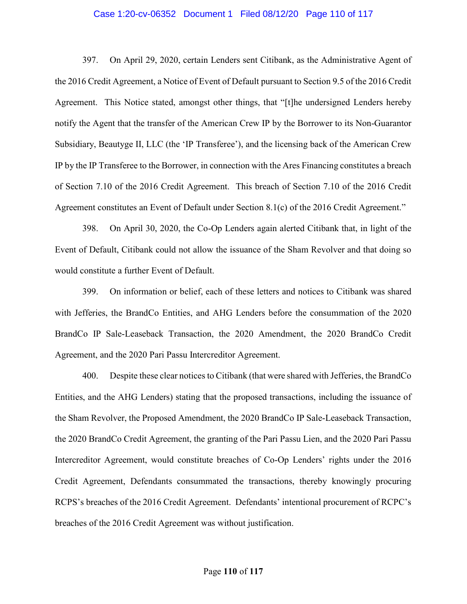# Case 1:20-cv-06352 Document 1 Filed 08/12/20 Page 110 of 117

397. On April 29, 2020, certain Lenders sent Citibank, as the Administrative Agent of the 2016 Credit Agreement, a Notice of Event of Default pursuant to Section 9.5 of the 2016 Credit Agreement. This Notice stated, amongst other things, that "[t]he undersigned Lenders hereby notify the Agent that the transfer of the American Crew IP by the Borrower to its Non-Guarantor Subsidiary, Beautyge II, LLC (the 'IP Transferee'), and the licensing back of the American Crew IP by the IP Transferee to the Borrower, in connection with the Ares Financing constitutes a breach of Section 7.10 of the 2016 Credit Agreement. This breach of Section 7.10 of the 2016 Credit Agreement constitutes an Event of Default under Section 8.1(c) of the 2016 Credit Agreement."

398. On April 30, 2020, the Co-Op Lenders again alerted Citibank that, in light of the Event of Default, Citibank could not allow the issuance of the Sham Revolver and that doing so would constitute a further Event of Default.

399. On information or belief, each of these letters and notices to Citibank was shared with Jefferies, the BrandCo Entities, and AHG Lenders before the consummation of the 2020 BrandCo IP Sale-Leaseback Transaction, the 2020 Amendment, the 2020 BrandCo Credit Agreement, and the 2020 Pari Passu Intercreditor Agreement.

400. Despite these clear notices to Citibank (that were shared with Jefferies, the BrandCo Entities, and the AHG Lenders) stating that the proposed transactions, including the issuance of the Sham Revolver, the Proposed Amendment, the 2020 BrandCo IP Sale-Leaseback Transaction, the 2020 BrandCo Credit Agreement, the granting of the Pari Passu Lien, and the 2020 Pari Passu Intercreditor Agreement, would constitute breaches of Co-Op Lenders' rights under the 2016 Credit Agreement, Defendants consummated the transactions, thereby knowingly procuring RCPS's breaches of the 2016 Credit Agreement. Defendants' intentional procurement of RCPC's breaches of the 2016 Credit Agreement was without justification.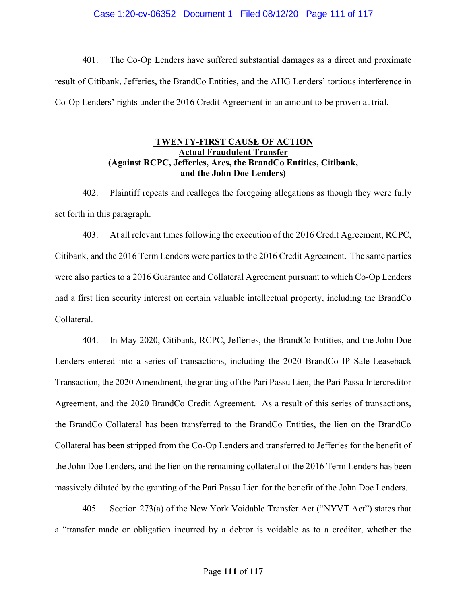## Case 1:20-cv-06352 Document 1 Filed 08/12/20 Page 111 of 117

401. The Co-Op Lenders have suffered substantial damages as a direct and proximate result of Citibank, Jefferies, the BrandCo Entities, and the AHG Lenders' tortious interference in Co-Op Lenders' rights under the 2016 Credit Agreement in an amount to be proven at trial.

# TWENTY-FIRST CAUSE OF ACTION Actual Fraudulent Transfer (Against RCPC, Jefferies, Ares, the BrandCo Entities, Citibank, and the John Doe Lenders)

402. Plaintiff repeats and realleges the foregoing allegations as though they were fully set forth in this paragraph.

403. At all relevant times following the execution of the 2016 Credit Agreement, RCPC, Citibank, and the 2016 Term Lenders were parties to the 2016 Credit Agreement. The same parties were also parties to a 2016 Guarantee and Collateral Agreement pursuant to which Co-Op Lenders had a first lien security interest on certain valuable intellectual property, including the BrandCo Collateral.

404. In May 2020, Citibank, RCPC, Jefferies, the BrandCo Entities, and the John Doe Lenders entered into a series of transactions, including the 2020 BrandCo IP Sale-Leaseback Transaction, the 2020 Amendment, the granting of the Pari Passu Lien, the Pari Passu Intercreditor Agreement, and the 2020 BrandCo Credit Agreement. As a result of this series of transactions, the BrandCo Collateral has been transferred to the BrandCo Entities, the lien on the BrandCo Collateral has been stripped from the Co-Op Lenders and transferred to Jefferies for the benefit of the John Doe Lenders, and the lien on the remaining collateral of the 2016 Term Lenders has been massively diluted by the granting of the Pari Passu Lien for the benefit of the John Doe Lenders.

405. Section 273(a) of the New York Voidable Transfer Act ("NYVT Act") states that a "transfer made or obligation incurred by a debtor is voidable as to a creditor, whether the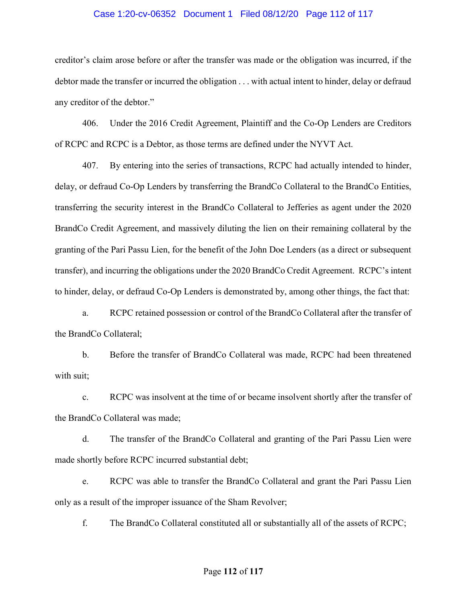# Case 1:20-cv-06352 Document 1 Filed 08/12/20 Page 112 of 117

creditor's claim arose before or after the transfer was made or the obligation was incurred, if the debtor made the transfer or incurred the obligation . . . with actual intent to hinder, delay or defraud any creditor of the debtor."

406. Under the 2016 Credit Agreement, Plaintiff and the Co-Op Lenders are Creditors of RCPC and RCPC is a Debtor, as those terms are defined under the NYVT Act.

407. By entering into the series of transactions, RCPC had actually intended to hinder, delay, or defraud Co-Op Lenders by transferring the BrandCo Collateral to the BrandCo Entities, transferring the security interest in the BrandCo Collateral to Jefferies as agent under the 2020 BrandCo Credit Agreement, and massively diluting the lien on their remaining collateral by the granting of the Pari Passu Lien, for the benefit of the John Doe Lenders (as a direct or subsequent transfer), and incurring the obligations under the 2020 BrandCo Credit Agreement. RCPC's intent to hinder, delay, or defraud Co-Op Lenders is demonstrated by, among other things, the fact that:

a. RCPC retained possession or control of the BrandCo Collateral after the transfer of the BrandCo Collateral;

b. Before the transfer of BrandCo Collateral was made, RCPC had been threatened with suit;

c. RCPC was insolvent at the time of or became insolvent shortly after the transfer of the BrandCo Collateral was made;

d. The transfer of the BrandCo Collateral and granting of the Pari Passu Lien were made shortly before RCPC incurred substantial debt;

e. RCPC was able to transfer the BrandCo Collateral and grant the Pari Passu Lien only as a result of the improper issuance of the Sham Revolver;

f. The BrandCo Collateral constituted all or substantially all of the assets of RCPC;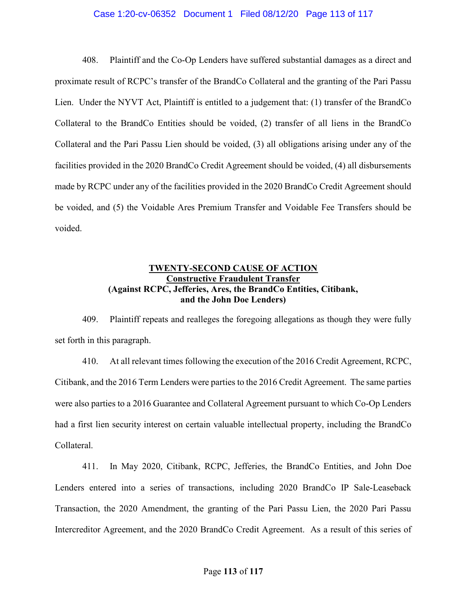# Case 1:20-cv-06352 Document 1 Filed 08/12/20 Page 113 of 117

408. Plaintiff and the Co-Op Lenders have suffered substantial damages as a direct and proximate result of RCPC's transfer of the BrandCo Collateral and the granting of the Pari Passu Lien. Under the NYVT Act, Plaintiff is entitled to a judgement that: (1) transfer of the BrandCo Collateral to the BrandCo Entities should be voided, (2) transfer of all liens in the BrandCo Collateral and the Pari Passu Lien should be voided, (3) all obligations arising under any of the facilities provided in the 2020 BrandCo Credit Agreement should be voided, (4) all disbursements made by RCPC under any of the facilities provided in the 2020 BrandCo Credit Agreement should be voided, and (5) the Voidable Ares Premium Transfer and Voidable Fee Transfers should be voided.

# TWENTY-SECOND CAUSE OF ACTION Constructive Fraudulent Transfer (Against RCPC, Jefferies, Ares, the BrandCo Entities, Citibank, and the John Doe Lenders)

409. Plaintiff repeats and realleges the foregoing allegations as though they were fully set forth in this paragraph.

410. At all relevant times following the execution of the 2016 Credit Agreement, RCPC, Citibank, and the 2016 Term Lenders were parties to the 2016 Credit Agreement. The same parties were also parties to a 2016 Guarantee and Collateral Agreement pursuant to which Co-Op Lenders had a first lien security interest on certain valuable intellectual property, including the BrandCo Collateral.

411. In May 2020, Citibank, RCPC, Jefferies, the BrandCo Entities, and John Doe Lenders entered into a series of transactions, including 2020 BrandCo IP Sale-Leaseback Transaction, the 2020 Amendment, the granting of the Pari Passu Lien, the 2020 Pari Passu Intercreditor Agreement, and the 2020 BrandCo Credit Agreement. As a result of this series of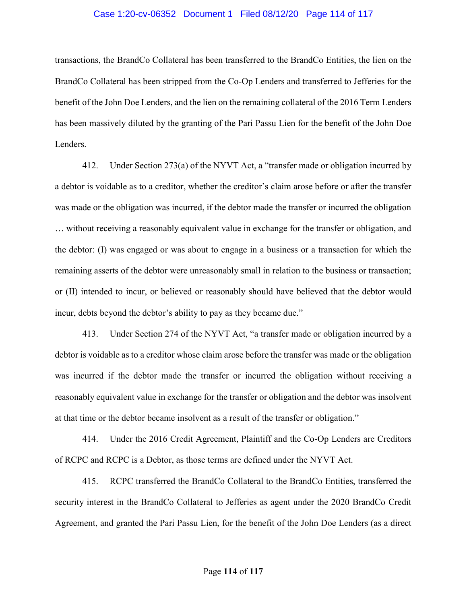## Case 1:20-cv-06352 Document 1 Filed 08/12/20 Page 114 of 117

transactions, the BrandCo Collateral has been transferred to the BrandCo Entities, the lien on the BrandCo Collateral has been stripped from the Co-Op Lenders and transferred to Jefferies for the benefit of the John Doe Lenders, and the lien on the remaining collateral of the 2016 Term Lenders has been massively diluted by the granting of the Pari Passu Lien for the benefit of the John Doe Lenders.

412. Under Section 273(a) of the NYVT Act, a "transfer made or obligation incurred by a debtor is voidable as to a creditor, whether the creditor's claim arose before or after the transfer was made or the obligation was incurred, if the debtor made the transfer or incurred the obligation … without receiving a reasonably equivalent value in exchange for the transfer or obligation, and the debtor: (I) was engaged or was about to engage in a business or a transaction for which the remaining asserts of the debtor were unreasonably small in relation to the business or transaction; or (II) intended to incur, or believed or reasonably should have believed that the debtor would incur, debts beyond the debtor's ability to pay as they became due."

413. Under Section 274 of the NYVT Act, "a transfer made or obligation incurred by a debtor is voidable as to a creditor whose claim arose before the transfer was made or the obligation was incurred if the debtor made the transfer or incurred the obligation without receiving a reasonably equivalent value in exchange for the transfer or obligation and the debtor was insolvent at that time or the debtor became insolvent as a result of the transfer or obligation."

414. Under the 2016 Credit Agreement, Plaintiff and the Co-Op Lenders are Creditors of RCPC and RCPC is a Debtor, as those terms are defined under the NYVT Act.

415. RCPC transferred the BrandCo Collateral to the BrandCo Entities, transferred the security interest in the BrandCo Collateral to Jefferies as agent under the 2020 BrandCo Credit Agreement, and granted the Pari Passu Lien, for the benefit of the John Doe Lenders (as a direct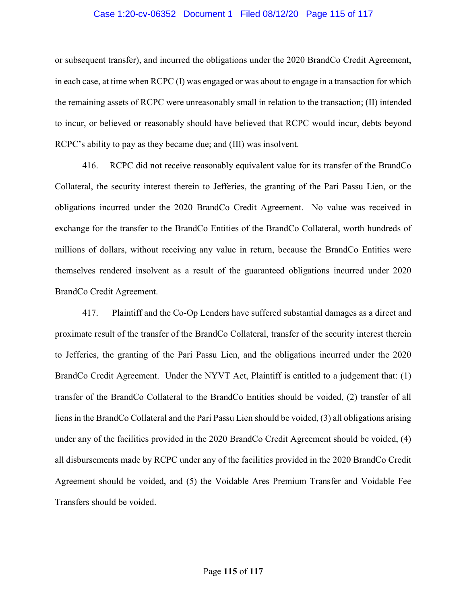# Case 1:20-cv-06352 Document 1 Filed 08/12/20 Page 115 of 117

or subsequent transfer), and incurred the obligations under the 2020 BrandCo Credit Agreement, in each case, at time when RCPC (I) was engaged or was about to engage in a transaction for which the remaining assets of RCPC were unreasonably small in relation to the transaction; (II) intended to incur, or believed or reasonably should have believed that RCPC would incur, debts beyond RCPC's ability to pay as they became due; and (III) was insolvent.

416. RCPC did not receive reasonably equivalent value for its transfer of the BrandCo Collateral, the security interest therein to Jefferies, the granting of the Pari Passu Lien, or the obligations incurred under the 2020 BrandCo Credit Agreement. No value was received in exchange for the transfer to the BrandCo Entities of the BrandCo Collateral, worth hundreds of millions of dollars, without receiving any value in return, because the BrandCo Entities were themselves rendered insolvent as a result of the guaranteed obligations incurred under 2020 BrandCo Credit Agreement.

417. Plaintiff and the Co-Op Lenders have suffered substantial damages as a direct and proximate result of the transfer of the BrandCo Collateral, transfer of the security interest therein to Jefferies, the granting of the Pari Passu Lien, and the obligations incurred under the 2020 BrandCo Credit Agreement. Under the NYVT Act, Plaintiff is entitled to a judgement that: (1) transfer of the BrandCo Collateral to the BrandCo Entities should be voided, (2) transfer of all liens in the BrandCo Collateral and the Pari Passu Lien should be voided, (3) all obligations arising under any of the facilities provided in the 2020 BrandCo Credit Agreement should be voided, (4) all disbursements made by RCPC under any of the facilities provided in the 2020 BrandCo Credit Agreement should be voided, and (5) the Voidable Ares Premium Transfer and Voidable Fee Transfers should be voided.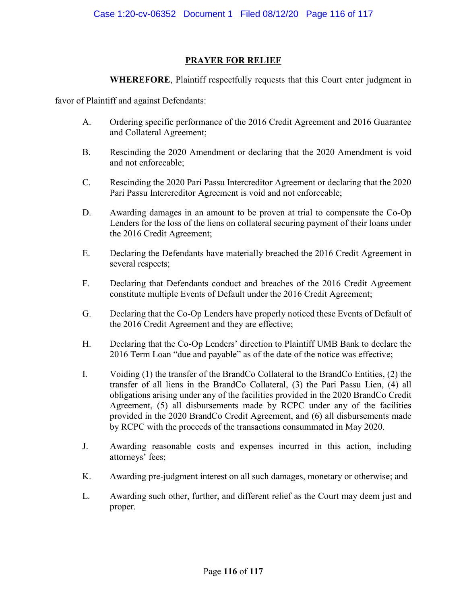# PRAYER FOR RELIEF

WHEREFORE, Plaintiff respectfully requests that this Court enter judgment in

favor of Plaintiff and against Defendants:

- A. Ordering specific performance of the 2016 Credit Agreement and 2016 Guarantee and Collateral Agreement;
- B. Rescinding the 2020 Amendment or declaring that the 2020 Amendment is void and not enforceable;
- C. Rescinding the 2020 Pari Passu Intercreditor Agreement or declaring that the 2020 Pari Passu Intercreditor Agreement is void and not enforceable;
- D. Awarding damages in an amount to be proven at trial to compensate the Co-Op Lenders for the loss of the liens on collateral securing payment of their loans under the 2016 Credit Agreement;
- E. Declaring the Defendants have materially breached the 2016 Credit Agreement in several respects;
- F. Declaring that Defendants conduct and breaches of the 2016 Credit Agreement constitute multiple Events of Default under the 2016 Credit Agreement;
- G. Declaring that the Co-Op Lenders have properly noticed these Events of Default of the 2016 Credit Agreement and they are effective;
- H. Declaring that the Co-Op Lenders' direction to Plaintiff UMB Bank to declare the 2016 Term Loan "due and payable" as of the date of the notice was effective;
- I. Voiding (1) the transfer of the BrandCo Collateral to the BrandCo Entities, (2) the transfer of all liens in the BrandCo Collateral, (3) the Pari Passu Lien, (4) all obligations arising under any of the facilities provided in the 2020 BrandCo Credit Agreement, (5) all disbursements made by RCPC under any of the facilities provided in the 2020 BrandCo Credit Agreement, and (6) all disbursements made by RCPC with the proceeds of the transactions consummated in May 2020.
- J. Awarding reasonable costs and expenses incurred in this action, including attorneys' fees;
- K. Awarding pre-judgment interest on all such damages, monetary or otherwise; and
- L. Awarding such other, further, and different relief as the Court may deem just and proper.